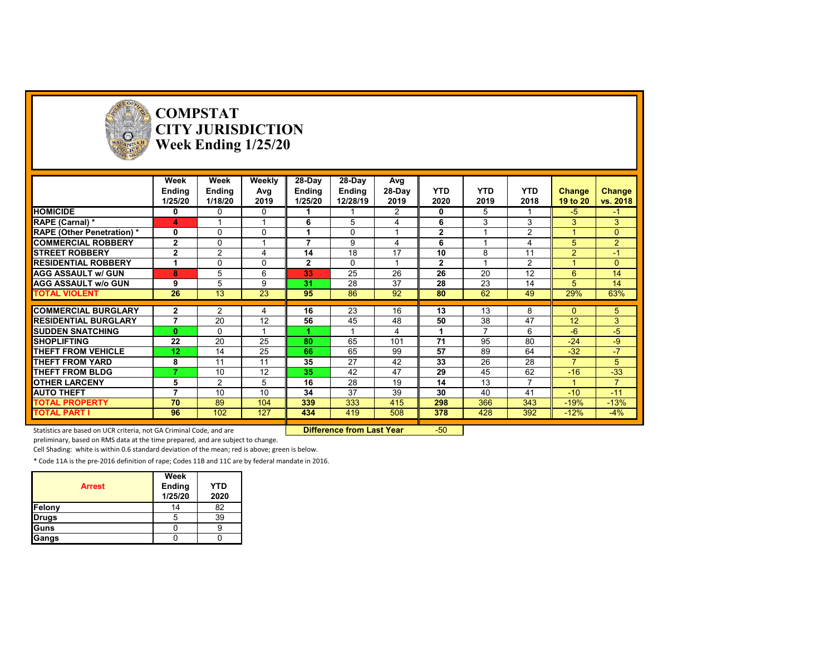

# **COMPSTAT CITY JURISDICTION Week Ending 1/25/20**

| Weekly<br>28-Day<br>28-Day<br>Week<br>Week<br>Avg<br>28-Day<br><b>YTD</b><br><b>YTD</b><br><b>YTD</b><br><b>Ending</b><br><b>Ending</b><br>Avg<br>Ending<br><b>Ending</b><br><b>Change</b> |                |
|--------------------------------------------------------------------------------------------------------------------------------------------------------------------------------------------|----------------|
|                                                                                                                                                                                            |                |
|                                                                                                                                                                                            | Change         |
| 2020<br>2019<br>2018<br>1/25/20<br>1/18/20<br>2019<br>1/25/20<br>12/28/19<br>2019<br>19 to 20                                                                                              | vs. 2018       |
| <b>HOMICIDE</b><br>2<br>5<br>$-5$<br>0<br>0<br>0<br>0                                                                                                                                      | $-1$           |
| 5<br>3<br>3<br>3<br><b>RAPE (Carnal)</b> *<br>6<br>6<br>4<br>4                                                                                                                             | 3              |
| 2<br>$\mathbf{2}$<br>0<br>$\Omega$<br>$\Omega$<br>0<br><b>RAPE (Other Penetration)*</b>                                                                                                    | $\Omega$       |
| $\mathbf{2}$<br>7<br><b>COMMERCIAL ROBBERY</b><br>$\Omega$<br>9<br>6<br>5                                                                                                                  | $\overline{2}$ |
| $\mathbf{2}$<br>$\overline{2}$<br>18<br>14<br>17<br>10<br>11<br>$\overline{2}$<br><b>ISTREET ROBBERY</b><br>8<br>4                                                                         | $-1$           |
| $\overline{2}$<br>2<br>$\mathbf{2}$<br><b>RESIDENTIAL ROBBERY</b><br>$\Omega$<br>$\Omega$<br>$\Omega$                                                                                      | $\Omega$       |
| 25<br>26<br>26<br>12<br>8<br>5<br>6<br>33<br>20<br>6<br><b>AGG ASSAULT w/ GUN</b>                                                                                                          | 14             |
| 28<br>37<br>28<br>9<br>31<br>23<br>14<br>5<br><b>AGG ASSAULT w/o GUN</b><br>9<br>5                                                                                                         | 14             |
| $\overline{23}$<br>26<br>13<br>86<br>92<br>62<br>49<br>29%<br><b>TOTAL VIOLENT</b><br>95<br>80                                                                                             | 63%            |
|                                                                                                                                                                                            |                |
| <b>COMMERCIAL BURGLARY</b><br>16<br>23<br>16<br>13<br>13<br>8<br>$\mathbf{2}$<br>2<br>0<br>4                                                                                               | 5              |
| 47<br>7<br>20<br>12<br>56<br>45<br>48<br>50<br>38<br>12 <sup>2</sup><br><b>RESIDENTIAL BURGLARY</b>                                                                                        | 3              |
| $\overline{ }$<br>6<br><b>ISUDDEN SNATCHING</b><br>$\mathbf{0}$<br>$\Omega$<br>$-6$<br>4                                                                                                   | $-5$           |
| 22<br>20<br>25<br>65<br>71<br>95<br>80<br>$-24$<br><b>SHOPLIFTING</b><br>80<br>101                                                                                                         | $-9$           |
| 25<br>$-32$<br><b>THEFT FROM VEHICLE</b><br>12<br>14<br>66<br>65<br>99<br>57<br>89<br>64                                                                                                   | $-7$           |
| 8<br>27<br>28<br><b>THEFT FROM YARD</b><br>11<br>11<br>35<br>42<br>33<br>26<br>$\overline{z}$                                                                                              | 5              |
| 62<br>12<br>35<br>42<br>47<br>29<br>45<br>$-16$<br><b>THEFT FROM BLDG</b><br>10                                                                                                            | $-33$          |
| 28<br>13<br><b>OTHER LARCENY</b><br>5<br>2<br>5<br>16<br>19<br>14<br>7                                                                                                                     | $\overline{7}$ |
| 37<br>10<br>39<br>41<br>10<br>34<br>30<br>40<br>$-10$<br><b>AUTO THEFT</b><br>7                                                                                                            | $-11$          |
| 333<br>343<br>70<br>89<br>104<br>339<br>415<br>298<br>366<br>$-19%$<br><b>TOTAL PROPERTY</b>                                                                                               | $-13%$         |
| <b>TOTAL PART I</b><br>96<br>102<br>127<br>419<br>508<br>378<br>428<br>392<br>$-12%$<br>434                                                                                                | $-4%$          |

Statistics are based on UCR criteria, not GA Criminal Code, and are **Difference from Last Year** -50

preliminary, based on RMS data at the time prepared, and are subject to change.

Cell Shading: white is within 0.6 standard deviation of the mean; red is above; green is below.

| <b>Arrest</b> | Week<br>Ending<br>1/25/20 | <b>YTD</b><br>2020 |
|---------------|---------------------------|--------------------|
| Felony        | 14                        | 82                 |
| <b>Drugs</b>  |                           | 39                 |
| Guns          |                           |                    |
| Gangs         |                           |                    |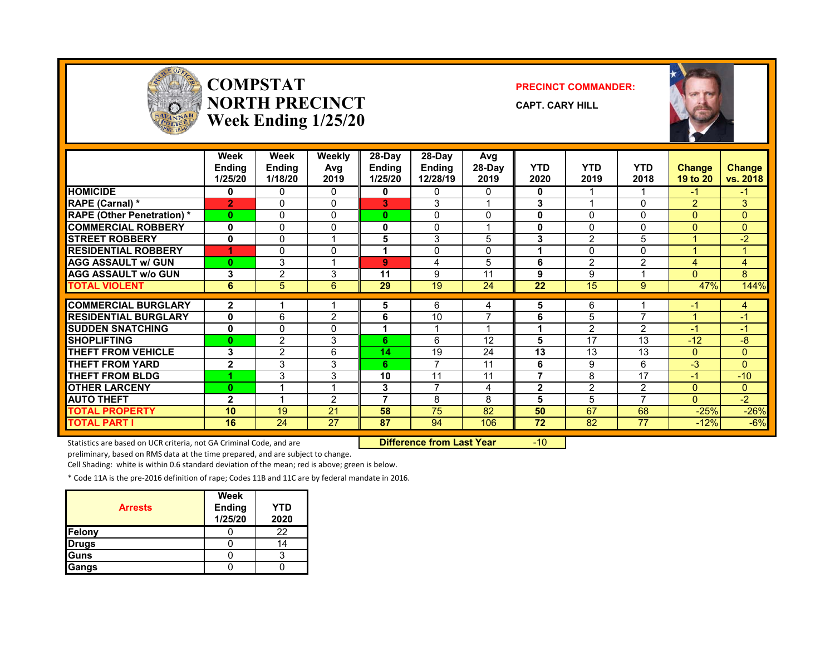

#### **COMPSTATNORTH PRECINCTWeek Ending 1/25/20**

#### **PRECINCT COMMANDER:**

**CAPT. CARY HILL**



|                                  | Week<br><b>Ending</b><br>1/25/20 | Week<br><b>Ending</b><br>1/18/20 | Weekly<br>Avg<br>2019 | $28-Dav$<br>Ending<br>1/25/20 | $28-Dav$<br><b>Ending</b><br>12/28/19 | Avg<br>28-Day<br>2019 | <b>YTD</b><br>2020 | <b>YTD</b><br>2019 | <b>YTD</b><br>2018 | <b>Change</b><br>19 to 20 | Change<br>vs. 2018 |
|----------------------------------|----------------------------------|----------------------------------|-----------------------|-------------------------------|---------------------------------------|-----------------------|--------------------|--------------------|--------------------|---------------------------|--------------------|
| <b>HOMICIDE</b>                  | 0                                | 0                                | $\mathbf{0}$          | 0                             | 0                                     | 0                     | 0                  |                    |                    | $-1$                      | $\blacksquare$     |
| RAPE (Carnal) *                  | $\overline{2}$                   | 0                                | $\mathbf{0}$          | 3                             | 3                                     |                       | 3                  | 4                  | 0                  | 2                         | 3                  |
| <b>RAPE (Other Penetration)*</b> | $\mathbf{0}$                     | 0                                | 0                     | $\mathbf{0}$                  | $\Omega$                              | 0                     | 0                  | 0                  | $\Omega$           | $\mathbf{0}$              | $\overline{0}$     |
| <b>COMMERCIAL ROBBERY</b>        | $\mathbf 0$                      | 0                                | $\mathbf 0$           | 0                             | $\Omega$                              |                       | 0                  | $\mathbf{0}$       | $\Omega$           | $\mathbf{0}$              | $\Omega$           |
| <b>STREET ROBBERY</b>            | 0                                | 0                                | 1                     | 5                             | 3                                     | 5                     | 3                  | $\overline{2}$     | 5                  |                           | $-2$               |
| <b>RESIDENTIAL ROBBERY</b>       |                                  | 0                                | $\mathbf{0}$          |                               | $\Omega$                              | $\Omega$              | 4                  | $\Omega$           | $\Omega$           | -4                        |                    |
| <b>AGG ASSAULT w/ GUN</b>        | $\bf{0}$                         | 3                                | и                     | 9                             | 4                                     | 5                     | 6                  | $\overline{2}$     | $\overline{2}$     | $\overline{4}$            | 4                  |
| <b>AGG ASSAULT w/o GUN</b>       | 3                                | $\overline{2}$                   | 3                     | 11                            | 9                                     | 11                    | 9                  | 9                  |                    | $\Omega$                  | 8                  |
| <b>TOTAL VIOLENT</b>             | 6                                | 5                                | 6                     | 29                            | 19                                    | 24                    | 22                 | 15                 | 9                  | 47%                       | 144%               |
|                                  |                                  |                                  |                       |                               |                                       |                       |                    |                    |                    |                           |                    |
| <b>COMMERCIAL BURGLARY</b>       | $\mathbf{2}$                     |                                  |                       | 5                             | 6                                     | 4                     | 5                  | 6                  |                    | -1                        | 4                  |
| <b>RESIDENTIAL BURGLARY</b>      | $\mathbf{0}$                     | 6                                | $\overline{2}$        | 6                             | 10                                    | ⇁                     | 6                  | 5                  | 7                  |                           | $-1$               |
| <b>SUDDEN SNATCHING</b>          | 0                                | 0                                | 0                     |                               |                                       |                       | 1                  | 2                  | $\overline{2}$     | -1                        | -1                 |
| <b>SHOPLIFTING</b>               | 0                                | $\overline{2}$                   | 3                     | 6                             | 6                                     | 12                    | 5                  | 17                 | 13                 | $-12$                     | -8                 |
| <b>THEFT FROM VEHICLE</b>        | 3                                | $\overline{2}$                   | 6                     | 14                            | 19                                    | 24                    | 13                 | 13                 | 13                 | $\mathbf{0}$              | $\Omega$           |
| <b>THEFT FROM YARD</b>           | $\mathbf{2}$                     | 3                                | 3                     | 6.                            | $\overline{ }$                        | 11                    | 6                  | 9                  | 6                  | $-3$                      | $\Omega$           |
| <b>THEFT FROM BLDG</b>           |                                  | 3                                | 3                     | 10                            | 11                                    | 11                    | 7                  | 8                  | 17                 | $-1$                      | $-10$              |
| <b>OTHER LARCENY</b>             | $\bf{0}$                         |                                  | и                     | 3                             | $\overline{ }$                        | 4                     | $\mathbf{2}$       | 2                  | $\overline{2}$     | $\mathbf{0}$              | $\Omega$           |
| <b>AUTO THEFT</b>                | $\mathbf{2}$                     |                                  | $\overline{2}$        | -                             | 8                                     | 8                     | 5                  | 5                  | 7                  | $\Omega$                  | $-2$               |
| <b>TOTAL PROPERTY</b>            | 10                               | 19                               | 21                    | 58                            | 75                                    | 82                    | 50                 | 67                 | 68                 | $-25%$                    | $-26%$             |
| <b>TOTAL PART I</b>              | 16                               | 24                               | 27                    | 87                            | 94                                    | 106                   | 72                 | 82                 | 77                 | $-12%$                    | $-6%$              |

Statistics are based on UCR criteria, not GA Criminal Code, and are **Difference from Last Year** -10

preliminary, based on RMS data at the time prepared, and are subject to change.

Cell Shading: white is within 0.6 standard deviation of the mean; red is above; green is below.

| <b>Arrests</b> | Week<br><b>Ending</b><br>1/25/20 | YTD<br>2020 |
|----------------|----------------------------------|-------------|
| Felony         |                                  | 22          |
| <b>Drugs</b>   |                                  | I۵          |
| Guns           |                                  |             |
| Gangs          |                                  |             |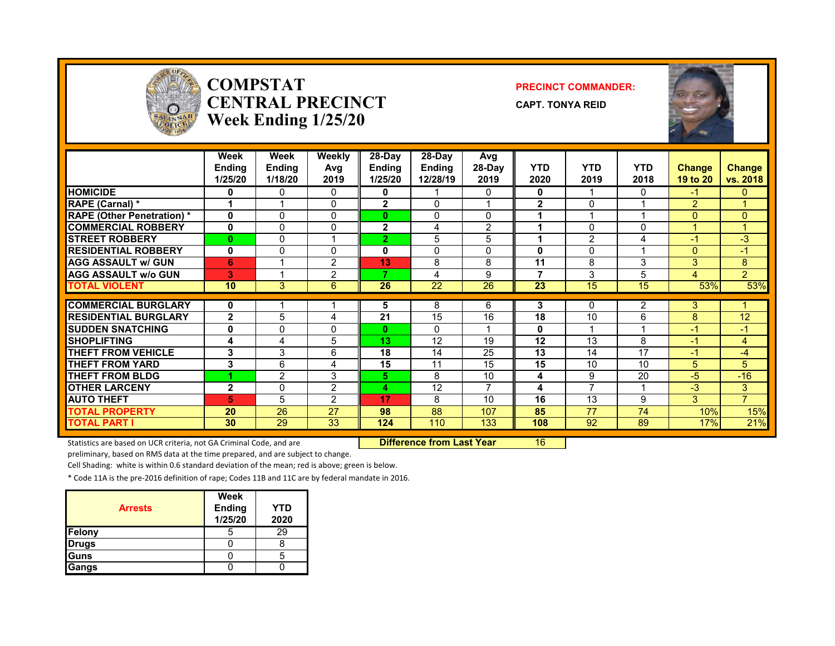

#### **COMPSTATCENTRAL PRECINCTWeek Ending 1/25/20**

#### **PRECINCT COMMANDER:**

**CAPT. TONYA REID**



|                                   | Week<br><b>Endina</b><br>1/25/20 | Week<br><b>Endina</b><br>1/18/20 | Weekly<br>Avg<br>2019 | $28-Dav$<br>Endina<br>1/25/20 | $28-Dav$<br><b>Endina</b><br>12/28/19 | Avg<br>$28-Dav$<br>2019 | <b>YTD</b><br>2020 | <b>YTD</b><br>2019 | <b>YTD</b><br>2018 | <b>Change</b><br>19 to 20 | Change<br>vs. 2018 |
|-----------------------------------|----------------------------------|----------------------------------|-----------------------|-------------------------------|---------------------------------------|-------------------------|--------------------|--------------------|--------------------|---------------------------|--------------------|
| <b>HOMICIDE</b>                   | 0                                | 0                                | 0                     | 0                             |                                       | 0                       | 0                  | 1                  | 0                  | -1                        | 0                  |
| <b>RAPE (Carnal) *</b>            |                                  | $\overline{\mathbf{A}}$          | 0                     | $\overline{2}$                | $\Omega$                              |                         | $\overline{2}$     | $\Omega$           |                    | 2                         |                    |
| <b>RAPE (Other Penetration) *</b> | $\mathbf 0$                      | $\Omega$                         | $\Omega$              | 0                             | $\Omega$                              | $\Omega$                | 1                  |                    |                    | $\mathbf{0}$              | $\Omega$           |
| <b>COMMERCIAL ROBBERY</b>         | 0                                | 0                                | 0                     | $\mathbf{2}$                  | 4                                     | 2                       | 1                  | 0                  | $\Omega$           |                           |                    |
| <b>ISTREET ROBBERY</b>            | $\bf{0}$                         | 0                                | 1                     | $\overline{2}$                | 5                                     | 5                       | 4                  | 2                  | 4                  | -1                        | -3                 |
| <b>RESIDENTIAL ROBBERY</b>        | 0                                | $\Omega$                         | 0                     | 0                             | $\Omega$                              | $\Omega$                | 0                  | 0                  |                    | $\Omega$                  | $-1$               |
| <b>AGG ASSAULT w/ GUN</b>         | 6                                |                                  | 2                     | 13                            | 8                                     | 8                       | 11                 | 8                  | 3                  | 3                         | 8                  |
| <b>AGG ASSAULT W/o GUN</b>        | 3                                |                                  | 2                     | 7                             | 4                                     | 9                       | 7                  | 3                  | 5                  | 4                         | $\overline{2}$     |
| <b>TOTAL VIOLENT</b>              | 10                               | 3                                | 6                     | 26                            | 22                                    | 26                      | 23                 | 15                 | 15                 | 53%                       | 53%                |
|                                   |                                  |                                  |                       |                               |                                       |                         |                    |                    |                    |                           |                    |
| <b>COMMERCIAL BURGLARY</b>        | 0                                |                                  |                       | 5                             | 8                                     | 6                       | 3                  | 0                  | 2                  | 3                         |                    |
| <b>RESIDENTIAL BURGLARY</b>       | $\overline{2}$                   | 5                                | 4                     | 21                            | 15                                    | 16                      | 18                 | 10                 | 6                  | 8                         | 12                 |
| <b>ISUDDEN SNATCHING</b>          | 0                                | 0                                | 0                     | 0                             | 0                                     |                         | 0                  |                    |                    | -1                        | -1                 |
| <b>SHOPLIFTING</b>                | 4                                | 4                                | 5                     | 13                            | 12                                    | 19                      | 12                 | 13                 | 8                  | -1                        | 4                  |
| <b>THEFT FROM VEHICLE</b>         | 3                                | 3                                | 6                     | 18                            | 14                                    | 25                      | 13                 | 14                 | 17                 | -1                        | $-4$               |
| <b>THEFT FROM YARD</b>            | 3                                | 6                                | 4                     | 15                            | 11                                    | 15                      | 15                 | 10                 | 10                 | 5                         | 5                  |
| <b>THEFT FROM BLDG</b>            |                                  | $\overline{2}$                   | 3                     | 5.                            | 8                                     | 10                      | 4                  | 9                  | 20                 | -5                        | $-16$              |
| <b>OTHER LARCENY</b>              | $\mathbf{2}$                     | 0                                | 2                     | 4                             | 12                                    | 7                       | 4                  | $\overline{ }$     |                    | $-3$                      | $3^{\circ}$        |
| <b>AUTO THEFT</b>                 | 5                                | 5                                | 2                     | 17                            | 8                                     | 10                      | 16                 | 13                 | 9                  | 3                         | $\overline{7}$     |
| <b>TOTAL PROPERTY</b>             | 20                               | 26                               | 27                    | 98                            | 88                                    | 107                     | 85                 | 77                 | 74                 | 10%                       | 15%                |
| <b>TOTAL PART I</b>               | 30                               | 29                               | 33                    | 124                           | 110                                   | 133                     | 108                | 92                 | 89                 | 17%                       | 21%                |

Statistics are based on UCR criteria, not GA Criminal Code, and are **Difference from Last Year** 16

preliminary, based on RMS data at the time prepared, and are subject to change.

Cell Shading: white is within 0.6 standard deviation of the mean; red is above; green is below.

| <b>Arrests</b> | <b>Week</b><br><b>Ending</b><br>1/25/20 | YTD<br>2020 |
|----------------|-----------------------------------------|-------------|
| Felony         |                                         | 29          |
| <b>Drugs</b>   |                                         |             |
| Guns           |                                         | 5           |
| Gangs          |                                         |             |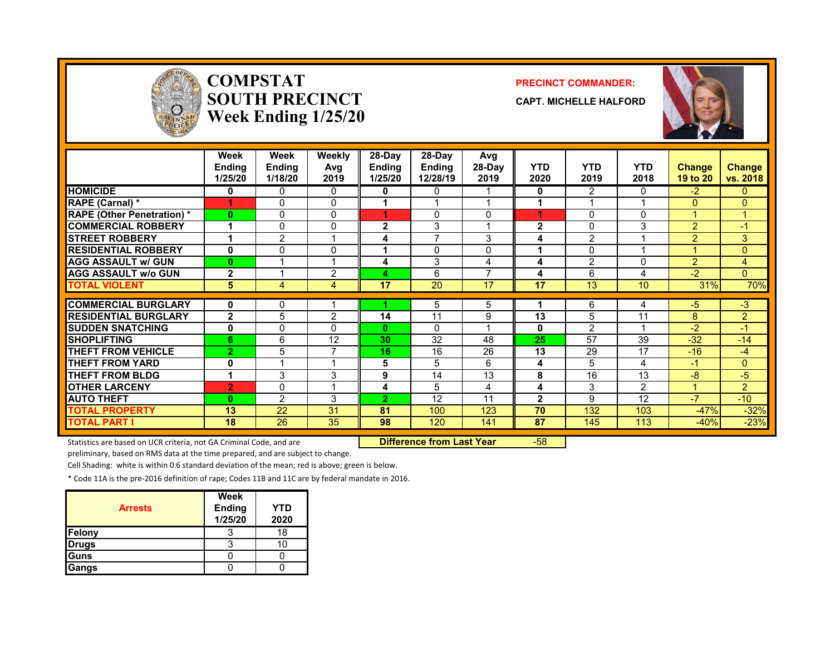

#### **COMPSTATSOUTH PRECINCTWeek Ending 1/25/20**

#### **PRECINCT COMMANDER:**

**CAPT. MICHELLE HALFORD**



|                                   | Week<br>Ending<br>1/25/20 | Week<br><b>Ending</b><br>1/18/20 | Weekly<br>Avg<br>2019        | 28-Day<br><b>Ending</b><br>1/25/20 | $28-Dav$<br><b>Ending</b><br>12/28/19 | Avg<br>28-Day<br>2019 | <b>YTD</b><br>2020 | <b>YTD</b><br>2019 | <b>YTD</b><br>2018 | <b>Change</b><br>19 to 20 | Change<br>vs. 2018   |
|-----------------------------------|---------------------------|----------------------------------|------------------------------|------------------------------------|---------------------------------------|-----------------------|--------------------|--------------------|--------------------|---------------------------|----------------------|
| <b>HOMICIDE</b>                   | 0                         | $\Omega$                         | $\Omega$                     | 0                                  | 0                                     |                       | $\mathbf{0}$       | 2                  | 0                  | $-2$                      | $\mathbf{0}$         |
| <b>RAPE (Carnal) *</b>            | 4                         | $\Omega$                         | $\Omega$                     |                                    |                                       |                       |                    |                    |                    | $\Omega$                  | $\Omega$             |
| <b>RAPE (Other Penetration) *</b> | $\mathbf{0}$              | $\Omega$                         | $\Omega$                     | 1                                  | 0                                     | 0                     | 1                  | $\Omega$           | 0                  |                           | $\blacktriangleleft$ |
| <b>COMMERCIAL ROBBERY</b>         |                           | 0                                | $\Omega$                     | $\overline{2}$                     | 3                                     |                       | $\mathbf{2}$       | 0                  | 3                  | $\overline{2}$            | $-1$                 |
| <b>STREET ROBBERY</b>             |                           | $\overline{2}$                   |                              | 4                                  | $\overline{ }$                        | 3                     | 4                  | 2                  |                    | $\overline{2}$            | 3                    |
| <b>RESIDENTIAL ROBBERY</b>        | 0                         | $\Omega$                         | 0                            |                                    | 0                                     | 0                     |                    | 0                  |                    |                           | $\Omega$             |
| <b>AGG ASSAULT w/ GUN</b>         | $\mathbf{0}$              |                                  |                              | 4                                  | 3                                     | 4                     | 4                  | $\overline{2}$     | 0                  | 2                         | 4                    |
| <b>AGG ASSAULT w/o GUN</b>        | $\mathbf{2}$              |                                  | $\mathfrak{p}$               | 4                                  | 6                                     | ⇁                     | 4                  | 6                  | 4                  | $-2$                      | $\Omega$             |
| <b>TOTAL VIOLENT</b>              | 5                         | 4                                | 4                            | 17                                 | 20                                    | 17                    | 17                 | 13                 | 10                 | 31%                       | 70%                  |
| <b>COMMERCIAL BURGLARY</b>        | 0                         | 0                                |                              |                                    | 5                                     | 5                     |                    | 6                  | 4                  | $-5$                      | $-3$                 |
| <b>RESIDENTIAL BURGLARY</b>       | $\overline{2}$            | 5                                | $\mathfrak{p}$               | 14                                 | 11                                    | 9                     | 13                 | 5                  | 11                 | 8                         | $\overline{2}$       |
| <b>SUDDEN SNATCHING</b>           | 0                         | 0                                | <sup>0</sup>                 | $\bf{0}$                           | $\Omega$                              |                       | 0                  | 2                  |                    | $-2$                      | $-1$                 |
| <b>SHOPLIFTING</b>                | 6                         | 6                                | 12                           | 30                                 | 32                                    | 48                    | 25                 | 57                 | 39                 | $-32$                     | $-14$                |
|                                   |                           |                                  | 7                            |                                    |                                       |                       |                    |                    | 17                 |                           |                      |
| <b>THEFT FROM VEHICLE</b>         | $\mathbf{2}$              | 5                                | $\overline{ }$               | 16                                 | 16                                    | 26                    | 13                 | 29                 |                    | $-16$                     | $-4$                 |
| <b>THEFT FROM YARD</b>            | 0<br>4                    |                                  |                              | 5                                  | 5                                     | 6                     | 4                  | 5                  | 4                  | $-1$                      | $\mathbf{0}$         |
| <b>THEFT FROM BLDG</b>            |                           | 3                                | 3<br>$\overline{\mathbf{A}}$ | 9                                  | 14                                    | 13                    | 8                  | 16                 | 13                 | $-8$                      | $-5$                 |
| <b>OTHER LARCENY</b>              | $\overline{2}$            | $\Omega$                         |                              | 4                                  | 5                                     | 4                     | 4                  | 3                  | 2                  |                           | $\overline{2}$       |
| <b>AUTO THEFT</b>                 | $\mathbf{0}$              | 2                                | 3                            | $\overline{2}$                     | 12                                    | 11                    | $\mathbf{2}$       | 9                  | 12                 | $-7$                      | $-10$                |
| <b>TOTAL PROPERTY</b>             | 13                        | 22                               | 31                           | 81                                 | 100                                   | 123                   | 70                 | 132                | 103                | $-47%$                    | $-32%$               |
| <b>TOTAL PART I</b>               | 18                        | 26                               | 35                           | 98                                 | 120                                   | 141                   | 87                 | 145                | 113                | $-40%$                    | $-23%$               |

Statistics are based on UCR criteria, not GA Criminal Code, and are **Difference from Last Year** -58

preliminary, based on RMS data at the time prepared, and are subject to change.

Cell Shading: white is within 0.6 standard deviation of the mean; red is above; green is below.

| <b>Arrests</b> | Week<br><b>Ending</b><br>1/25/20 | YTD<br>2020 |
|----------------|----------------------------------|-------------|
| Felony         |                                  | 18          |
| <b>Drugs</b>   |                                  |             |
| Guns           |                                  |             |
| Gangs          |                                  |             |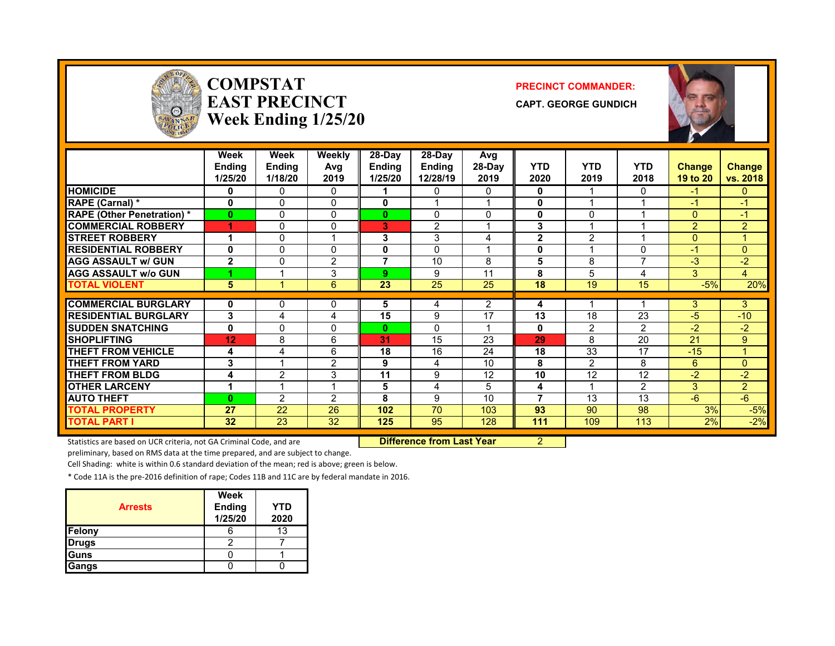

#### **COMPSTATEAST PRECINCTWeek Ending 1/25/20**

#### **PRECINCT COMMANDER:**

**CAPT. GEORGE GUNDICH**



|                                   | Week<br><b>Ending</b><br>1/25/20 | <b>Week</b><br>Ending<br>1/18/20 | <b>Weekly</b><br>Avg<br>2019 | 28-Day<br><b>Ending</b><br>1/25/20 | 28-Day<br>Ending<br>12/28/19 | Avg<br>28-Day<br>2019 | <b>YTD</b><br>2020 | <b>YTD</b><br>2019 | <b>YTD</b><br>2018       | <b>Change</b><br>19 to 20 | <b>Change</b><br>vs. 2018 |
|-----------------------------------|----------------------------------|----------------------------------|------------------------------|------------------------------------|------------------------------|-----------------------|--------------------|--------------------|--------------------------|---------------------------|---------------------------|
| <b>HOMICIDE</b>                   | 0                                | 0                                | 0                            |                                    | 0                            | 0                     | 0                  |                    | 0                        | -1                        | $\mathbf{0}$              |
| RAPE (Carnal) *                   | $\mathbf{0}$                     | 0                                | $\mathbf{0}$                 | 0                                  |                              |                       | $\mathbf{0}$       |                    |                          | -1                        | $\blacktriangleleft$      |
| <b>RAPE (Other Penetration) *</b> | $\bf{0}$                         | 0                                | 0                            | 0                                  | $\Omega$                     | $\Omega$              | $\mathbf 0$        | $\Omega$           |                          | $\Omega$                  | $-1$                      |
| <b>COMMERCIAL ROBBERY</b>         | 4                                | 0                                | 0                            | 3                                  | 2                            |                       | 3                  |                    |                          | $\overline{2}$            | $\overline{2}$            |
| <b>STREET ROBBERY</b>             |                                  | 0                                | 1                            | 3                                  | 3                            | 4                     | $\mathbf{2}$       | $\overline{2}$     |                          | $\Omega$                  | $\blacktriangleleft$      |
| <b>RESIDENTIAL ROBBERY</b>        | 0                                | 0                                | $\mathbf{0}$                 | 0                                  | $\Omega$                     |                       | 0                  |                    | $\Omega$                 | -1                        | $\Omega$                  |
| <b>AGG ASSAULT w/ GUN</b>         | $\mathbf{2}$                     | 0                                | $\overline{2}$               | 7                                  | 10                           | 8                     | 5                  | 8                  | $\overline{\phantom{a}}$ | $-3$                      | $-2$                      |
| <b>AGG ASSAULT w/o GUN</b>        |                                  |                                  | 3                            | 9                                  | 9                            | 11                    | 8                  | 5                  | 4                        | 3                         | 4                         |
| <b>TOTAL VIOLENT</b>              | 5                                |                                  | 6                            | 23                                 | 25                           | 25                    | 18                 | 19                 | 15                       | $-5%$                     | 20%                       |
|                                   |                                  |                                  |                              |                                    |                              |                       |                    |                    |                          |                           |                           |
| <b>COMMERCIAL BURGLARY</b>        | 0                                | 0                                | 0                            | 5                                  | 4                            | $\overline{2}$        | 4                  |                    |                          | 3                         | 3                         |
| <b>RESIDENTIAL BURGLARY</b>       | 3                                | 4                                | 4                            | 15                                 | 9                            | 17                    | 13                 | 18                 | 23                       | $-5$                      | $-10$                     |
| <b>SUDDEN SNATCHING</b>           | 0                                | 0                                | $\mathbf{0}$                 | $\bf{0}$                           | 0                            |                       | 0                  | $\overline{2}$     | $\overline{2}$           | $-2$                      | $-2$                      |
| <b>SHOPLIFTING</b>                | 12                               | 8                                | 6                            | 31                                 | 15                           | 23                    | 29                 | 8                  | 20                       | 21                        | 9                         |
| <b>THEFT FROM VEHICLE</b>         | 4                                | 4                                | 6                            | 18                                 | 16                           | 24                    | 18                 | 33                 | 17                       | $-15$                     | $\blacktriangleleft$      |
| <b>THEFT FROM YARD</b>            | 3                                |                                  | $\overline{2}$               | 9                                  | 4                            | 10                    | 8                  | 2                  | 8                        | 6                         | $\Omega$                  |
| <b>THEFT FROM BLDG</b>            | 4                                | $\overline{2}$                   | 3                            | 11                                 | 9                            | 12                    | 10                 | 12                 | 12                       | $-2$                      | $-2$                      |
| <b>OTHER LARCENY</b>              |                                  |                                  | 1                            | 5                                  | 4                            | 5                     | 4                  |                    | $\overline{2}$           | 3                         | $\overline{2}$            |
| <b>AUTO THEFT</b>                 | $\mathbf{0}$                     | $\mathcal{P}$                    | $\mathfrak{p}$               | 8                                  | 9                            | 10 <sup>1</sup>       | $\overline{7}$     | 13                 | 13                       | $-6$                      | $-6$                      |
| <b>TOTAL PROPERTY</b>             | 27                               | 22                               | 26                           | 102                                | 70                           | 103                   | 93                 | 90                 | 98                       | 3%                        | $-5%$                     |
| <b>TOTAL PART I</b>               | 32 <sub>2</sub>                  | 23                               | 32                           | 125                                | 95                           | 128                   | 111                | 109                | 113                      | 2%                        | $-2%$                     |

Statistics are based on UCR criteria, not GA Criminal Code, and are **Difference from Last Year** 2

preliminary, based on RMS data at the time prepared, and are subject to change.

Cell Shading: white is within 0.6 standard deviation of the mean; red is above; green is below.

| <b>Arrests</b> | Week<br><b>Ending</b><br>1/25/20 | <b>YTD</b><br>2020 |
|----------------|----------------------------------|--------------------|
| <b>Felony</b>  |                                  | 13                 |
| <b>Drugs</b>   |                                  |                    |
| <b>Guns</b>    |                                  |                    |
| Gangs          |                                  |                    |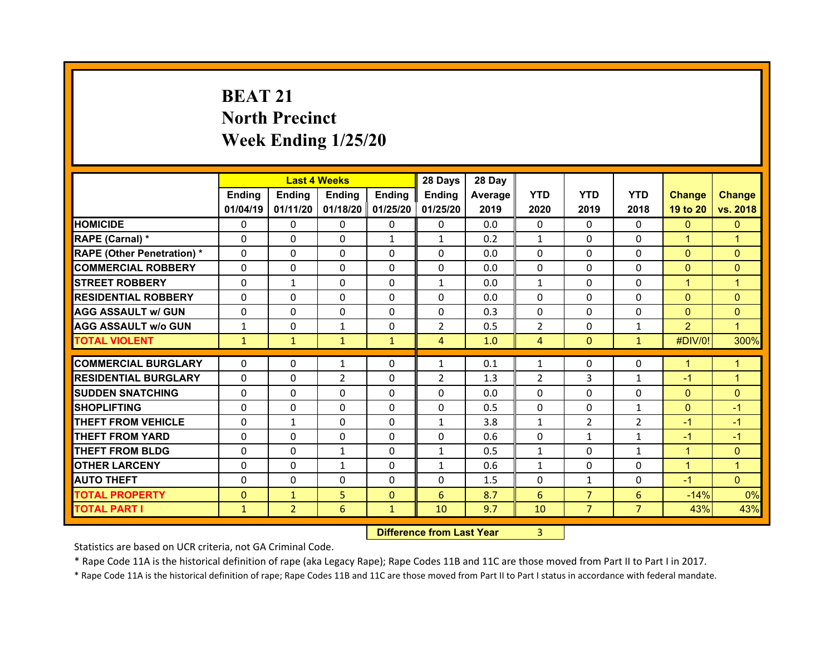## **BEAT 21North Precinct Week Ending 1/25/20**

|                                  |              | <b>Last 4 Weeks</b> |                |              | 28 Days        | 28 Day  |                |                |                |                |                |
|----------------------------------|--------------|---------------------|----------------|--------------|----------------|---------|----------------|----------------|----------------|----------------|----------------|
|                                  | Ending       | Ending              | <b>Ending</b>  | Ending       | <b>Ending</b>  | Average | <b>YTD</b>     | <b>YTD</b>     | <b>YTD</b>     | <b>Change</b>  | <b>Change</b>  |
|                                  | 01/04/19     | 01/11/20            | 01/18/20       | 01/25/20     | 01/25/20       | 2019    | 2020           | 2019           | 2018           | 19 to 20       | vs. 2018       |
| <b>HOMICIDE</b>                  | $\mathbf{0}$ | $\Omega$            | 0              | $\mathbf{0}$ | 0              | 0.0     | $\Omega$       | $\Omega$       | $\Omega$       | $\mathbf{0}$   | $\mathbf{0}$   |
| RAPE (Carnal) *                  | $\Omega$     | $\Omega$            | $\mathbf{0}$   | $\mathbf{1}$ | $\mathbf{1}$   | 0.2     | $\mathbf{1}$   | $\Omega$       | $\Omega$       | $\mathbf{1}$   | 1              |
| <b>RAPE (Other Penetration)*</b> | $\Omega$     | $\Omega$            | $\Omega$       | $\Omega$     | $\Omega$       | 0.0     | $\Omega$       | $\Omega$       | $\Omega$       | $\overline{0}$ | $\Omega$       |
| <b>COMMERCIAL ROBBERY</b>        | 0            | 0                   | $\mathbf{0}$   | $\mathbf{0}$ | 0              | 0.0     | 0              | $\Omega$       | $\Omega$       | $\mathbf{0}$   | $\mathbf{0}$   |
| <b>STREET ROBBERY</b>            | $\Omega$     | $\mathbf{1}$        | $\mathbf{0}$   | $\Omega$     | $\mathbf{1}$   | 0.0     | $\mathbf{1}$   | $\Omega$       | $\Omega$       | $\mathbf{1}$   | $\overline{1}$ |
| <b>RESIDENTIAL ROBBERY</b>       | $\Omega$     | $\Omega$            | $\mathbf{0}$   | $\Omega$     | $\Omega$       | 0.0     | $\Omega$       | $\Omega$       | $\Omega$       | $\Omega$       | $\Omega$       |
| <b>AGG ASSAULT w/ GUN</b>        | 0            | $\Omega$            | $\Omega$       | $\Omega$     | $\Omega$       | 0.3     | $\Omega$       | $\Omega$       | $\Omega$       | $\mathbf{0}$   | $\Omega$       |
| <b>AGG ASSAULT w/o GUN</b>       | $\mathbf{1}$ | 0                   | $\mathbf{1}$   | 0            | $\overline{2}$ | 0.5     | $\overline{2}$ | $\mathbf{0}$   | $\mathbf{1}$   | $\overline{2}$ | $\overline{1}$ |
| <b>TOTAL VIOLENT</b>             | $\mathbf{1}$ | $\mathbf{1}$        | $\mathbf{1}$   | $\mathbf{1}$ | $\overline{4}$ | 1.0     | $\overline{4}$ | $\mathbf{0}$   | $\mathbf{1}$   | #DIV/0!        | 300%           |
|                                  |              |                     |                |              |                |         |                |                |                |                |                |
| <b>COMMERCIAL BURGLARY</b>       | 0            | 0                   | $\mathbf{1}$   | 0            | $\mathbf{1}$   | 0.1     | $\mathbf{1}$   | $\mathbf{0}$   | 0              | 1              | 1              |
| <b>RESIDENTIAL BURGLARY</b>      | 0            | 0                   | $\overline{2}$ | 0            | $\overline{2}$ | 1.3     | $\overline{2}$ | 3              | 1              | $-1$           | 1              |
| <b>SUDDEN SNATCHING</b>          | 0            | 0                   | 0              | 0            | 0              | 0.0     | $\Omega$       | $\Omega$       | 0              | $\overline{0}$ | $\mathbf{0}$   |
| <b>SHOPLIFTING</b>               | 0            | 0                   | $\Omega$       | $\Omega$     | $\Omega$       | 0.5     | $\Omega$       | $\mathbf{0}$   | $\mathbf{1}$   | $\mathbf{0}$   | $-1$           |
| <b>THEFT FROM VEHICLE</b>        | 0            | $\mathbf{1}$        | $\Omega$       | $\Omega$     | $\mathbf{1}$   | 3.8     | $\mathbf{1}$   | $\overline{2}$ | $\overline{2}$ | $-1$           | $-1$           |
| <b>THEFT FROM YARD</b>           | 0            | 0                   | 0              | 0            | 0              | 0.6     | $\Omega$       | 1              | 1              | -1             | $-1$           |
| <b>THEFT FROM BLDG</b>           | 0            | $\Omega$            | $\mathbf{1}$   | $\Omega$     | $\mathbf{1}$   | 0.5     | $\mathbf{1}$   | $\Omega$       | $\mathbf{1}$   | $\mathbf{1}$   | $\Omega$       |
| <b>OTHER LARCENY</b>             | 0            | 0                   | $\mathbf{1}$   | $\Omega$     | $\mathbf{1}$   | 0.6     | $\mathbf{1}$   | $\Omega$       | $\Omega$       | $\mathbf{1}$   | 1              |
| <b>AUTO THEFT</b>                | 0            | $\Omega$            | $\Omega$       | $\Omega$     | $\Omega$       | 1.5     | 0              | $\mathbf{1}$   | $\Omega$       | $-1$           | $\mathbf{0}$   |
| <b>TOTAL PROPERTY</b>            | $\mathbf{0}$ | $\mathbf{1}$        | 5              | $\mathbf{0}$ | 6              | 8.7     | 6              | $\overline{7}$ | 6              | $-14%$         | 0%             |
| <b>TOTAL PART I</b>              | $\mathbf{1}$ | $\overline{2}$      | 6              | $\mathbf{1}$ | 10             | 9.7     | 10             | $\overline{7}$ | $\overline{7}$ | 43%            | 43%            |
|                                  |              |                     |                |              |                |         |                |                |                |                |                |

 **Difference from Last Year**r 3

Statistics are based on UCR criteria, not GA Criminal Code.

\* Rape Code 11A is the historical definition of rape (aka Legacy Rape); Rape Codes 11B and 11C are those moved from Part II to Part I in 2017.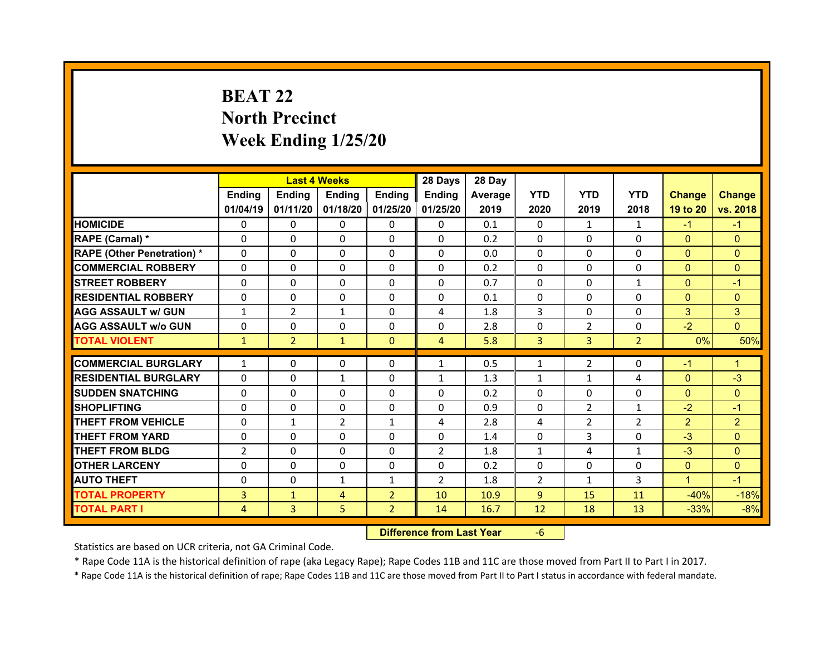## **BEAT 22North Precinct Week Ending 1/25/20**

|                                              |                |                   | <b>Last 4 Weeks</b> |                                  | 28 Days        | 28 Day       |                |                |                |                                |                 |
|----------------------------------------------|----------------|-------------------|---------------------|----------------------------------|----------------|--------------|----------------|----------------|----------------|--------------------------------|-----------------|
|                                              | Ending         | Ending            | Ending              | <b>Ending</b>                    | Ending         | Average      | <b>YTD</b>     | <b>YTD</b>     | <b>YTD</b>     | <b>Change</b>                  | <b>Change</b>   |
|                                              | 01/04/19       | 01/11/20          |                     | 01/18/20 01/25/20                | 01/25/20       | 2019         | 2020           | 2019           | 2018           | 19 to 20                       | vs. 2018        |
| <b>HOMICIDE</b>                              | $\Omega$       | $\mathbf{0}$      | 0                   | $\mathbf{0}$                     | 0              | 0.1          | 0              | $\mathbf{1}$   | $\mathbf{1}$   | $-1$                           | $-1$            |
| RAPE (Carnal) *                              | $\Omega$       | $\Omega$          | $\Omega$            | $\Omega$                         | $\Omega$       | 0.2          | $\Omega$       | $\Omega$       | $\Omega$       | $\Omega$                       | $\mathbf{0}$    |
| <b>RAPE (Other Penetration)*</b>             | $\Omega$       | $\Omega$          | $\mathbf{0}$        | $\Omega$                         | 0              | 0.0          | $\Omega$       | $\Omega$       | $\Omega$       | $\overline{0}$                 | $\Omega$        |
| <b>COMMERCIAL ROBBERY</b>                    | $\Omega$       | 0                 | $\mathbf{0}$        | $\mathbf{0}$                     | 0              | 0.2          | $\Omega$       | $\Omega$       | $\Omega$       | $\mathbf{0}$                   | $\mathbf{0}$    |
| <b>STREET ROBBERY</b>                        | $\Omega$       | $\Omega$          | $\mathbf{0}$        | $\Omega$                         | $\Omega$       | 0.7          | $\Omega$       | $\Omega$       | $\mathbf{1}$   | $\overline{0}$                 | $-1$            |
| <b>RESIDENTIAL ROBBERY</b>                   | $\Omega$       | $\Omega$          | $\mathbf{0}$        | $\Omega$                         | 0              | 0.1          | $\Omega$       | $\Omega$       | $\Omega$       | $\overline{0}$                 | $\Omega$        |
| <b>AGG ASSAULT w/ GUN</b>                    | $\mathbf{1}$   | $\overline{2}$    | $\mathbf{1}$        | $\Omega$                         | 4              | 1.8          | 3              | $\Omega$       | $\Omega$       | 3                              | 3               |
| <b>AGG ASSAULT w/o GUN</b>                   | 0              | 0                 | $\mathbf 0$         | $\mathbf 0$                      | 0              | 2.8          | $\Omega$       | $\overline{2}$ | $\Omega$       | $-2$                           | $\overline{0}$  |
| <b>TOTAL VIOLENT</b>                         | $\mathbf{1}$   | $\overline{2}$    | $\mathbf{1}$        | $\mathbf{0}$                     | $\overline{4}$ | 5.8          | 3              | $\overline{3}$ | $\overline{2}$ | 0%                             | 50%             |
|                                              |                |                   |                     |                                  |                |              |                |                |                |                                |                 |
|                                              |                |                   |                     |                                  |                |              |                |                |                |                                |                 |
| <b>COMMERCIAL BURGLARY</b>                   | $\mathbf{1}$   | 0                 | 0                   | $\mathbf{0}$                     | $\mathbf{1}$   | 0.5          | 1              | $\overline{2}$ | $\Omega$       | $-1$                           | 1               |
| <b>RESIDENTIAL BURGLARY</b>                  | 0              | $\Omega$          | $\mathbf{1}$        | $\Omega$                         | $\mathbf{1}$   | 1.3          | $\mathbf{1}$   | $\mathbf{1}$   | 4              | $\overline{0}$                 | $-3$            |
| <b>SUDDEN SNATCHING</b>                      | $\Omega$       | $\Omega$          | $\mathbf{0}$        | $\Omega$                         | $\Omega$       | 0.2          | $\Omega$       | $\Omega$       | $\Omega$       | $\overline{0}$                 | $\Omega$        |
| <b>SHOPLIFTING</b>                           | $\Omega$       | $\Omega$          | $\Omega$            | $\Omega$                         | 0              | 0.9          | $\Omega$       | $\overline{2}$ | $\mathbf{1}$   | $-2$                           | $-1$            |
| <b>THEFT FROM VEHICLE</b>                    | $\Omega$       | $\mathbf{1}$      | 2                   | $\mathbf{1}$                     | 4              | 2.8          | 4              | $\overline{2}$ | $\overline{2}$ | $\overline{2}$                 | $\overline{2}$  |
| <b>THEFT FROM YARD</b>                       | $\mathbf{0}$   | $\Omega$          | $\mathbf{0}$        | $\Omega$                         | 0              | 1.4          | 0              | 3              | $\Omega$       | $-3$                           | $\Omega$        |
| <b>THEFT FROM BLDG</b>                       | $\overline{2}$ | $\Omega$          | $\mathbf{0}$        | $\Omega$                         | $\overline{2}$ | 1.8          | $\mathbf{1}$   | 4              | $\mathbf{1}$   | $-3$                           | $\Omega$        |
| <b>OTHER LARCENY</b>                         | $\mathbf 0$    | 0                 | $\mathbf 0$         | $\mathbf 0$                      | 0              | 0.2          | $\Omega$       | $\Omega$       | $\Omega$       | $\overline{0}$<br>$\mathbf{1}$ | $\overline{0}$  |
| <b>AUTO THEFT</b>                            | $\mathbf{0}$   | $\Omega$          | $\mathbf{1}$        | $\mathbf{1}$                     | $\overline{2}$ | 1.8          | $\overline{2}$ | $\mathbf{1}$   | 3              |                                | $-1$            |
| <b>TOTAL PROPERTY</b><br><b>TOTAL PART I</b> | 3<br>4         | $\mathbf{1}$<br>3 | 4<br>5              | $\overline{2}$<br>2 <sup>1</sup> | 10<br>14       | 10.9<br>16.7 | 9<br>12        | 15<br>18       | 11<br>13       | $-40%$<br>$-33%$               | $-18%$<br>$-8%$ |

 **Difference from Last Year**‐6

Statistics are based on UCR criteria, not GA Criminal Code.

\* Rape Code 11A is the historical definition of rape (aka Legacy Rape); Rape Codes 11B and 11C are those moved from Part II to Part I in 2017.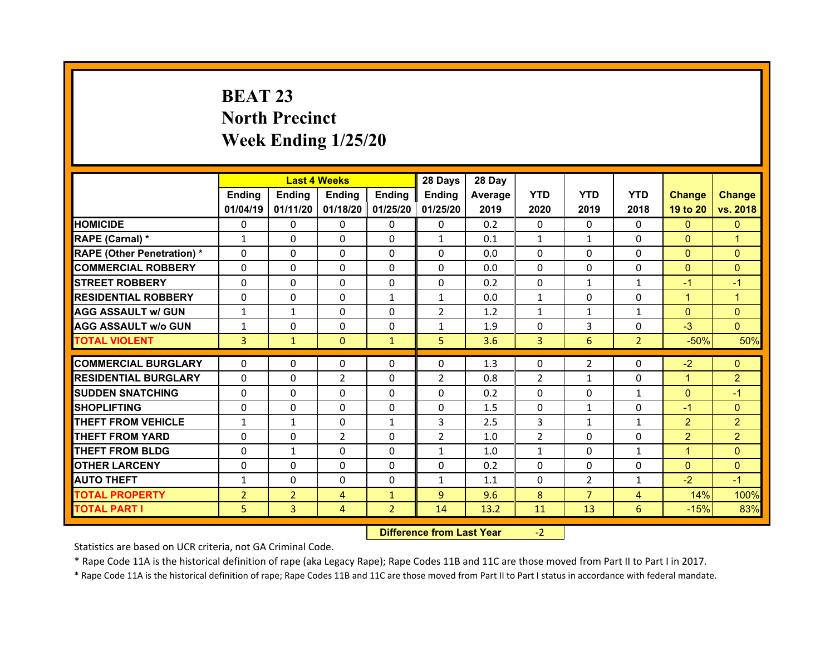## **BEAT 23 North Precinct Week Ending 1/25/20**

|                                  |                | <b>Last 4 Weeks</b> |                |                   | 28 Days        | 28 Day  |              |                |                |                |                |
|----------------------------------|----------------|---------------------|----------------|-------------------|----------------|---------|--------------|----------------|----------------|----------------|----------------|
|                                  | Ending         | Ending              | Ending         | <b>Ending</b>     | Ending         | Average | <b>YTD</b>   | <b>YTD</b>     | <b>YTD</b>     | <b>Change</b>  | <b>Change</b>  |
|                                  | 01/04/19       | 01/11/20            |                | 01/18/20 01/25/20 | 01/25/20       | 2019    | 2020         | 2019           | 2018           | 19 to 20       | vs. 2018       |
| <b>HOMICIDE</b>                  | $\Omega$       | 0                   | $\Omega$       | $\Omega$          | 0              | 0.2     | $\Omega$     | $\Omega$       | $\Omega$       | $\mathbf{0}$   | $\mathbf{0}$   |
| RAPE (Carnal) *                  | $\mathbf{1}$   | 0                   | $\mathbf{0}$   | $\Omega$          | $\mathbf{1}$   | 0.1     | $\mathbf{1}$ | $\mathbf{1}$   | $\Omega$       | $\mathbf{0}$   | 1              |
| <b>RAPE (Other Penetration)*</b> | 0              | $\Omega$            | $\Omega$       | $\Omega$          | $\Omega$       | 0.0     | $\Omega$     | $\Omega$       | $\Omega$       | $\overline{0}$ | $\Omega$       |
| <b>COMMERCIAL ROBBERY</b>        | $\Omega$       | 0                   | $\Omega$       | $\Omega$          | 0              | 0.0     | $\Omega$     | $\Omega$       | $\Omega$       | $\mathbf{0}$   | $\Omega$       |
| <b>STREET ROBBERY</b>            | $\Omega$       | $\Omega$            | $\mathbf{0}$   | $\Omega$          | $\Omega$       | 0.2     | $\Omega$     | $\mathbf{1}$   | $\mathbf{1}$   | $-1$           | $-1$           |
| <b>RESIDENTIAL ROBBERY</b>       | $\Omega$       | $\Omega$            | $\mathbf{0}$   | $\mathbf{1}$      | $\mathbf{1}$   | 0.0     | $\mathbf{1}$ | $\Omega$       | $\Omega$       | $\mathbf{1}$   | $\mathbf{1}$   |
| <b>AGG ASSAULT w/ GUN</b>        | $\mathbf{1}$   | $\mathbf{1}$        | $\Omega$       | $\Omega$          | $\overline{2}$ | 1.2     | $\mathbf{1}$ | $\mathbf{1}$   | $\mathbf{1}$   | $\mathbf{0}$   | $\Omega$       |
| <b>AGG ASSAULT w/o GUN</b>       | $\mathbf{1}$   | $\Omega$            | $\mathbf{0}$   | $\Omega$          | $\mathbf{1}$   | 1.9     | $\Omega$     | 3              | $\Omega$       | $-3$           | $\Omega$       |
| <b>TOTAL VIOLENT</b>             | 3              | $\mathbf{1}$        | $\mathbf{0}$   | $\mathbf{1}$      | 5              | 3.6     | 3            | 6              | $\overline{2}$ | $-50%$         | 50%            |
| <b>COMMERCIAL BURGLARY</b>       | 0              | 0                   | 0              | 0                 | 0              | 1.3     | 0            | $\overline{2}$ | 0              | $-2$           | $\mathbf{0}$   |
|                                  | $\Omega$       |                     |                |                   |                |         |              |                | $\Omega$       |                |                |
| <b>RESIDENTIAL BURGLARY</b>      |                | 0                   | $\overline{2}$ | $\Omega$          | 2              | 0.8     | 2            | 1              |                | $\mathbf{1}$   | $\overline{2}$ |
| <b>SUDDEN SNATCHING</b>          | 0              | $\Omega$            | $\mathbf{0}$   | $\Omega$          | 0              | 0.2     | $\Omega$     | $\Omega$       | $\mathbf{1}$   | $\mathbf{0}$   | $-1$           |
| <b>SHOPLIFTING</b>               | 0              | $\Omega$            | 0              | $\Omega$          | 0              | 1.5     | 0            | $\mathbf{1}$   | $\Omega$       | $-1$           | $\Omega$       |
| <b>THEFT FROM VEHICLE</b>        | $\mathbf{1}$   | $\mathbf{1}$        | 0              | $\mathbf{1}$      | 3              | 2.5     | 3            | $\mathbf{1}$   | $\mathbf{1}$   | $\overline{2}$ | $\overline{2}$ |
| <b>THEFT FROM YARD</b>           | 0              | $\Omega$            | 2              | $\Omega$          | $\overline{2}$ | 1.0     | 2            | $\Omega$       | $\Omega$       | $\overline{2}$ | $\overline{2}$ |
| <b>THEFT FROM BLDG</b>           | $\mathbf{0}$   | $\mathbf{1}$        | $\mathbf{0}$   | $\Omega$          | $\mathbf{1}$   | 1.0     | $\mathbf{1}$ | $\Omega$       | $\mathbf{1}$   | $\mathbf{1}$   | $\Omega$       |
|                                  |                |                     | $\Omega$       | $\Omega$          | $\Omega$       | 0.2     | $\Omega$     | $\Omega$       | $\Omega$       | $\overline{0}$ | $\Omega$       |
| <b>OTHER LARCENY</b>             | $\Omega$       | 0                   |                |                   |                |         |              |                |                |                |                |
| <b>AUTO THEFT</b>                | $\mathbf{1}$   | 0                   | 0              | $\Omega$          | $\mathbf{1}$   | 1.1     | $\Omega$     | $\overline{2}$ | $\mathbf{1}$   | $-2$           | $-1$           |
| <b>TOTAL PROPERTY</b>            | $\overline{2}$ | $\overline{2}$      | 4              | $\mathbf{1}$      | $\overline{9}$ | 9.6     | 8            | $\overline{7}$ | 4              | 14%            | 100%           |
| <b>TOTAL PART I</b>              | 5              | 3                   | 4              | $\overline{2}$    | 14             | 13.2    | 11           | 13             | 6              | $-15%$         | 83%            |

 **Difference from Last Year**r - 2

Statistics are based on UCR criteria, not GA Criminal Code.

\* Rape Code 11A is the historical definition of rape (aka Legacy Rape); Rape Codes 11B and 11C are those moved from Part II to Part I in 2017.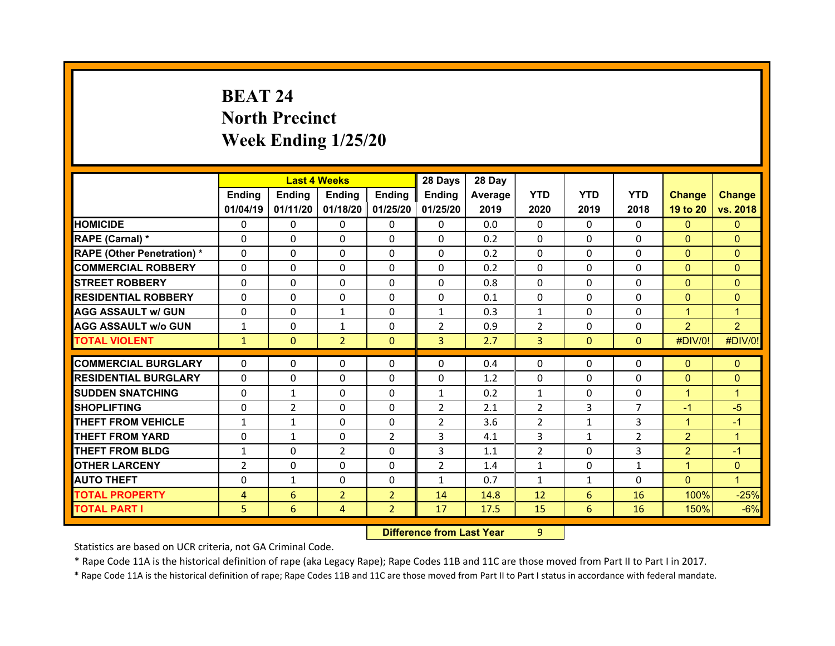## **BEAT 24North Precinct Week Ending 1/25/20**

|                                  |                | <b>Last 4 Weeks</b> |                |                   | 28 Days        | 28 Day  |                |              |                |                |                |
|----------------------------------|----------------|---------------------|----------------|-------------------|----------------|---------|----------------|--------------|----------------|----------------|----------------|
|                                  | Ending         | <b>Ending</b>       | Ending         | <b>Ending</b>     | Ending         | Average | <b>YTD</b>     | <b>YTD</b>   | <b>YTD</b>     | <b>Change</b>  | <b>Change</b>  |
|                                  | 01/04/19       | 01/11/20            |                | 01/18/20 01/25/20 | 01/25/20       | 2019    | 2020           | 2019         | 2018           | 19 to 20       | vs. 2018       |
| <b>HOMICIDE</b>                  | $\Omega$       | 0                   | $\Omega$       | $\Omega$          | 0              | 0.0     | $\Omega$       | $\Omega$     | $\Omega$       | $\mathbf{0}$   | $\mathbf{0}$   |
| RAPE (Carnal) *                  | 0              | 0                   | $\mathbf{0}$   | $\Omega$          | 0              | 0.2     | $\Omega$       | $\Omega$     | $\Omega$       | $\mathbf{0}$   | $\Omega$       |
| <b>RAPE (Other Penetration)*</b> | 0              | $\Omega$            | $\Omega$       | $\Omega$          | 0              | 0.2     | $\Omega$       | $\Omega$     | $\Omega$       | $\overline{0}$ | $\Omega$       |
| <b>COMMERCIAL ROBBERY</b>        | $\Omega$       | 0                   | $\Omega$       | $\Omega$          | 0              | 0.2     | $\Omega$       | $\Omega$     | $\Omega$       | $\mathbf{0}$   | $\Omega$       |
| <b>STREET ROBBERY</b>            | $\Omega$       | $\Omega$            | $\mathbf{0}$   | $\Omega$          | 0              | 0.8     | $\Omega$       | $\Omega$     | $\Omega$       | $\overline{0}$ | $\Omega$       |
| <b>RESIDENTIAL ROBBERY</b>       | $\Omega$       | $\Omega$            | $\mathbf{0}$   | $\Omega$          | $\Omega$       | 0.1     | $\Omega$       | $\Omega$     | $\Omega$       | $\Omega$       | $\Omega$       |
| <b>AGG ASSAULT w/ GUN</b>        | $\Omega$       | 0                   | $\mathbf{1}$   | $\Omega$          | $\mathbf{1}$   | 0.3     | $\mathbf{1}$   | $\Omega$     | $\Omega$       | $\mathbf{1}$   | 1              |
| <b>AGG ASSAULT w/o GUN</b>       | $\mathbf{1}$   | $\Omega$            | $\mathbf{1}$   | $\Omega$          | $\overline{2}$ | 0.9     | $\overline{2}$ | $\Omega$     | $\Omega$       | $\overline{2}$ | $\overline{2}$ |
| <b>TOTAL VIOLENT</b>             | $\mathbf{1}$   | $\mathbf{0}$        | $\overline{2}$ | $\mathbf{0}$      | $\overline{3}$ | 2.7     | 3              | $\mathbf{0}$ | $\Omega$       | #DIV/0!        | #DIV/0!        |
| <b>COMMERCIAL BURGLARY</b>       |                |                     |                |                   |                |         |                | $\Omega$     |                |                |                |
|                                  | 0<br>$\Omega$  | 0                   | 0              | 0                 | 0              | 0.4     | 0              |              | 0<br>$\Omega$  | $\mathbf{0}$   | $\mathbf{0}$   |
| <b>RESIDENTIAL BURGLARY</b>      |                | $\Omega$            | 0              | $\Omega$          | 0              | 1.2     | 0              | $\Omega$     |                | $\overline{0}$ | $\mathbf{0}$   |
| <b>SUDDEN SNATCHING</b>          | 0              | $\mathbf{1}$        | $\mathbf{0}$   | $\Omega$          | $\mathbf{1}$   | 0.2     | $\mathbf{1}$   | $\Omega$     | $\Omega$       | $\mathbf{1}$   | 1              |
| <b>SHOPLIFTING</b>               | 0              | $\overline{2}$      | 0              | $\Omega$          | $\overline{2}$ | 2.1     | 2              | 3            | $\overline{7}$ | $-1$           | $-5$           |
| <b>THEFT FROM VEHICLE</b>        | $\mathbf{1}$   | $\mathbf{1}$        | 0              | $\Omega$          | $\overline{2}$ | 3.6     | 2              | $\mathbf{1}$ | 3              | $\mathbf{1}$   | $-1$           |
| <b>THEFT FROM YARD</b>           | 0              | $\mathbf{1}$        | 0              | $\overline{2}$    | 3              | 4.1     | 3              | $\mathbf{1}$ | $\overline{2}$ | $\overline{2}$ | 1              |
| <b>THEFT FROM BLDG</b>           | $\mathbf{1}$   | 0                   | 2              | $\Omega$          | 3              | 1.1     | 2              | $\Omega$     | 3              | $\overline{2}$ | $-1$           |
| <b>OTHER LARCENY</b>             | $\overline{2}$ | 0                   | $\Omega$       | $\Omega$          | $\overline{2}$ | 1.4     | $\mathbf{1}$   | $\Omega$     | $\mathbf{1}$   | $\mathbf{1}$   | $\Omega$       |
|                                  |                |                     |                |                   |                |         |                |              |                |                |                |
| <b>AUTO THEFT</b>                | 0              | $\mathbf{1}$        | $\mathbf{0}$   | $\Omega$          | $\mathbf{1}$   | 0.7     | $\mathbf{1}$   | $\mathbf{1}$ | $\Omega$       | $\Omega$       | $\mathbf{1}$   |
| <b>TOTAL PROPERTY</b>            | 4              | 6                   | $\overline{2}$ | $\overline{2}$    | 14             | 14.8    | 12             | 6            | 16             | 100%           | $-25%$         |
| <b>TOTAL PART I</b>              | 5              | 6                   | 4              | $\overline{2}$    | 17             | 17.5    | 15             | 6            | 16             | 150%           | $-6%$          |

 **Difference from Last Year**r 9

Statistics are based on UCR criteria, not GA Criminal Code.

\* Rape Code 11A is the historical definition of rape (aka Legacy Rape); Rape Codes 11B and 11C are those moved from Part II to Part I in 2017.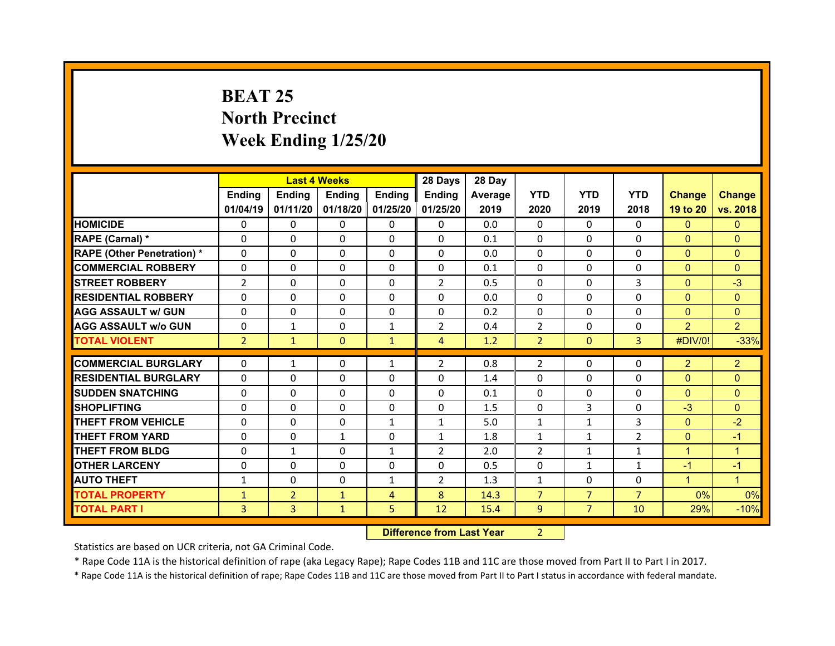## **BEAT 25 North Precinct Week Ending 1/25/20**

|                                  |                | <b>Last 4 Weeks</b> |               |                | 28 Days        | 28 Day  |                |                |                |                |                |
|----------------------------------|----------------|---------------------|---------------|----------------|----------------|---------|----------------|----------------|----------------|----------------|----------------|
|                                  | Ending         | Ending              | <b>Ending</b> | Ending         | <b>Ending</b>  | Average | <b>YTD</b>     | <b>YTD</b>     | <b>YTD</b>     | <b>Change</b>  | <b>Change</b>  |
|                                  | 01/04/19       | 01/11/20            | 01/18/20      | 01/25/20       | 01/25/20       | 2019    | 2020           | 2019           | 2018           | 19 to 20       | vs. 2018       |
| <b>HOMICIDE</b>                  | $\mathbf{0}$   | $\Omega$            | 0             | $\mathbf{0}$   | 0              | 0.0     | $\Omega$       | $\Omega$       | $\Omega$       | $\mathbf{0}$   | $\mathbf{0}$   |
| RAPE (Carnal) *                  | $\Omega$       | $\Omega$            | $\mathbf{0}$  | $\Omega$       | $\Omega$       | 0.1     | $\Omega$       | $\Omega$       | $\Omega$       | $\overline{0}$ | $\Omega$       |
| <b>RAPE (Other Penetration)*</b> | $\Omega$       | $\Omega$            | $\Omega$      | $\Omega$       | $\Omega$       | 0.0     | $\Omega$       | $\Omega$       | $\Omega$       | $\overline{0}$ | $\Omega$       |
| <b>COMMERCIAL ROBBERY</b>        | 0              | 0                   | $\mathbf{0}$  | $\mathbf{0}$   | 0              | 0.1     | $\Omega$       | $\Omega$       | $\Omega$       | $\mathbf{0}$   | $\Omega$       |
| <b>STREET ROBBERY</b>            | $\overline{2}$ | $\Omega$            | $\mathbf{0}$  | $\Omega$       | $\overline{2}$ | 0.5     | $\Omega$       | $\Omega$       | 3              | $\mathbf{0}$   | $-3$           |
| <b>RESIDENTIAL ROBBERY</b>       | $\Omega$       | $\Omega$            | $\mathbf{0}$  | $\Omega$       | $\Omega$       | 0.0     | $\Omega$       | $\Omega$       | $\Omega$       | $\Omega$       | $\Omega$       |
| <b>AGG ASSAULT w/ GUN</b>        | 0              | $\Omega$            | $\Omega$      | $\Omega$       | $\Omega$       | 0.2     | $\Omega$       | $\Omega$       | $\Omega$       | $\overline{0}$ | $\Omega$       |
| <b>AGG ASSAULT w/o GUN</b>       | 0              | $\mathbf{1}$        | 0             | $\mathbf{1}$   | $\overline{2}$ | 0.4     | $\overline{2}$ | $\Omega$       | $\Omega$       | $\overline{2}$ | $\overline{2}$ |
| <b>TOTAL VIOLENT</b>             | $\overline{2}$ | $\mathbf{1}$        | $\mathbf{0}$  | $\mathbf{1}$   | $\overline{4}$ | 1.2     | $\overline{2}$ | $\mathbf{0}$   | 3              | #DIV/0!        | $-33%$         |
|                                  |                |                     |               |                |                |         |                |                |                |                |                |
| <b>COMMERCIAL BURGLARY</b>       | 0              | $\mathbf{1}$        | 0             | $\mathbf{1}$   | $\overline{2}$ | 0.8     | $\overline{2}$ | $\mathbf{0}$   | $\Omega$       | $\overline{2}$ | $\overline{2}$ |
| <b>RESIDENTIAL BURGLARY</b>      | 0              | 0                   | 0             | 0              | 0              | 1.4     | $\Omega$       | $\Omega$       | $\Omega$       | $\mathbf{0}$   | $\Omega$       |
| <b>SUDDEN SNATCHING</b>          | 0              | 0                   | 0             | 0              | 0              | 0.1     | $\Omega$       | $\Omega$       | $\Omega$       | $\mathbf{0}$   | $\mathbf{0}$   |
| <b>SHOPLIFTING</b>               | 0              | 0                   | $\Omega$      | 0              | 0              | 1.5     | $\Omega$       | 3              | $\Omega$       | $-3$           | $\Omega$       |
| <b>THEFT FROM VEHICLE</b>        | 0              | 0                   | 0             | $\mathbf{1}$   | $\mathbf{1}$   | 5.0     | $\mathbf{1}$   | $\mathbf{1}$   | 3              | $\overline{0}$ | $-2$           |
| <b>THEFT FROM YARD</b>           | 0              | 0                   | $\mathbf{1}$  | 0              | $\mathbf{1}$   | 1.8     | $\mathbf{1}$   | 1              | $\overline{2}$ | $\mathbf{0}$   | $-1$           |
| <b>THEFT FROM BLDG</b>           | 0              | $\mathbf{1}$        | $\Omega$      | $\mathbf{1}$   | $\overline{2}$ | 2.0     | $\overline{2}$ | $\mathbf{1}$   | $\mathbf{1}$   | $\mathbf{1}$   | 1              |
| <b>OTHER LARCENY</b>             | 0              | $\Omega$            | $\Omega$      | $\Omega$       | 0              | 0.5     | $\Omega$       | $\mathbf{1}$   | $\mathbf{1}$   | $-1$           | $-1$           |
| <b>AUTO THEFT</b>                | $\mathbf{1}$   | $\Omega$            | $\Omega$      | $\mathbf{1}$   | $\overline{2}$ | 1.3     | $\mathbf{1}$   | $\Omega$       | $\Omega$       | $\mathbf{1}$   | $\overline{1}$ |
| <b>TOTAL PROPERTY</b>            | $\mathbf{1}$   | $\overline{2}$      | $\mathbf{1}$  | $\overline{4}$ | 8              | 14.3    | $\overline{7}$ | $\overline{7}$ | $\overline{7}$ | 0%             | 0%             |
| <b>TOTAL PART I</b>              | 3              | $\overline{3}$      | $\mathbf{1}$  | 5              | 12             | 15.4    | 9              | $\overline{7}$ | 10             | 29%            | $-10%$         |
|                                  |                |                     |               |                |                |         |                |                |                |                |                |

 **Difference from Last Year**r 2

Statistics are based on UCR criteria, not GA Criminal Code.

\* Rape Code 11A is the historical definition of rape (aka Legacy Rape); Rape Codes 11B and 11C are those moved from Part II to Part I in 2017.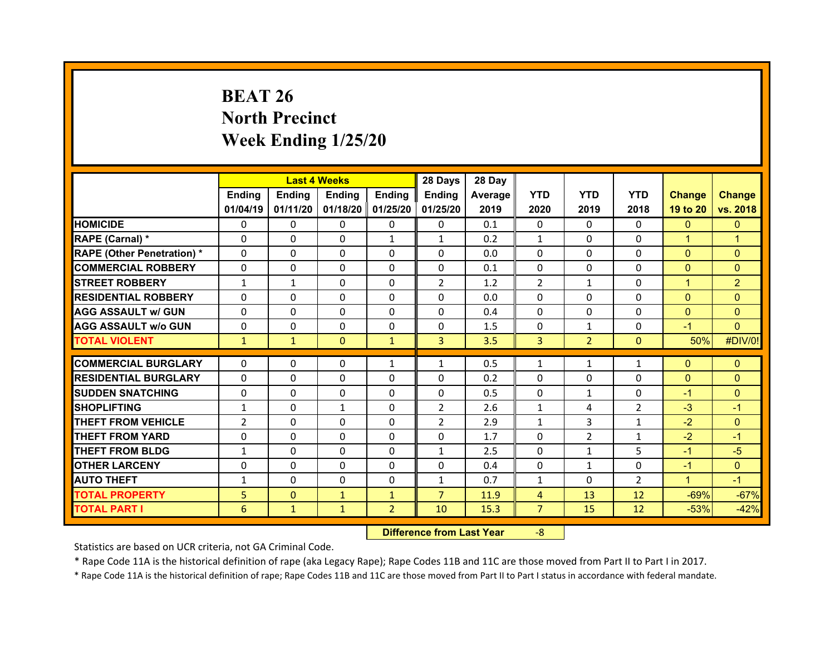## **BEAT 26 North Precinct Week Ending 1/25/20**

|                                   |                | <b>Last 4 Weeks</b> |               |                   | 28 Days        | 28 Day  |                |                |                |                |                |
|-----------------------------------|----------------|---------------------|---------------|-------------------|----------------|---------|----------------|----------------|----------------|----------------|----------------|
|                                   | Ending         | <b>Ending</b>       | <b>Ending</b> | Ending            | <b>Ending</b>  | Average | <b>YTD</b>     | <b>YTD</b>     | <b>YTD</b>     | <b>Change</b>  | <b>Change</b>  |
|                                   | 01/04/19       | 01/11/20            |               | 01/18/20 01/25/20 | 01/25/20       | 2019    | 2020           | 2019           | 2018           | 19 to 20       | vs. 2018       |
| <b>HOMICIDE</b>                   | $\Omega$       | $\Omega$            | 0             | $\mathbf{0}$      | 0              | 0.1     | $\Omega$       | $\Omega$       | $\Omega$       | $\mathbf{0}$   | $\mathbf{0}$   |
| RAPE (Carnal) *                   | $\Omega$       | $\Omega$            | $\Omega$      | $\mathbf{1}$      | $\mathbf{1}$   | 0.2     | $\mathbf{1}$   | $\Omega$       | $\Omega$       | $\mathbf{1}$   | 1              |
| <b>RAPE (Other Penetration) *</b> | $\Omega$       | $\Omega$            | $\mathbf{0}$  | $\Omega$          | $\Omega$       | 0.0     | $\Omega$       | $\Omega$       | $\Omega$       | $\overline{0}$ | $\Omega$       |
| <b>COMMERCIAL ROBBERY</b>         | $\Omega$       | $\Omega$            | $\mathbf{0}$  | $\Omega$          | $\Omega$       | 0.1     | 0              | $\Omega$       | $\Omega$       | $\mathbf{0}$   | $\Omega$       |
| <b>STREET ROBBERY</b>             | $\mathbf{1}$   | $\mathbf{1}$        | $\Omega$      | $\Omega$          | $\overline{2}$ | 1.2     | $\overline{2}$ | $\mathbf{1}$   | $\Omega$       | $\mathbf{1}$   | $\overline{2}$ |
| <b>RESIDENTIAL ROBBERY</b>        | $\Omega$       | $\Omega$            | $\mathbf{0}$  | $\Omega$          | $\Omega$       | 0.0     | $\Omega$       | $\Omega$       | $\Omega$       | $\overline{0}$ | $\Omega$       |
| <b>AGG ASSAULT w/ GUN</b>         | $\Omega$       | $\Omega$            | $\mathbf{0}$  | $\Omega$          | $\Omega$       | 0.4     | $\Omega$       | $\Omega$       | $\Omega$       | $\overline{0}$ | $\Omega$       |
| <b>AGG ASSAULT w/o GUN</b>        | $\Omega$       | $\Omega$            | $\Omega$      | $\Omega$          | $\Omega$       | 1.5     | $\Omega$       | $\mathbf{1}$   | $\Omega$       | $-1$           | $\Omega$       |
| <b>TOTAL VIOLENT</b>              | $\mathbf{1}$   | $\mathbf{1}$        | $\mathbf{0}$  | $\mathbf{1}$      | 3              | 3.5     | 3              | 2 <sup>1</sup> | $\mathbf{0}$   | 50%            | #DIV/0!        |
| <b>COMMERCIAL BURGLARY</b>        | $\Omega$       |                     |               |                   |                | 0.5     |                |                |                |                |                |
|                                   |                | 0                   | $\mathbf{0}$  | $\mathbf{1}$      | $\mathbf{1}$   |         | $\mathbf{1}$   | $\mathbf{1}$   | $\mathbf{1}$   | $\mathbf{0}$   | $\Omega$       |
| <b>RESIDENTIAL BURGLARY</b>       | 0              | 0                   | $\Omega$      | $\Omega$          | $\Omega$       | 0.2     | $\Omega$       | $\Omega$       | $\Omega$       | $\mathbf{0}$   | $\Omega$       |
| <b>SUDDEN SNATCHING</b>           | $\mathbf{0}$   | 0                   | $\mathbf{0}$  | $\Omega$          | $\Omega$       | 0.5     | $\Omega$       | $\mathbf{1}$   | $\Omega$       | $-1$           | $\Omega$       |
| <b>SHOPLIFTING</b>                | $\mathbf{1}$   | 0                   | $\mathbf{1}$  | $\Omega$          | $\overline{2}$ | 2.6     | $\mathbf{1}$   | 4              | $\overline{2}$ | $-3$           | $-1$           |
| <b>THEFT FROM VEHICLE</b>         | $\overline{2}$ | $\Omega$            | $\mathbf{0}$  | $\Omega$          | $\overline{2}$ | 2.9     | $\mathbf{1}$   | 3              | $\mathbf{1}$   | $-2$           | $\Omega$       |
| <b>THEFT FROM YARD</b>            | $\Omega$       | $\Omega$            | $\mathbf{0}$  | $\Omega$          | 0              | 1.7     | $\Omega$       | $\overline{2}$ | $\mathbf{1}$   | $-2$           | $-1$           |
| <b>THEFT FROM BLDG</b>            | $\mathbf{1}$   | 0                   | $\mathbf{0}$  | $\mathbf{0}$      | $\mathbf{1}$   | 2.5     | $\Omega$       | $\mathbf{1}$   | 5              | $-1$           | $-5$           |
| <b>OTHER LARCENY</b>              | $\Omega$       | $\Omega$            | $\Omega$      | $\Omega$          | $\Omega$       | 0.4     | 0              | $\mathbf{1}$   | $\Omega$       | $-1$           | $\Omega$       |
| <b>AUTO THEFT</b>                 | $\mathbf{1}$   | 0                   | 0             | $\mathbf{0}$      | $\mathbf{1}$   | 0.7     | $\mathbf{1}$   | $\Omega$       | $\overline{2}$ | $\mathbf{1}$   | $-1$           |
| <b>TOTAL PROPERTY</b>             | 5              | $\mathbf{0}$        | $\mathbf{1}$  | $\mathbf{1}$      | $\overline{7}$ | 11.9    | $\overline{4}$ | 13             | 12             | $-69%$         | $-67%$         |
| <b>TOTAL PART I</b>               | 6              | $\mathbf{1}$        | $\mathbf{1}$  | 2 <sup>1</sup>    | 10             | 15.3    | $\overline{7}$ | 15             | 12             | $-53%$         | $-42%$         |

 **Difference from Last Year**‐8

Statistics are based on UCR criteria, not GA Criminal Code.

\* Rape Code 11A is the historical definition of rape (aka Legacy Rape); Rape Codes 11B and 11C are those moved from Part II to Part I in 2017.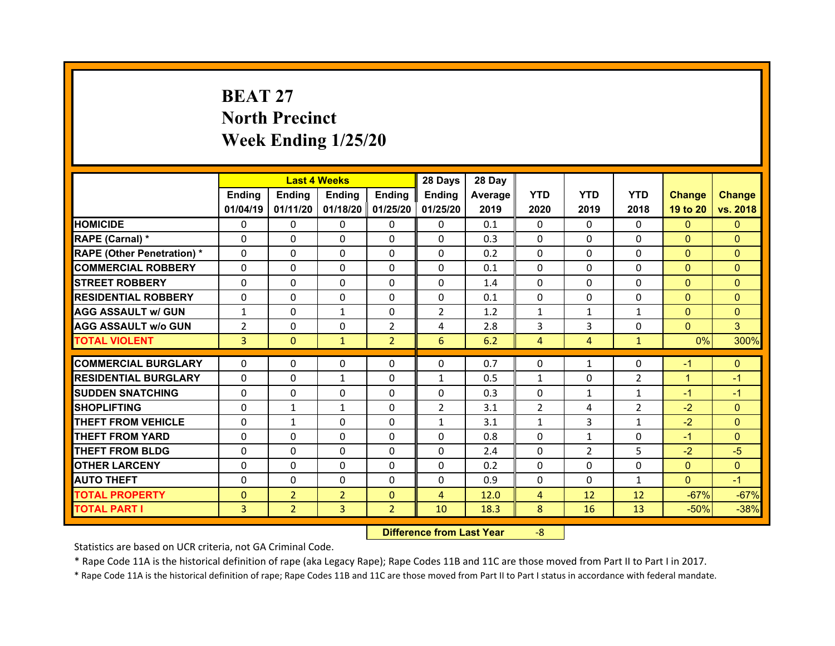## **BEAT 27North Precinct Week Ending 1/25/20**

|                                              |                | <b>Last 4 Weeks</b>              |                     |                            | 28 Days        | 28 Day       |                     |                      |                |                  |                  |
|----------------------------------------------|----------------|----------------------------------|---------------------|----------------------------|----------------|--------------|---------------------|----------------------|----------------|------------------|------------------|
|                                              | Ending         | <b>Ending</b>                    | <b>Ending</b>       | Ending                     | Ending         | Average      | <b>YTD</b>          | <b>YTD</b>           | <b>YTD</b>     | <b>Change</b>    | <b>Change</b>    |
|                                              | 01/04/19       | 01/11/20                         |                     | 01/18/20 01/25/20          | 01/25/20       | 2019         | 2020                | 2019                 | 2018           | 19 to 20         | vs. 2018         |
| <b>HOMICIDE</b>                              | $\Omega$       | $\Omega$                         | 0                   | $\Omega$                   | 0              | 0.1          | $\Omega$            | $\Omega$             | $\Omega$       | $\mathbf{0}$     | $\Omega$         |
| RAPE (Carnal) *                              | $\Omega$       | 0                                | $\mathbf{0}$        | $\mathbf{0}$               | 0              | 0.3          | $\Omega$            | $\Omega$             | $\Omega$       | $\overline{0}$   | $\Omega$         |
| <b>RAPE (Other Penetration) *</b>            | $\Omega$       | 0                                | $\Omega$            | $\Omega$                   | $\Omega$       | 0.2          | $\Omega$            | $\Omega$             | $\Omega$       | $\mathbf{0}$     | $\Omega$         |
| <b>COMMERCIAL ROBBERY</b>                    | $\Omega$       | $\Omega$                         | $\Omega$            | $\Omega$                   | $\Omega$       | 0.1          | $\Omega$            | $\Omega$             | $\Omega$       | $\Omega$         | $\Omega$         |
| <b>STREET ROBBERY</b>                        | $\Omega$       | $\Omega$                         | $\mathbf{0}$        | $\Omega$                   | $\Omega$       | 1.4          | $\Omega$            | $\Omega$             | $\Omega$       | $\mathbf{0}$     | $\Omega$         |
| <b>RESIDENTIAL ROBBERY</b>                   | $\Omega$       | $\Omega$                         | $\mathbf{0}$        | $\Omega$                   | $\Omega$       | 0.1          | $\Omega$            | $\Omega$             | $\Omega$       | $\Omega$         | $\Omega$         |
| <b>AGG ASSAULT w/ GUN</b>                    | $\mathbf{1}$   | 0                                | $\mathbf{1}$        | $\Omega$                   | $\overline{2}$ | 1.2          | $\mathbf{1}$        | $\mathbf{1}$         | $\mathbf{1}$   | $\overline{0}$   | $\Omega$         |
| <b>AGG ASSAULT w/o GUN</b>                   | $\overline{2}$ | $\Omega$                         | $\mathbf{0}$        | $\overline{2}$             | 4              | 2.8          | 3                   | 3                    | $\Omega$       | $\overline{0}$   | 3                |
| <b>TOTAL VIOLENT</b>                         | 3              | $\mathbf{0}$                     | $\mathbf{1}$        | $\overline{2}$             | 6              | 6.2          | $\overline{4}$      | 4                    | $\mathbf{1}$   | 0%               | 300%             |
| <b>COMMERCIAL BURGLARY</b>                   | $\Omega$       | 0                                | 0                   | $\mathbf{0}$               | $\Omega$       | 0.7          | 0                   | $\mathbf{1}$         | $\Omega$       | $-1$             | $\Omega$         |
|                                              |                |                                  |                     |                            |                |              |                     |                      |                |                  |                  |
|                                              |                |                                  |                     |                            |                |              |                     |                      |                |                  |                  |
| <b>RESIDENTIAL BURGLARY</b>                  | 0              | 0                                | $\mathbf{1}$        | $\Omega$                   | $\mathbf{1}$   | 0.5          | $\mathbf{1}$        | $\Omega$             | $\overline{2}$ | $\mathbf{1}$     | $-1$             |
| <b>SUDDEN SNATCHING</b>                      | $\mathbf{0}$   | 0                                | $\mathbf{0}$        | $\Omega$                   | 0              | 0.3          | $\Omega$            | $\mathbf{1}$         | $\mathbf{1}$   | $-1$             | $-1$             |
| <b>SHOPLIFTING</b>                           | 0              | $\mathbf{1}$                     | $\mathbf{1}$        | $\Omega$                   | $\overline{2}$ | 3.1          | 2                   | 4                    | $\overline{2}$ | $-2$             | $\Omega$         |
| <b>THEFT FROM VEHICLE</b>                    | $\mathbf{0}$   | $\mathbf{1}$                     | $\mathbf{0}$        | $\Omega$                   | $\mathbf{1}$   | 3.1          | $\mathbf{1}$        | 3                    | $\mathbf{1}$   | $-2$             | $\Omega$         |
| <b>THEFT FROM YARD</b>                       | $\Omega$       | $\Omega$                         | $\mathbf{0}$        | $\Omega$                   | $\Omega$       | 0.8          | $\Omega$            | $\mathbf{1}$         | $\Omega$       | $-1$             | $\Omega$         |
| <b>THEFT FROM BLDG</b>                       | $\mathbf{0}$   | 0                                | 0                   | $\Omega$                   | $\Omega$       | 2.4          | $\Omega$            | $\overline{2}$       | 5              | $-2$             | $-5$             |
| <b>OTHER LARCENY</b>                         | $\Omega$       | $\Omega$                         | $\Omega$            | $\Omega$                   | $\Omega$       | 0.2          | $\Omega$            | $\Omega$<br>$\Omega$ | $\Omega$       | $\overline{0}$   | $\Omega$         |
| <b>AUTO THEFT</b>                            | $\mathbf{0}$   | 0                                | 0                   | $\Omega$                   | $\Omega$       | 0.9          | 0                   |                      | $\mathbf{1}$   | $\overline{0}$   | $-1$             |
| <b>TOTAL PROPERTY</b><br><b>TOTAL PART I</b> | $\Omega$<br>3  | $\overline{2}$<br>$\overline{2}$ | $\overline{2}$<br>3 | $\Omega$<br>$\overline{2}$ | 4<br>10        | 12.0<br>18.3 | $\overline{4}$<br>8 | 12<br>16             | 12<br>13       | $-67%$<br>$-50%$ | $-67%$<br>$-38%$ |

 **Difference from Last Year**‐8

Statistics are based on UCR criteria, not GA Criminal Code.

\* Rape Code 11A is the historical definition of rape (aka Legacy Rape); Rape Codes 11B and 11C are those moved from Part II to Part I in 2017.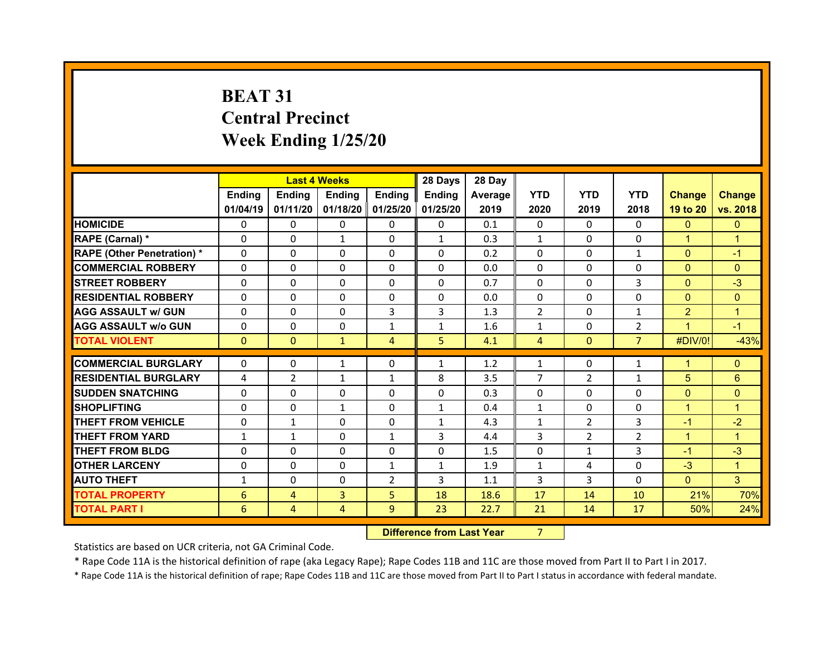## **BEAT 31 Central Precinct Week Ending 1/25/20**

|                                   |              | <b>Last 4 Weeks</b> |              |                   | 28 Days                          | 28 Day  |                |                |                |                |                |
|-----------------------------------|--------------|---------------------|--------------|-------------------|----------------------------------|---------|----------------|----------------|----------------|----------------|----------------|
|                                   | Ending       | Ending              | Ending       | <b>Ending</b>     | Ending                           | Average | <b>YTD</b>     | <b>YTD</b>     | <b>YTD</b>     | <b>Change</b>  | <b>Change</b>  |
|                                   | 01/04/19     | 01/11/20            |              | 01/18/20 01/25/20 | 01/25/20                         | 2019    | 2020           | 2019           | 2018           | 19 to 20       | vs. 2018       |
| <b>HOMICIDE</b>                   | 0            | 0                   | 0            | $\mathbf 0$       | 0                                | 0.1     | 0              | $\mathbf{0}$   | $\Omega$       | $\mathbf{0}$   | $\mathbf{0}$   |
| RAPE (Carnal) *                   | 0            | 0                   | $\mathbf{1}$ | $\Omega$          | $\mathbf{1}$                     | 0.3     | $\mathbf{1}$   | $\mathbf{0}$   | $\Omega$       | $\mathbf{1}$   | $\overline{1}$ |
| <b>RAPE (Other Penetration) *</b> | 0            | $\Omega$            | 0            | $\Omega$          | $\Omega$                         | 0.2     | $\Omega$       | $\mathbf{0}$   | $\mathbf{1}$   | $\overline{0}$ | $-1$           |
| <b>COMMERCIAL ROBBERY</b>         | 0            | 0                   | 0            | $\Omega$          | $\Omega$                         | 0.0     | $\Omega$       | $\Omega$       | $\Omega$       | $\overline{0}$ | $\Omega$       |
| <b>STREET ROBBERY</b>             | $\Omega$     | 0                   | $\Omega$     | $\Omega$          | $\Omega$                         | 0.7     | $\Omega$       | $\Omega$       | 3              | $\overline{0}$ | $-3$           |
| <b>RESIDENTIAL ROBBERY</b>        | $\Omega$     | $\Omega$            | $\mathbf{0}$ | $\Omega$          | $\Omega$                         | 0.0     | 0              | $\Omega$       | $\Omega$       | $\overline{0}$ | $\Omega$       |
| <b>AGG ASSAULT w/ GUN</b>         | $\Omega$     | 0                   | $\mathbf{0}$ | 3                 | 3                                | 1.3     | 2              | $\Omega$       | $\mathbf{1}$   | $\overline{2}$ | $\overline{1}$ |
| <b>AGG ASSAULT w/o GUN</b>        | $\mathbf{0}$ | 0                   | $\mathbf{0}$ | $\mathbf{1}$      | $\mathbf{1}$                     | 1.6     | $\mathbf{1}$   | $\mathbf{0}$   | $\overline{2}$ | $\mathbf{1}$   | $-1$           |
| <b>TOTAL VIOLENT</b>              | $\mathbf{0}$ | $\mathbf{0}$        | $\mathbf{1}$ | $\overline{4}$    | 5                                | 4.1     | $\overline{4}$ | $\mathbf{0}$   | $\overline{7}$ | #DIV/0!        | $-43%$         |
| <b>COMMERCIAL BURGLARY</b>        | $\Omega$     | 0                   | $\mathbf{1}$ | $\Omega$          | $\mathbf{1}$                     | 1.2     | $\mathbf{1}$   | $\Omega$       | $\mathbf{1}$   | $\mathbf{1}$   | $\Omega$       |
| <b>RESIDENTIAL BURGLARY</b>       | 4            | $\overline{2}$      | $\mathbf{1}$ | $\mathbf{1}$      | 8                                | 3.5     | $\overline{7}$ | $\mathcal{L}$  | $\mathbf{1}$   | 5              | 6              |
| <b>SUDDEN SNATCHING</b>           | $\Omega$     | 0                   | $\Omega$     | $\Omega$          | 0                                | 0.3     | $\Omega$       | $\Omega$       | $\Omega$       | $\overline{0}$ | $\Omega$       |
| <b>SHOPLIFTING</b>                | $\Omega$     | 0                   | $\mathbf{1}$ | $\Omega$          | $\mathbf{1}$                     | 0.4     | $\mathbf{1}$   | $\Omega$       | $\Omega$       | $\mathbf{1}$   | $\mathbf{1}$   |
| <b>THEFT FROM VEHICLE</b>         | 0            | $\mathbf{1}$        | 0            | $\Omega$          | $\mathbf{1}$                     | 4.3     | $\mathbf{1}$   | $\overline{2}$ | 3              | $-1$           | $-2$           |
| <b>THEFT FROM YARD</b>            | $\mathbf{1}$ | $\mathbf{1}$        | $\mathbf{0}$ | $\mathbf{1}$      | 3                                | 4.4     | 3              | $\overline{2}$ | $\overline{2}$ | $\mathbf{1}$   | 1              |
| <b>THEFT FROM BLDG</b>            | 0            | 0                   | $\Omega$     | $\Omega$          | $\Omega$                         | 1.5     | $\Omega$       | $\mathbf{1}$   | 3              | $-1$           | $-3$           |
| <b>OTHER LARCENY</b>              | 0            | 0                   | $\mathbf{0}$ | 1                 | $\mathbf{1}$                     | 1.9     | $\mathbf{1}$   | 4              | $\Omega$       | $-3$           | $\mathbf{1}$   |
| <b>AUTO THEFT</b>                 | $\mathbf{1}$ | 0                   | 0            | $\overline{2}$    | 3                                | 1.1     | 3              | 3              | $\Omega$       | $\overline{0}$ | 3              |
| <b>TOTAL PROPERTY</b>             | 6            | $\overline{4}$      | 3            | 5 <sup>1</sup>    | 18                               | 18.6    | 17             | 14             | 10             | 21%            | 70%            |
| <b>TOTAL PART I</b>               | 6            | $\overline{4}$      | 4            | 9                 | 23                               | 22.7    | 21             | 14             | 17             | 50%            | 24%            |
|                                   |              |                     |              |                   | <b>Difference from Last Year</b> |         | $\overline{7}$ |                |                |                |                |

 **Difference from Last Year**

Statistics are based on UCR criteria, not GA Criminal Code.

\* Rape Code 11A is the historical definition of rape (aka Legacy Rape); Rape Codes 11B and 11C are those moved from Part II to Part I in 2017.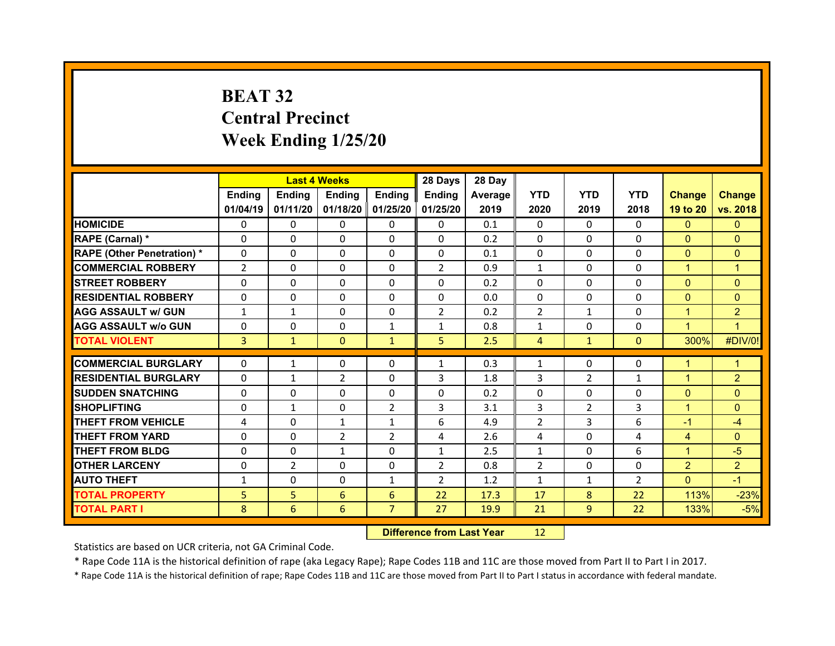## **BEAT 32 Central Precinct Week Ending 1/25/20**

|                                   |                | <b>Last 4 Weeks</b> |                |                   | 28 Days        | 28 Day  |                |                |                |                |                |
|-----------------------------------|----------------|---------------------|----------------|-------------------|----------------|---------|----------------|----------------|----------------|----------------|----------------|
|                                   | <b>Ending</b>  | <b>Endina</b>       | <b>Ending</b>  | <b>Ending</b>     | <b>Ending</b>  | Average | <b>YTD</b>     | <b>YTD</b>     | <b>YTD</b>     | <b>Change</b>  | <b>Change</b>  |
|                                   | 01/04/19       | 01/11/20            |                | 01/18/20 01/25/20 | 01/25/20       | 2019    | 2020           | 2019           | 2018           | 19 to 20       | vs. 2018       |
| <b>HOMICIDE</b>                   | 0              | 0                   | 0              | $\mathbf{0}$      | 0              | 0.1     | 0              | $\Omega$       | $\Omega$       | $\mathbf{0}$   | $\mathbf{0}$   |
| RAPE (Carnal) *                   | 0              | 0                   | $\mathbf{0}$   | $\mathbf{0}$      | 0              | 0.2     | 0              | $\Omega$       | $\Omega$       | $\overline{0}$ | $\Omega$       |
| <b>RAPE (Other Penetration) *</b> | 0              | 0                   | $\Omega$       | $\Omega$          | 0              | 0.1     | $\Omega$       | $\Omega$       | $\Omega$       | $\overline{0}$ | $\Omega$       |
| <b>COMMERCIAL ROBBERY</b>         | $\overline{2}$ | 0                   | $\mathbf{0}$   | $\mathbf{0}$      | $\overline{2}$ | 0.9     | $\mathbf{1}$   | $\Omega$       | $\Omega$       | $\mathbf{1}$   | 1              |
| <b>STREET ROBBERY</b>             | 0              | 0                   | $\Omega$       | $\Omega$          | 0              | 0.2     | $\Omega$       | $\Omega$       | $\Omega$       | $\mathbf{0}$   | $\Omega$       |
| <b>RESIDENTIAL ROBBERY</b>        | $\Omega$       | $\Omega$            | $\mathbf{0}$   | $\Omega$          | $\Omega$       | 0.0     | $\Omega$       | $\Omega$       | $\Omega$       | $\mathbf{0}$   | $\Omega$       |
| <b>AGG ASSAULT w/ GUN</b>         | $\mathbf{1}$   | $\mathbf{1}$        | $\Omega$       | $\Omega$          | $\overline{2}$ | 0.2     | 2              | $\mathbf{1}$   | $\Omega$       | $\mathbf{1}$   | $\overline{2}$ |
| <b>AGG ASSAULT w/o GUN</b>        | $\mathbf{0}$   | 0                   | $\mathbf{0}$   | $\mathbf{1}$      | $\mathbf{1}$   | 0.8     | $\mathbf{1}$   | $\Omega$       | $\Omega$       | $\mathbf{1}$   | $\mathbf 1$    |
| <b>TOTAL VIOLENT</b>              | 3              | $\mathbf{1}$        | $\mathbf{0}$   | $\mathbf{1}$      | 5              | 2.5     | $\overline{4}$ | $\mathbf{1}$   | $\Omega$       | 300%           | #DIV/0!        |
|                                   |                |                     |                |                   |                |         |                |                |                |                |                |
| <b>COMMERCIAL BURGLARY</b>        | 0              | $\mathbf{1}$        | 0              | 0                 | $\mathbf{1}$   | 0.3     | $\mathbf{1}$   | $\Omega$       | 0              | 1              | 1              |
| <b>RESIDENTIAL BURGLARY</b>       | 0              | $\mathbf{1}$        | $\overline{2}$ | $\Omega$          | 3              | 1.8     | 3              | $\overline{2}$ | $\mathbf{1}$   | 1              | $\overline{2}$ |
| <b>SUDDEN SNATCHING</b>           | 0              | $\Omega$            | $\Omega$       | $\Omega$          | 0              | 0.2     | 0              | $\Omega$       | $\Omega$       | $\mathbf{0}$   | $\Omega$       |
| <b>SHOPLIFTING</b>                | 0              | $\mathbf{1}$        | $\Omega$       | $\overline{2}$    | 3              | 3.1     | 3              | $\overline{2}$ | 3              | $\mathbf{1}$   | $\Omega$       |
| <b>THEFT FROM VEHICLE</b>         | 4              | 0                   | $\mathbf{1}$   | $\mathbf{1}$      | 6              | 4.9     | $\overline{2}$ | 3              | 6              | $-1$           | $-4$           |
| <b>THEFT FROM YARD</b>            | 0              | $\Omega$            | $\overline{2}$ | $\overline{2}$    | 4              | 2.6     | 4              | $\Omega$       | 4              | $\overline{4}$ | $\Omega$       |
| <b>THEFT FROM BLDG</b>            | 0              | 0                   | $\mathbf{1}$   | $\Omega$          | $\mathbf{1}$   | 2.5     | $\mathbf{1}$   | $\Omega$       | 6              | $\mathbf{1}$   | $-5$           |
| <b>OTHER LARCENY</b>              | 0              | $\overline{2}$      | $\Omega$       | $\Omega$          | $\overline{2}$ | 0.8     | 2              | $\Omega$       | $\Omega$       | $\overline{2}$ | $\overline{2}$ |
| <b>AUTO THEFT</b>                 | $\mathbf{1}$   | $\Omega$            | $\Omega$       | 1                 | $\overline{2}$ | 1.2     | $\mathbf{1}$   | 1              | $\overline{2}$ | $\Omega$       | $-1$           |
| <b>TOTAL PROPERTY</b>             | 5              | 5                   | 6              | 6                 | 22             | 17.3    | 17             | 8              | 22             | 113%           | $-23%$         |
| <b>TOTAL PART I</b>               | 8              | 6                   | 6              | $\overline{7}$    | 27             | 19.9    | 21             | 9              | 22             | 133%           | $-5%$          |
|                                   |                |                     |                |                   |                |         |                |                |                |                |                |

 **Difference from Last Year**r 12

Statistics are based on UCR criteria, not GA Criminal Code.

\* Rape Code 11A is the historical definition of rape (aka Legacy Rape); Rape Codes 11B and 11C are those moved from Part II to Part I in 2017.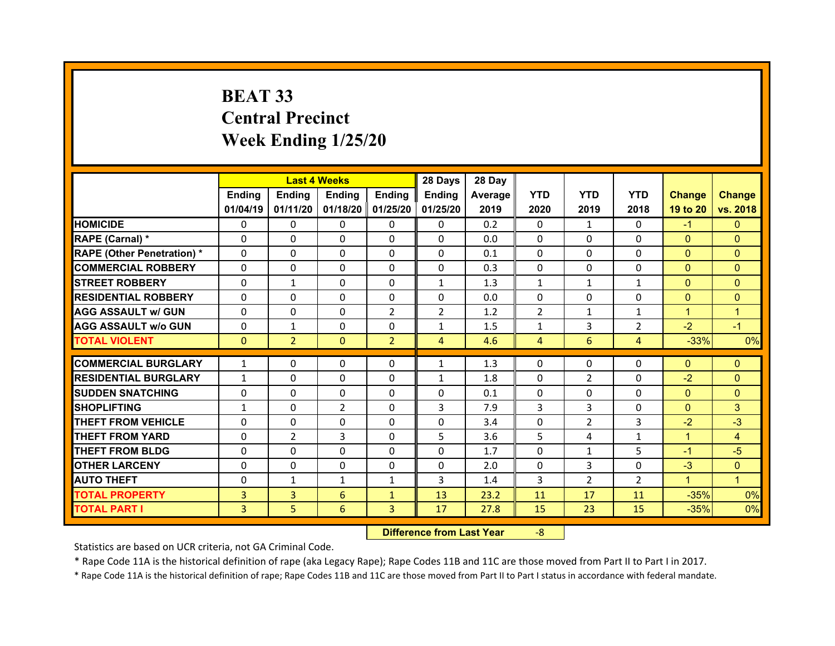## **BEAT 33 Central Precinct Week Ending 1/25/20**

|                                   |              | <b>Last 4 Weeks</b> |                |                   | 28 Days        | 28 Day  |                |                |                |                |                |
|-----------------------------------|--------------|---------------------|----------------|-------------------|----------------|---------|----------------|----------------|----------------|----------------|----------------|
|                                   | Ending       | Ending              | Ending         | <b>Ending</b>     | Ending         | Average | <b>YTD</b>     | <b>YTD</b>     | <b>YTD</b>     | <b>Change</b>  | <b>Change</b>  |
|                                   | 01/04/19     | 01/11/20            |                | 01/18/20 01/25/20 | 01/25/20       | 2019    | 2020           | 2019           | 2018           | 19 to 20       | vs. 2018       |
| <b>HOMICIDE</b>                   | $\Omega$     | 0                   | $\Omega$       | $\Omega$          | 0              | 0.2     | $\Omega$       | $\mathbf{1}$   | $\Omega$       | $-1$           | $\mathbf{0}$   |
| RAPE (Carnal) *                   | $\Omega$     | 0                   | $\mathbf{0}$   | $\Omega$          | 0              | 0.0     | $\Omega$       | $\Omega$       | $\Omega$       | $\mathbf{0}$   | $\Omega$       |
| <b>RAPE (Other Penetration) *</b> | $\Omega$     | $\Omega$            | $\Omega$       | $\Omega$          | $\Omega$       | 0.1     | $\Omega$       | $\Omega$       | $\Omega$       | $\Omega$       | $\Omega$       |
| <b>COMMERCIAL ROBBERY</b>         | $\Omega$     | $\Omega$            | $\mathbf{0}$   | $\Omega$          | $\Omega$       | 0.3     | $\Omega$       | $\Omega$       | $\Omega$       | $\overline{0}$ | $\Omega$       |
| <b>STREET ROBBERY</b>             | $\Omega$     | $\mathbf{1}$        | $\Omega$       | $\Omega$          | $\mathbf{1}$   | 1.3     | $\mathbf{1}$   | $\mathbf{1}$   | $\mathbf{1}$   | $\Omega$       | $\Omega$       |
| <b>RESIDENTIAL ROBBERY</b>        | $\Omega$     | $\Omega$            | $\mathbf{0}$   | $\Omega$          | $\Omega$       | 0.0     | $\Omega$       | $\Omega$       | $\Omega$       | $\mathbf{0}$   | $\Omega$       |
| <b>AGG ASSAULT w/ GUN</b>         | $\Omega$     | $\Omega$            | $\Omega$       | $\overline{2}$    | $\overline{2}$ | 1.2     | 2              | $\mathbf{1}$   | $\mathbf{1}$   | $\mathbf{1}$   | 1              |
| <b>AGG ASSAULT w/o GUN</b>        | 0            | $\mathbf{1}$        | $\mathbf{0}$   | $\Omega$          | $\mathbf{1}$   | 1.5     | $\mathbf{1}$   | 3              | $\overline{2}$ | $-2$           | $-1$           |
| <b>TOTAL VIOLENT</b>              | $\mathbf{0}$ | $\overline{2}$      | $\mathbf{0}$   | $\overline{2}$    | $\overline{4}$ | 4.6     | $\overline{4}$ | 6              | 4              | $-33%$         | 0%             |
|                                   |              |                     |                |                   |                |         |                |                |                |                |                |
| <b>COMMERCIAL BURGLARY</b>        | $\mathbf{1}$ | 0                   | 0              | $\Omega$          | $\mathbf{1}$   | 1.3     | 0              | $\Omega$       | $\Omega$       | $\mathbf{0}$   | $\mathbf{0}$   |
| <b>RESIDENTIAL BURGLARY</b>       | $\mathbf{1}$ | $\Omega$            | 0              | $\Omega$          | $\mathbf{1}$   | 1.8     | 0              | 2              | $\Omega$       | $-2$           | $\overline{0}$ |
| <b>SUDDEN SNATCHING</b>           | 0            | 0                   | $\mathbf{0}$   | $\Omega$          | 0              | 0.1     | 0              | $\Omega$       | $\Omega$       | $\mathbf{0}$   | $\Omega$       |
| <b>SHOPLIFTING</b>                | $\mathbf{1}$ | $\Omega$            | $\overline{2}$ | $\Omega$          | 3              | 7.9     | 3              | 3              | $\Omega$       | $\mathbf{0}$   | 3              |
| <b>THEFT FROM VEHICLE</b>         | 0            | 0                   | 0              | $\Omega$          | 0              | 3.4     | 0              | $\overline{2}$ | 3              | $-2$           | $-3$           |
| <b>THEFT FROM YARD</b>            | 0            | 2                   | 3              | $\Omega$          | 5              | 3.6     | 5              | 4              | $\mathbf{1}$   | $\mathbf{1}$   | 4              |
| <b>THEFT FROM BLDG</b>            | $\mathbf{0}$ | 0                   | $\mathbf{0}$   | $\Omega$          | 0              | 1.7     | $\Omega$       | $\mathbf{1}$   | 5              | $-1$           | $-5$           |
| <b>OTHER LARCENY</b>              | $\Omega$     | $\Omega$            | $\Omega$       | $\Omega$          | $\Omega$       | 2.0     | $\Omega$       | 3              | $\Omega$       | $-3$           | $\Omega$       |
| <b>AUTO THEFT</b>                 | $\mathbf{0}$ | $\mathbf{1}$        | $\mathbf{1}$   | $\mathbf{1}$      | 3              | 1.4     | 3              | $\overline{2}$ | $\overline{2}$ | $\mathbf{1}$   | $\mathbf{1}$   |
| <b>TOTAL PROPERTY</b>             | 3            | $\overline{3}$      | 6              | $\mathbf{1}$      | 13             | 23.2    | 11             | 17             | 11             | $-35%$         | 0%             |
|                                   |              |                     |                |                   |                |         |                |                |                |                |                |
| TOTAL PART I                      | 3            | 5                   | 6              | 3                 | 17             | 27.8    | 15             | 23             | 15             | $-35%$         | 0%             |

 **Difference from Last Year**‐8

Statistics are based on UCR criteria, not GA Criminal Code.

\* Rape Code 11A is the historical definition of rape (aka Legacy Rape); Rape Codes 11B and 11C are those moved from Part II to Part I in 2017.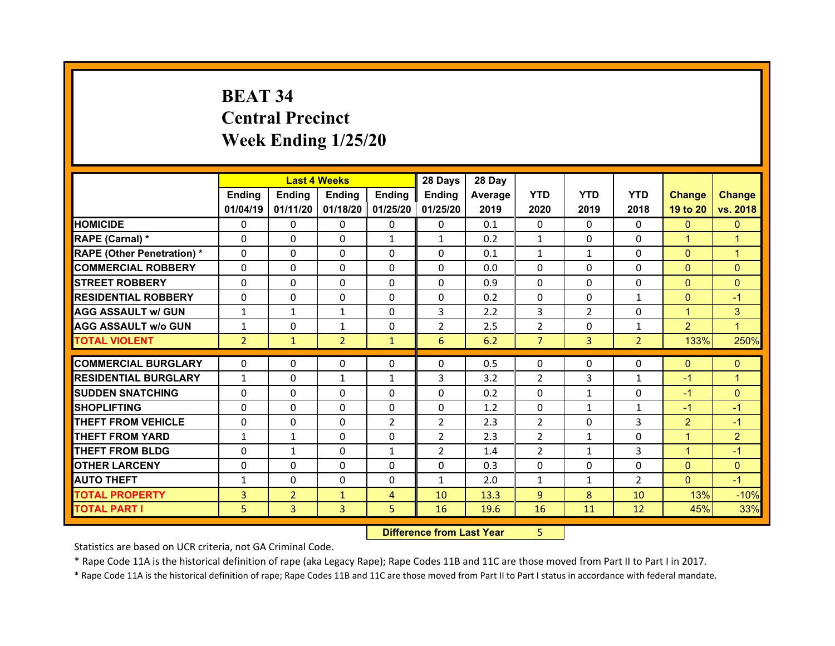## **BEAT 34 Central Precinct Week Ending 1/25/20**

|                                   |                | <b>Last 4 Weeks</b> |                   |                | 28 Days        | 28 Day  |                |                |                |                |                |
|-----------------------------------|----------------|---------------------|-------------------|----------------|----------------|---------|----------------|----------------|----------------|----------------|----------------|
|                                   | Ending         | <b>Ending</b>       | <b>Ending</b>     | <b>Ending</b>  | Ending         | Average | <b>YTD</b>     | <b>YTD</b>     | <b>YTD</b>     | <b>Change</b>  | <b>Change</b>  |
|                                   | 01/04/19       | 01/11/20            | 01/18/20 01/25/20 |                | 01/25/20       | 2019    | 2020           | 2019           | 2018           | 19 to 20       | vs. 2018       |
| <b>HOMICIDE</b>                   | $\Omega$       | 0                   | $\Omega$          | $\Omega$       | $\Omega$       | 0.1     | $\Omega$       | $\Omega$       | $\Omega$       | $\Omega$       | $\Omega$       |
| RAPE (Carnal) *                   | $\Omega$       | $\Omega$            | $\Omega$          | $\mathbf{1}$   | $\mathbf{1}$   | 0.2     | $\mathbf{1}$   | $\Omega$       | $\Omega$       | $\mathbf{1}$   | 1              |
| <b>RAPE (Other Penetration) *</b> | $\Omega$       | $\Omega$            | $\mathbf{0}$      | $\Omega$       | $\Omega$       | 0.1     | $\mathbf{1}$   | $\mathbf{1}$   | $\Omega$       | $\overline{0}$ | $\overline{1}$ |
| <b>COMMERCIAL ROBBERY</b>         | $\Omega$       | $\Omega$            | $\mathbf{0}$      | $\Omega$       | $\Omega$       | 0.0     | $\Omega$       | $\Omega$       | $\Omega$       | $\overline{0}$ | $\Omega$       |
| <b>STREET ROBBERY</b>             | $\Omega$       | $\Omega$            | $\Omega$          | $\Omega$       | $\Omega$       | 0.9     | $\Omega$       | $\Omega$       | $\Omega$       | $\mathbf{0}$   | $\Omega$       |
| <b>RESIDENTIAL ROBBERY</b>        | $\Omega$       | $\Omega$            | $\mathbf{0}$      | $\Omega$       | $\Omega$       | 0.2     | $\Omega$       | $\Omega$       | $\mathbf{1}$   | $\mathbf{0}$   | $-1$           |
| <b>AGG ASSAULT w/ GUN</b>         | $\mathbf{1}$   | $\mathbf{1}$        | $\mathbf{1}$      | $\Omega$       | 3              | 2.2     | 3              | $\overline{2}$ | $\Omega$       | $\mathbf{1}$   | 3              |
| <b>AGG ASSAULT w/o GUN</b>        | $\mathbf{1}$   | $\Omega$            | $\mathbf{1}$      | $\Omega$       | $\overline{2}$ | 2.5     | $\overline{2}$ | $\mathbf{0}$   | $\mathbf{1}$   | 2              | $\overline{1}$ |
| <b>TOTAL VIOLENT</b>              | $\overline{2}$ | $\mathbf{1}$        | $\overline{2}$    | $\mathbf{1}$   | 6              | 6.2     | $\overline{7}$ | $\overline{3}$ | $\overline{2}$ | 133%           | 250%           |
|                                   |                |                     |                   |                |                |         |                |                |                |                |                |
| <b>COMMERCIAL BURGLARY</b>        | 0              | 0                   | 0                 | $\Omega$       | 0              | 0.5     | 0              | $\Omega$       | $\Omega$       | $\mathbf{0}$   | $\mathbf{0}$   |
| <b>RESIDENTIAL BURGLARY</b>       | $\mathbf{1}$   | $\Omega$            | $\mathbf{1}$      | $\mathbf{1}$   | 3              | 3.2     | 2              | 3              | $\mathbf{1}$   | $-1$           | 1              |
| <b>SUDDEN SNATCHING</b>           | 0              | 0                   | $\mathbf{0}$      | $\Omega$       | $\Omega$       | 0.2     | $\Omega$       | $\mathbf{1}$   | $\Omega$       | $-1$           | $\Omega$       |
| <b>SHOPLIFTING</b>                | 0              | 0                   | 0                 | $\Omega$       | 0              | 1.2     | 0              | $\mathbf{1}$   | $\mathbf{1}$   | $-1$           | $-1$           |
| <b>THEFT FROM VEHICLE</b>         | 0              | $\Omega$            | $\mathbf{0}$      | $\overline{2}$ | $\overline{2}$ | 2.3     | 2              | $\Omega$       | 3              | $\overline{2}$ | $-1$           |
| <b>THEFT FROM YARD</b>            | $\mathbf{1}$   | $\mathbf{1}$        | $\Omega$          | $\Omega$       | $\overline{2}$ | 2.3     | 2              | $\mathbf{1}$   | $\Omega$       | $\mathbf{1}$   | $\overline{2}$ |
| <b>THEFT FROM BLDG</b>            | $\mathbf{0}$   | $\mathbf{1}$        | $\mathbf{0}$      | $\mathbf{1}$   | $\overline{2}$ | 1.4     | 2              | $\mathbf{1}$   | 3              | $\mathbf{1}$   | $-1$           |
| <b>OTHER LARCENY</b>              | $\Omega$       | 0                   | $\Omega$          | $\Omega$       | $\Omega$       | 0.3     | $\Omega$       | $\Omega$       | $\Omega$       | $\overline{0}$ | $\Omega$       |
| <b>AUTO THEFT</b>                 | $\mathbf{1}$   | 0                   | $\mathbf{0}$      | $\Omega$       | $\mathbf{1}$   | 2.0     | $\mathbf{1}$   | $\mathbf{1}$   | $\overline{2}$ | $\mathbf{0}$   | $-1$           |
| <b>TOTAL PROPERTY</b>             | 3              | $\overline{2}$      | $\mathbf{1}$      | $\overline{4}$ | 10             | 13.3    | 9              | 8              | 10             | 13%            | $-10%$         |
| <b>TOTAL PART I</b>               | 5              | 3                   | 3                 | 5              | 16             | 19.6    | 16             | 11             | 12             | 45%            | 33%            |

 **Difference from Last Year**r 5

Statistics are based on UCR criteria, not GA Criminal Code.

\* Rape Code 11A is the historical definition of rape (aka Legacy Rape); Rape Codes 11B and 11C are those moved from Part II to Part I in 2017.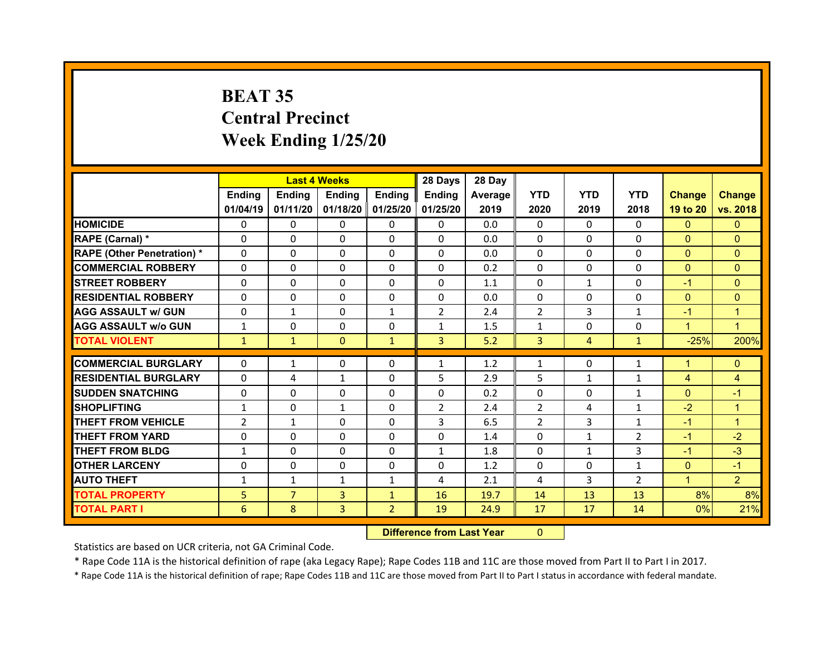## **BEAT 35 Central Precinct Week Ending 1/25/20**

|                                  |                | <b>Last 4 Weeks</b> |              |                   | 28 Days        | 28 Day  |              |                |                |                |                |
|----------------------------------|----------------|---------------------|--------------|-------------------|----------------|---------|--------------|----------------|----------------|----------------|----------------|
|                                  | Ending         | Ending              | Ending       | <b>Ending</b>     | Ending         | Average | <b>YTD</b>   | <b>YTD</b>     | <b>YTD</b>     | <b>Change</b>  | <b>Change</b>  |
|                                  | 01/04/19       | 01/11/20            |              | 01/18/20 01/25/20 | 01/25/20       | 2019    | 2020         | 2019           | 2018           | 19 to 20       | vs. 2018       |
| <b>HOMICIDE</b>                  | $\Omega$       | 0                   | $\Omega$     | $\Omega$          | 0              | 0.0     | $\Omega$     | $\Omega$       | $\Omega$       | $\mathbf{0}$   | $\mathbf{0}$   |
| RAPE (Carnal) *                  | 0              | 0                   | $\mathbf{0}$ | $\Omega$          | 0              | 0.0     | $\Omega$     | $\Omega$       | $\Omega$       | $\mathbf{0}$   | $\Omega$       |
| <b>RAPE (Other Penetration)*</b> | 0              | $\Omega$            | $\Omega$     | $\Omega$          | $\Omega$       | 0.0     | $\Omega$     | $\Omega$       | $\Omega$       | $\overline{0}$ | $\Omega$       |
| <b>COMMERCIAL ROBBERY</b>        | $\Omega$       | 0                   | $\Omega$     | $\Omega$          | 0              | 0.2     | $\Omega$     | $\Omega$       | $\Omega$       | $\mathbf{0}$   | $\Omega$       |
| <b>STREET ROBBERY</b>            | $\Omega$       | $\Omega$            | $\mathbf{0}$ | $\Omega$          | 0              | 1.1     | $\Omega$     | $\mathbf{1}$   | $\Omega$       | $-1$           | $\Omega$       |
| <b>RESIDENTIAL ROBBERY</b>       | $\Omega$       | $\Omega$            | $\mathbf{0}$ | $\Omega$          | $\Omega$       | 0.0     | $\Omega$     | $\Omega$       | $\Omega$       | $\overline{0}$ | $\Omega$       |
| <b>AGG ASSAULT w/ GUN</b>        | $\Omega$       | $\mathbf{1}$        | $\Omega$     | $\mathbf{1}$      | $\overline{2}$ | 2.4     | 2            | 3              | $\mathbf{1}$   | $-1$           | 1              |
| <b>AGG ASSAULT w/o GUN</b>       | $\mathbf{1}$   | $\Omega$            | $\mathbf{0}$ | $\Omega$          | $\mathbf{1}$   | 1.5     | $\mathbf{1}$ | $\Omega$       | $\Omega$       | $\mathbf{1}$   | $\overline{1}$ |
| <b>TOTAL VIOLENT</b>             | $\mathbf{1}$   | $\mathbf{1}$        | $\mathbf{0}$ | $\mathbf{1}$      | 3              | 5.2     | 3            | $\overline{4}$ | $\mathbf{1}$   | $-25%$         | 200%           |
| <b>COMMERCIAL BURGLARY</b>       |                |                     |              |                   |                |         |              | $\Omega$       |                |                |                |
|                                  | 0              | $\mathbf{1}$        | 0            | 0                 | $\mathbf{1}$   | 1.2     | 1            |                | $\mathbf{1}$   | 1              | $\mathbf{0}$   |
| <b>RESIDENTIAL BURGLARY</b>      | $\Omega$       | 4                   | $\mathbf{1}$ | $\Omega$          | 5              | 2.9     | 5            | 1              | 1              | 4              | 4              |
| <b>SUDDEN SNATCHING</b>          | 0              | $\Omega$            | $\Omega$     | $\Omega$          | 0              | 0.2     | $\Omega$     | $\Omega$       | $\mathbf{1}$   | $\mathbf{0}$   | $-1$           |
| <b>SHOPLIFTING</b>               | $\mathbf{1}$   | $\Omega$            | $\mathbf{1}$ | $\Omega$          | $\overline{2}$ | 2.4     | 2            | 4              | 1              | $-2$           | 1              |
| <b>THEFT FROM VEHICLE</b>        | $\overline{2}$ | $\mathbf{1}$        | 0            | $\Omega$          | 3              | 6.5     | 2            | 3              | $\mathbf{1}$   | $-1$           | 1              |
| <b>THEFT FROM YARD</b>           | 0              | $\Omega$            | 0            | $\Omega$          | 0              | 1.4     | $\Omega$     | $\mathbf{1}$   | $\overline{2}$ | $-1$           | $-2$           |
| <b>THEFT FROM BLDG</b>           | $\mathbf{1}$   | 0                   | $\mathbf{0}$ | $\Omega$          | $\mathbf{1}$   | 1.8     | 0            | $\mathbf{1}$   | 3              | $-1$           | $-3$           |
| <b>OTHER LARCENY</b>             | $\Omega$       | $\Omega$            | $\Omega$     | $\Omega$          | 0              | 1.2     | $\Omega$     | $\Omega$       | $\mathbf{1}$   | $\mathbf{0}$   | $-1$           |
| <b>AUTO THEFT</b>                | $\mathbf{1}$   | $\mathbf{1}$        | $\mathbf{1}$ | 1                 | 4              | 2.1     | 4            | 3              | $\overline{2}$ | $\mathbf{1}$   | $\overline{2}$ |
|                                  |                | $\overline{7}$      | 3            | $\mathbf{1}$      | 16             | 19.7    | 14           | 13             | 13             | 8%             | 8%             |
| <b>TOTAL PROPERTY</b>            | 5              |                     |              |                   |                |         |              |                |                |                |                |
| <b>TOTAL PART I</b>              | 6              | 8                   | 3            | $\overline{2}$    | 19             | 24.9    | 17           | 17             | 14             | 0%             | 21%            |

 **Difference from Last Year**r 0

Statistics are based on UCR criteria, not GA Criminal Code.

\* Rape Code 11A is the historical definition of rape (aka Legacy Rape); Rape Codes 11B and 11C are those moved from Part II to Part I in 2017.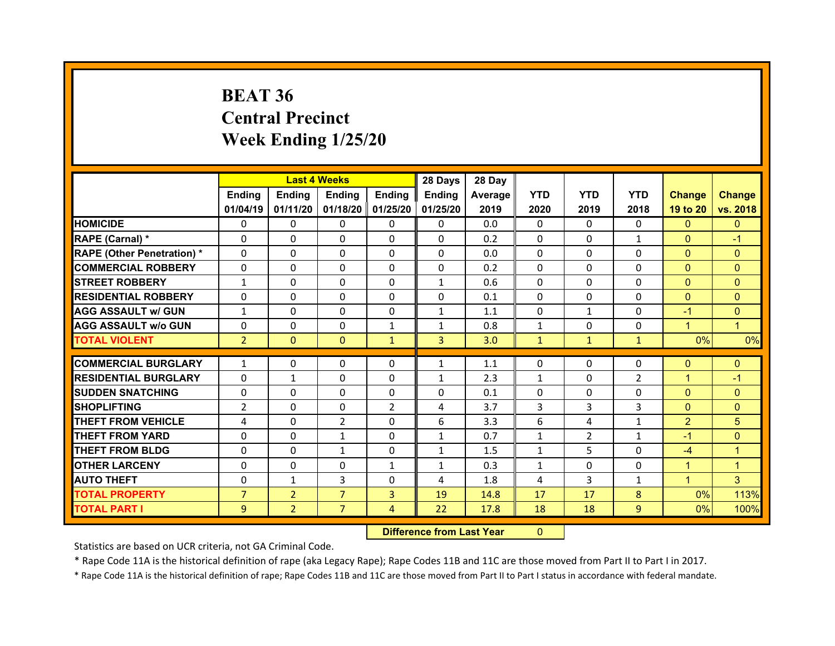## **BEAT 36 Central Precinct Week Ending 1/25/20**

|                                   |                |                | <b>Last 4 Weeks</b> |                     | 28 Days        | 28 Day  |              |                |                |                |                |
|-----------------------------------|----------------|----------------|---------------------|---------------------|----------------|---------|--------------|----------------|----------------|----------------|----------------|
|                                   | <b>Ending</b>  | <b>Ending</b>  | Ending              | <b>Endina</b>       | <b>Ending</b>  | Average | <b>YTD</b>   | <b>YTD</b>     | <b>YTD</b>     | <b>Change</b>  | <b>Change</b>  |
|                                   | 01/04/19       | 01/11/20       |                     | 01/18/20   01/25/20 | 01/25/20       | 2019    | 2020         | 2019           | 2018           | 19 to 20       | vs. 2018       |
| <b>HOMICIDE</b>                   | 0              | 0              | $\Omega$            | 0                   | $\Omega$       | 0.0     | 0            | $\Omega$       | 0              | $\mathbf{0}$   | $\mathbf{0}$   |
| RAPE (Carnal) *                   | 0              | $\Omega$       | $\Omega$            | 0                   | $\mathbf{0}$   | 0.2     | $\mathbf{0}$ | $\Omega$       | $\mathbf{1}$   | $\mathbf{0}$   | $-1$           |
| <b>RAPE (Other Penetration) *</b> | 0              | $\Omega$       | $\Omega$            | $\Omega$            | 0              | 0.0     | $\Omega$     | 0              | 0              | $\overline{0}$ | $\Omega$       |
| <b>COMMERCIAL ROBBERY</b>         | $\Omega$       | $\Omega$       | $\Omega$            | 0                   | $\mathbf{0}$   | 0.2     | 0            | 0              | 0              | $\overline{0}$ | $\Omega$       |
| <b>STREET ROBBERY</b>             | $\mathbf{1}$   | $\Omega$       | $\Omega$            | $\Omega$            | $\mathbf{1}$   | 0.6     | $\Omega$     | 0              | 0              | $\Omega$       | $\Omega$       |
| <b>RESIDENTIAL ROBBERY</b>        | $\Omega$       | $\Omega$       | $\Omega$            | $\Omega$            | $\Omega$       | 0.1     | $\Omega$     | $\Omega$       | $\Omega$       | $\mathbf{0}$   | $\Omega$       |
| <b>AGG ASSAULT w/ GUN</b>         | $\mathbf{1}$   | $\Omega$       | $\Omega$            | $\Omega$            | $\mathbf{1}$   | 1.1     | $\Omega$     | 1              | 0              | $-1$           | $\Omega$       |
| <b>AGG ASSAULT w/o GUN</b>        | $\Omega$       | 0              | $\Omega$            | $\mathbf{1}$        | $\mathbf{1}$   | 0.8     | $\mathbf{1}$ | $\Omega$       | 0              | $\mathbf{1}$   | $\mathbf{1}$   |
| <b>TOTAL VIOLENT</b>              | $\overline{2}$ | $\mathbf{0}$   | $\mathbf{0}$        | $\mathbf{1}$        | $\overline{3}$ | 3.0     | $\mathbf{1}$ | $\mathbf{1}$   | $\mathbf{1}$   | 0%             | 0%             |
|                                   |                |                |                     |                     |                |         |              |                |                |                |                |
| <b>COMMERCIAL BURGLARY</b>        | $\mathbf{1}$   | 0              | 0                   | $\Omega$            | $\mathbf{1}$   | 1.1     | $\Omega$     | $\Omega$       | 0              | $\mathbf{0}$   | $\Omega$       |
| <b>RESIDENTIAL BURGLARY</b>       | 0              | $\mathbf{1}$   | 0                   | $\Omega$            | $\mathbf{1}$   | 2.3     | $\mathbf{1}$ | 0              | $\overline{2}$ | 1              | $-1$           |
| <b>SUDDEN SNATCHING</b>           | 0              | $\Omega$       | $\Omega$            | 0                   | $\Omega$       | 0.1     | 0            | 0              | $\Omega$       | $\overline{0}$ | $\Omega$       |
| <b>SHOPLIFTING</b>                | $\overline{2}$ | 0              | $\Omega$            | $\overline{2}$      | 4              | 3.7     | 3            | 3              | 3              | $\overline{0}$ | $\Omega$       |
| <b>THEFT FROM VEHICLE</b>         | 4              | 0              | $\overline{2}$      | 0                   | 6              | 3.3     | 6            | 4              | $\mathbf{1}$   | $\overline{2}$ | 5              |
| <b>THEFT FROM YARD</b>            | 0              | $\Omega$       | $\mathbf{1}$        | 0                   | $\mathbf{1}$   | 0.7     | $\mathbf{1}$ | $\overline{2}$ | $\mathbf{1}$   | $-1$           | $\overline{0}$ |
| <b>THEFT FROM BLDG</b>            | 0              | 0              | $\mathbf{1}$        | 0                   | $\mathbf{1}$   | 1.5     | $\mathbf{1}$ | 5              | 0              | $-4$           | $\mathbf{1}$   |
| <b>OTHER LARCENY</b>              | 0              | $\Omega$       | $\Omega$            | $\mathbf{1}$        | $\mathbf{1}$   | 0.3     | $\mathbf{1}$ | 0              | 0              | $\mathbf{1}$   | $\mathbf{1}$   |
| <b>AUTO THEFT</b>                 | 0              | $\mathbf{1}$   | 3                   | $\Omega$            | 4              | 1.8     | 4            | 3              | $\mathbf{1}$   | $\mathbf{1}$   | 3              |
| <b>TOTAL PROPERTY</b>             | $\overline{7}$ | $\overline{2}$ | $\overline{7}$      | $\overline{3}$      | 19             | 14.8    | 17           | 17             | 8              | 0%             | 113%           |
| <b>TOTAL PART I</b>               | 9              | $\overline{2}$ | $\overline{7}$      | 4                   | 22             | 17.8    | 18           | 18             | $\overline{9}$ | 0%             | 100%           |
|                                   |                |                |                     |                     |                |         |              |                |                |                |                |

 **Difference from Last Year**r 0

Statistics are based on UCR criteria, not GA Criminal Code.

\* Rape Code 11A is the historical definition of rape (aka Legacy Rape); Rape Codes 11B and 11C are those moved from Part II to Part I in 2017.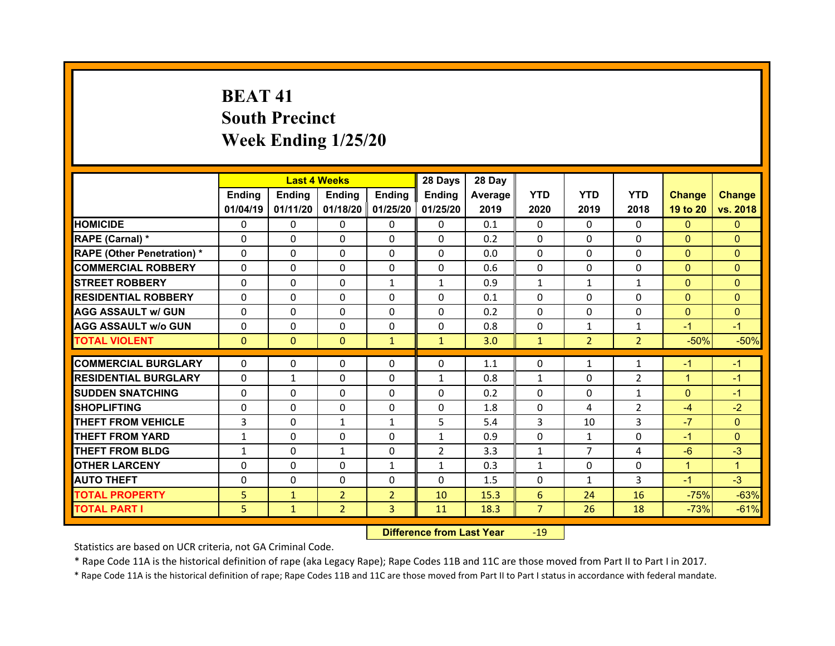## **BEAT 41South Precinct Week Ending 1/25/20**

|                                   |              | <b>Last 4 Weeks</b> |                |                   | 28 Days        | 28 Day  |                |                |                |                |               |
|-----------------------------------|--------------|---------------------|----------------|-------------------|----------------|---------|----------------|----------------|----------------|----------------|---------------|
|                                   | Ending       | <b>Ending</b>       | <b>Ending</b>  | <b>Ending</b>     | Ending         | Average | <b>YTD</b>     | <b>YTD</b>     | <b>YTD</b>     | <b>Change</b>  | <b>Change</b> |
|                                   | 01/04/19     | 01/11/20            |                | 01/18/20 01/25/20 | 01/25/20       | 2019    | 2020           | 2019           | 2018           | 19 to 20       | vs. 2018      |
| <b>HOMICIDE</b>                   | $\Omega$     | 0                   | $\Omega$       | $\Omega$          | $\Omega$       | 0.1     | $\Omega$       | $\Omega$       | $\Omega$       | $\Omega$       | $\Omega$      |
| RAPE (Carnal) *                   | $\Omega$     | $\Omega$            | $\Omega$       | $\Omega$          | $\Omega$       | 0.2     | $\Omega$       | $\Omega$       | $\Omega$       | $\Omega$       | $\Omega$      |
| <b>RAPE (Other Penetration) *</b> | $\Omega$     | $\Omega$            | $\mathbf{0}$   | $\Omega$          | $\Omega$       | 0.0     | $\Omega$       | $\Omega$       | $\Omega$       | $\overline{0}$ | $\Omega$      |
| <b>COMMERCIAL ROBBERY</b>         | $\Omega$     | $\Omega$            | $\mathbf{0}$   | $\Omega$          | $\Omega$       | 0.6     | $\Omega$       | $\Omega$       | $\Omega$       | $\overline{0}$ | $\Omega$      |
| <b>STREET ROBBERY</b>             | $\Omega$     | $\Omega$            | $\Omega$       | $\mathbf{1}$      | $\mathbf{1}$   | 0.9     | $\mathbf{1}$   | $\mathbf{1}$   | $\mathbf{1}$   | $\mathbf{0}$   | $\Omega$      |
| <b>RESIDENTIAL ROBBERY</b>        | $\Omega$     | $\Omega$            | $\mathbf{0}$   | $\Omega$          | $\Omega$       | 0.1     | $\Omega$       | $\Omega$       | $\Omega$       | $\overline{0}$ | $\Omega$      |
| <b>AGG ASSAULT w/ GUN</b>         | $\Omega$     | 0                   | $\mathbf{0}$   | $\Omega$          | $\Omega$       | 0.2     | $\Omega$       | $\Omega$       | $\Omega$       | $\mathbf{0}$   | $\Omega$      |
| <b>AGG ASSAULT w/o GUN</b>        | $\Omega$     | $\Omega$            | $\mathbf{0}$   | $\Omega$          | $\Omega$       | 0.8     | $\Omega$       | $\mathbf{1}$   | $\mathbf{1}$   | $-1$           | $-1$          |
| <b>TOTAL VIOLENT</b>              | $\mathbf{0}$ | $\mathbf{0}$        | $\mathbf{0}$   | $\mathbf{1}$      | $\mathbf{1}$   | 3.0     | $\mathbf{1}$   | 2 <sup>1</sup> | $\overline{2}$ | $-50%$         | $-50%$        |
|                                   |              |                     |                |                   |                |         |                |                |                |                |               |
| <b>COMMERCIAL BURGLARY</b>        | 0            | 0                   | 0              | $\Omega$          | 0              | 1.1     | 0              | 1              | $\mathbf{1}$   | $-1$           | $-1$          |
| <b>RESIDENTIAL BURGLARY</b>       | 0            | $\mathbf{1}$        | $\Omega$       | $\Omega$          | $\mathbf{1}$   | 0.8     | $\mathbf{1}$   | $\Omega$       | $\overline{2}$ | $\mathbf{1}$   | $-1$          |
| <b>SUDDEN SNATCHING</b>           | 0            |                     |                | $\Omega$          |                |         | $\Omega$       |                |                |                | $-1$          |
|                                   |              | 0                   | $\mathbf{0}$   |                   | 0              | 0.2     |                | $\Omega$       | $\mathbf{1}$   | $\mathbf{0}$   |               |
| <b>SHOPLIFTING</b>                | 0            | 0                   | 0              | $\Omega$          | 0              | 1.8     | 0              | 4              | $\overline{2}$ | $-4$           | $-2$          |
| <b>THEFT FROM VEHICLE</b>         | 3            | $\Omega$            | $\mathbf{1}$   | $\mathbf{1}$      | 5              | 5.4     | 3              | 10             | 3              | $-7$           | $\Omega$      |
| <b>THEFT FROM YARD</b>            | $\mathbf{1}$ | 0                   | $\Omega$       | $\Omega$          | $\mathbf{1}$   | 0.9     | $\Omega$       | $\mathbf{1}$   | $\Omega$       | $-1$           | $\Omega$      |
| <b>THEFT FROM BLDG</b>            | $\mathbf{1}$ | 0                   | $\mathbf{1}$   | $\mathbf{0}$      | $\overline{2}$ | 3.3     | $\mathbf{1}$   | $\overline{7}$ | 4              | $-6$           | $-3$          |
| <b>OTHER LARCENY</b>              | 0            | 0                   | $\Omega$       | 1                 | $\mathbf{1}$   | 0.3     | $\mathbf{1}$   | $\Omega$       | $\Omega$       | $\mathbf{1}$   | $\mathbf{1}$  |
| <b>AUTO THEFT</b>                 | $\mathbf{0}$ | 0                   | $\mathbf{0}$   | $\Omega$          | 0              | 1.5     | 0              | $\mathbf{1}$   | 3              | $-1$           | $-3$          |
| <b>TOTAL PROPERTY</b>             | 5            | $\mathbf{1}$        | $\overline{2}$ | $\overline{2}$    | 10             | 15.3    | 6              | 24             | 16             | $-75%$         | $-63%$        |
| <b>TOTAL PART I</b>               | 5            | $\mathbf{1}$        | $\overline{2}$ | 3                 | 11             | 18.3    | $\overline{7}$ | 26             | 18             | $-73%$         | $-61%$        |

 **Difference from Last Year**r - 19

Statistics are based on UCR criteria, not GA Criminal Code.

\* Rape Code 11A is the historical definition of rape (aka Legacy Rape); Rape Codes 11B and 11C are those moved from Part II to Part I in 2017.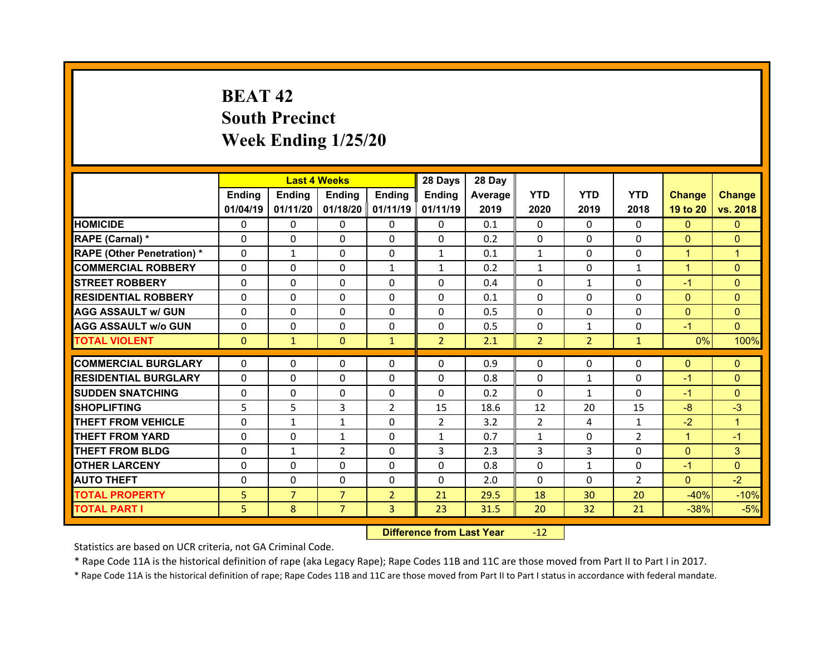## **BEAT 42South Precinct Week Ending 1/25/20**

|                                   |              | <b>Last 4 Weeks</b> |                |                   | 28 Days        | 28 Day  |                |                |                |                |                |
|-----------------------------------|--------------|---------------------|----------------|-------------------|----------------|---------|----------------|----------------|----------------|----------------|----------------|
|                                   | Ending       | Ending              | Ending         | <b>Ending</b>     | Ending         | Average | <b>YTD</b>     | <b>YTD</b>     | <b>YTD</b>     | <b>Change</b>  | <b>Change</b>  |
|                                   | 01/04/19     | 01/11/20            |                | 01/18/20 01/11/19 | 01/11/19       | 2019    | 2020           | 2019           | 2018           | 19 to 20       | vs. 2018       |
| <b>HOMICIDE</b>                   | $\Omega$     | 0                   | $\Omega$       | $\Omega$          | 0              | 0.1     | $\Omega$       | $\Omega$       | $\Omega$       | $\mathbf{0}$   | $\mathbf{0}$   |
| RAPE (Carnal) *                   | $\Omega$     | 0                   | $\mathbf{0}$   | $\mathbf{0}$      | 0              | 0.2     | 0              | $\Omega$       | $\Omega$       | $\mathbf{0}$   | $\Omega$       |
| <b>RAPE (Other Penetration) *</b> | $\Omega$     | $\mathbf{1}$        | $\Omega$       | $\Omega$          | $\mathbf{1}$   | 0.1     | $\mathbf{1}$   | $\Omega$       | $\Omega$       | $\mathbf{1}$   | 1              |
| <b>COMMERCIAL ROBBERY</b>         | $\Omega$     | $\Omega$            | $\mathbf{0}$   | $\mathbf{1}$      | $\mathbf{1}$   | 0.2     | $\mathbf{1}$   | $\Omega$       | $\mathbf{1}$   | $\mathbf{1}$   | $\Omega$       |
| <b>STREET ROBBERY</b>             | $\Omega$     | $\Omega$            | $\Omega$       | $\Omega$          | $\Omega$       | 0.4     | $\Omega$       | $\mathbf{1}$   | $\Omega$       | $-1$           | $\Omega$       |
| <b>RESIDENTIAL ROBBERY</b>        | $\Omega$     | $\Omega$            | $\mathbf{0}$   | $\Omega$          | $\Omega$       | 0.1     | $\Omega$       | $\Omega$       | $\Omega$       | $\overline{0}$ | $\Omega$       |
| <b>AGG ASSAULT w/ GUN</b>         | $\Omega$     | $\Omega$            | $\Omega$       | $\Omega$          | $\Omega$       | 0.5     | $\Omega$       | $\Omega$       | $\Omega$       | $\overline{0}$ | $\Omega$       |
| <b>AGG ASSAULT w/o GUN</b>        | 0            | 0                   | $\mathbf{0}$   | $\Omega$          | $\Omega$       | 0.5     | $\Omega$       | $\mathbf{1}$   | $\Omega$       | $-1$           | $\Omega$       |
| <b>TOTAL VIOLENT</b>              | $\mathbf{0}$ | $\mathbf{1}$        | $\mathbf{0}$   | $\mathbf{1}$      | $\overline{2}$ | 2.1     | $\overline{2}$ | $\overline{2}$ | $\mathbf{1}$   | 0%             | 100%           |
|                                   |              |                     |                |                   |                |         |                |                |                |                |                |
| <b>COMMERCIAL BURGLARY</b>        | 0            | 0                   | 0              | $\Omega$          | 0              | 0.9     | 0              | $\Omega$       | $\Omega$       | $\mathbf{0}$   | $\mathbf{0}$   |
| <b>RESIDENTIAL BURGLARY</b>       | 0            | $\Omega$            | 0              | $\Omega$          | 0              | 0.8     | 0              | $\mathbf{1}$   | $\Omega$       | $-1$           | $\mathbf{0}$   |
| <b>SUDDEN SNATCHING</b>           | 0            | 0                   | 0              | $\Omega$          | 0              | 0.2     | $\Omega$       | $\mathbf{1}$   | $\Omega$       | $-1$           | $\Omega$       |
| <b>SHOPLIFTING</b>                | 5            | 5                   | 3              | $\overline{2}$    | 15             | 18.6    | 12             | 20             | 15             | $-8$           | $-3$           |
| <b>THEFT FROM VEHICLE</b>         | 0            | $\mathbf{1}$        | $\mathbf{1}$   | $\Omega$          | $\overline{2}$ | 3.2     | $\overline{2}$ | 4              | $\mathbf{1}$   | $-2$           | $\overline{1}$ |
| <b>THEFT FROM YARD</b>            | 0            | $\Omega$            | $\mathbf{1}$   | $\Omega$          | $\mathbf{1}$   | 0.7     | $\mathbf{1}$   | $\Omega$       | $\overline{2}$ | $\mathbf{1}$   | $-1$           |
| <b>THEFT FROM BLDG</b>            | $\mathbf{0}$ | $\mathbf{1}$        | $\overline{2}$ | $\Omega$          | 3              | 2.3     | 3              | 3              | $\Omega$       | $\mathbf{0}$   | 3              |
| <b>OTHER LARCENY</b>              | $\Omega$     | $\Omega$            | $\Omega$       | $\Omega$          | $\Omega$       | 0.8     | $\Omega$       | $\mathbf{1}$   | $\Omega$       | $-1$           | $\Omega$       |
| <b>AUTO THEFT</b>                 | $\mathbf{0}$ | $\Omega$            | $\mathbf{0}$   | $\Omega$          | $\Omega$       | 2.0     | $\Omega$       | $\Omega$       | $\overline{2}$ | $\Omega$       | $-2$           |
|                                   |              |                     |                |                   |                |         |                |                |                |                |                |
| <b>TOTAL PROPERTY</b>             | 5            | $\overline{7}$      | $\overline{7}$ | $\overline{2}$    | 21             | 29.5    | 18             | 30             | 20             | $-40%$         | $-10%$         |

 **Difference from Last Year**r -12

Statistics are based on UCR criteria, not GA Criminal Code.

\* Rape Code 11A is the historical definition of rape (aka Legacy Rape); Rape Codes 11B and 11C are those moved from Part II to Part I in 2017.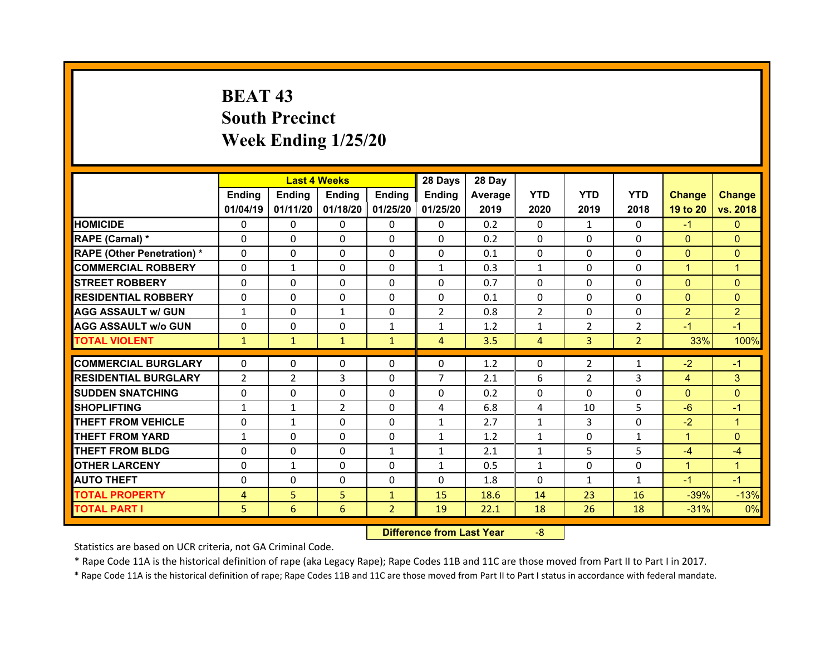## **BEAT 43 South Precinct Week Ending 1/25/20**

|                                   |                | <b>Last 4 Weeks</b> |               |                   | 28 Days        | 28 Day  |                |                |                |                |                |
|-----------------------------------|----------------|---------------------|---------------|-------------------|----------------|---------|----------------|----------------|----------------|----------------|----------------|
|                                   | Ending         | <b>Ending</b>       | <b>Ending</b> | Ending            | <b>Ending</b>  | Average | <b>YTD</b>     | <b>YTD</b>     | <b>YTD</b>     | <b>Change</b>  | <b>Change</b>  |
|                                   | 01/04/19       | 01/11/20            |               | 01/18/20 01/25/20 | 01/25/20       | 2019    | 2020           | 2019           | 2018           | 19 to 20       | vs. 2018       |
| <b>HOMICIDE</b>                   | $\Omega$       | 0                   | 0             | $\Omega$          | $\Omega$       | 0.2     | $\Omega$       | $\mathbf{1}$   | $\Omega$       | $-1$           | $\Omega$       |
| RAPE (Carnal) *                   | $\mathbf{0}$   | 0                   | $\mathbf{0}$  | $\mathbf{0}$      | $\Omega$       | 0.2     | 0              | $\Omega$       | $\Omega$       | $\mathbf{0}$   | $\Omega$       |
| <b>RAPE (Other Penetration) *</b> | $\Omega$       | 0                   | $\mathbf{0}$  | $\Omega$          | $\Omega$       | 0.1     | $\Omega$       | $\Omega$       | $\Omega$       | $\overline{0}$ | $\Omega$       |
| <b>COMMERCIAL ROBBERY</b>         | 0              | $\mathbf{1}$        | $\mathbf{0}$  | $\Omega$          | $\mathbf{1}$   | 0.3     | $\mathbf{1}$   | $\Omega$       | $\Omega$       | $\mathbf{1}$   | $\mathbf{1}$   |
| <b>STREET ROBBERY</b>             | $\Omega$       | 0                   | $\Omega$      | $\Omega$          | $\Omega$       | 0.7     | $\Omega$       | $\Omega$       | $\Omega$       | $\mathbf{0}$   | $\Omega$       |
| <b>RESIDENTIAL ROBBERY</b>        | $\Omega$       | 0                   | 0             | $\Omega$          | $\Omega$       | 0.1     | $\Omega$       | $\Omega$       | $\Omega$       | $\overline{0}$ | $\Omega$       |
| <b>AGG ASSAULT w/ GUN</b>         | $\mathbf{1}$   | $\Omega$            | $\mathbf{1}$  | $\Omega$          | $\overline{2}$ | 0.8     | $\overline{2}$ | $\Omega$       | $\Omega$       | $\overline{2}$ | $\overline{2}$ |
| <b>AGG ASSAULT w/o GUN</b>        | 0              | 0                   | $\mathbf 0$   | $\mathbf{1}$      | $\mathbf{1}$   | 1.2     | $\mathbf{1}$   | $\overline{2}$ | $\overline{2}$ | $-1$           | $-1$           |
| <b>TOTAL VIOLENT</b>              | $\mathbf{1}$   | $\mathbf{1}$        | $\mathbf{1}$  | $\mathbf{1}$      | $\overline{4}$ | 3.5     | $\overline{4}$ | 3              | $\overline{2}$ | 33%            | 100%           |
| <b>COMMERCIAL BURGLARY</b>        | 0              | 0                   | 0             | $\mathbf{0}$      | 0              | 1.2     | 0              | $\overline{2}$ | 1              | $-2$           | $-1$           |
|                                   |                |                     |               |                   | $\overline{7}$ |         |                |                |                |                |                |
| <b>RESIDENTIAL BURGLARY</b>       | $\overline{2}$ | $\overline{2}$      | 3             | $\Omega$          |                | 2.1     | 6              | $\overline{2}$ | 3              | $\overline{4}$ | 3              |
| <b>SUDDEN SNATCHING</b>           |                |                     |               |                   |                |         |                |                |                |                |                |
|                                   | $\mathbf{0}$   | $\Omega$            | $\Omega$      | $\Omega$          | $\Omega$       | 0.2     | $\Omega$       | $\Omega$       | $\Omega$       | $\overline{0}$ | $\Omega$       |
| <b>SHOPLIFTING</b>                | $\mathbf{1}$   | $\mathbf{1}$        | 2             | $\Omega$          | 4              | 6.8     | 4              | 10             | 5              | $-6$           | $-1$           |
| <b>THEFT FROM VEHICLE</b>         | 0              | $\mathbf{1}$        | $\Omega$      | $\Omega$          | $\mathbf{1}$   | 2.7     | $\mathbf{1}$   | 3              | $\Omega$       | $-2$           | $\mathbf{1}$   |
| <b>THEFT FROM YARD</b>            | $\mathbf{1}$   | 0                   | $\Omega$      | $\Omega$          | $\mathbf{1}$   | 1.2     | $\mathbf{1}$   | $\Omega$       | $\mathbf{1}$   | $\mathbf{1}$   | $\Omega$       |
| <b>THEFT FROM BLDG</b>            | $\Omega$       | $\Omega$            | $\mathbf{0}$  | $\mathbf{1}$      | $\mathbf{1}$   | 2.1     | $\mathbf{1}$   | 5              | 5              | $-4$           | $-4$           |
| <b>OTHER LARCENY</b>              | $\Omega$       | $\mathbf{1}$        | $\Omega$      | $\Omega$          | $\mathbf{1}$   | 0.5     | $\mathbf{1}$   | $\Omega$       | $\Omega$       | $\mathbf{1}$   | $\mathbf{1}$   |
| <b>AUTO THEFT</b>                 | $\mathbf{0}$   | 0                   | $\mathbf{0}$  | $\mathbf{0}$      | $\Omega$       | 1.8     | $\Omega$       | $\mathbf{1}$   | $\mathbf{1}$   | $-1$           | $-1$           |
| <b>TOTAL PROPERTY</b>             | 4              | 5                   | 5             | $\mathbf{1}$      | 15             | 18.6    | 14             | 23             | 16             | $-39%$         | $-13%$         |
| <b>TOTAL PART I</b>               | 5              | 6                   | 6             | $\overline{2}$    | 19             | 22.1    | 18             | 26             | 18             | $-31%$         | 0%             |

 **Difference from Last Year**‐8

Statistics are based on UCR criteria, not GA Criminal Code.

\* Rape Code 11A is the historical definition of rape (aka Legacy Rape); Rape Codes 11B and 11C are those moved from Part II to Part I in 2017.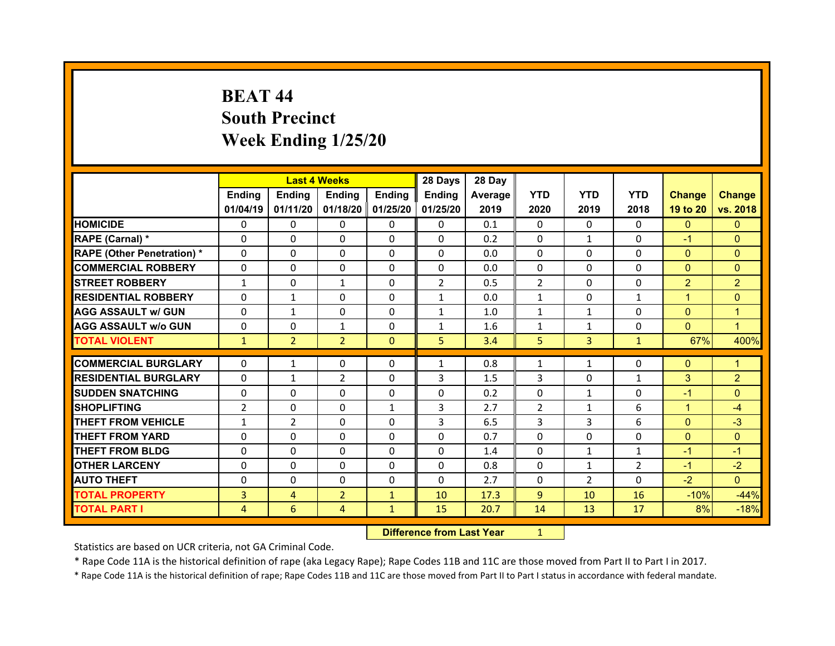## **BEAT 44South Precinct Week Ending 1/25/20**

|                                   |                | <b>Last 4 Weeks</b> |                |                   | 28 Days        | 28 Day  |              |                |                |                |                |
|-----------------------------------|----------------|---------------------|----------------|-------------------|----------------|---------|--------------|----------------|----------------|----------------|----------------|
|                                   | <b>Ending</b>  | <b>Endina</b>       | <b>Ending</b>  | Ending            | <b>Ending</b>  | Average | <b>YTD</b>   | <b>YTD</b>     | <b>YTD</b>     | <b>Change</b>  | <b>Change</b>  |
|                                   | 01/04/19       | 01/11/20            |                | 01/18/20 01/25/20 | 01/25/20       | 2019    | 2020         | 2019           | 2018           | 19 to 20       | vs. 2018       |
| <b>HOMICIDE</b>                   | 0              | 0                   | 0              | $\mathbf{0}$      | 0              | 0.1     | 0            | $\Omega$       | $\Omega$       | $\mathbf{0}$   | $\mathbf{0}$   |
| RAPE (Carnal) *                   | 0              | 0                   | $\mathbf{0}$   | $\Omega$          | 0              | 0.2     | 0            | $\mathbf{1}$   | $\Omega$       | $-1$           | $\Omega$       |
| <b>RAPE (Other Penetration) *</b> | 0              | 0                   | $\Omega$       | $\Omega$          | $\Omega$       | 0.0     | $\Omega$     | $\Omega$       | $\Omega$       | $\mathbf{0}$   | $\Omega$       |
| <b>COMMERCIAL ROBBERY</b>         | $\Omega$       | 0                   | $\mathbf{0}$   | $\Omega$          | 0              | 0.0     | 0            | $\Omega$       | $\Omega$       | $\overline{0}$ | $\Omega$       |
| <b>STREET ROBBERY</b>             | $\mathbf{1}$   | 0                   | $\mathbf{1}$   | $\Omega$          | $\overline{2}$ | 0.5     | 2            | $\Omega$       | 0              | $\overline{2}$ | $\overline{2}$ |
| <b>RESIDENTIAL ROBBERY</b>        | $\Omega$       | $\mathbf{1}$        | $\mathbf{0}$   | $\Omega$          | $\mathbf{1}$   | 0.0     | $\mathbf{1}$ | $\Omega$       | $\mathbf{1}$   | $\mathbf{1}$   | $\Omega$       |
| <b>AGG ASSAULT w/ GUN</b>         | 0              | $\mathbf{1}$        | $\Omega$       | $\Omega$          | $\mathbf{1}$   | 1.0     | $\mathbf{1}$ | $\mathbf{1}$   | $\Omega$       | $\overline{0}$ | 1              |
| <b>AGG ASSAULT w/o GUN</b>        | $\mathbf{0}$   | 0                   | $\mathbf{1}$   | $\mathbf{0}$      | $\mathbf{1}$   | 1.6     | $\mathbf{1}$ | $\mathbf{1}$   | $\Omega$       | $\overline{0}$ | $\mathbf 1$    |
| <b>TOTAL VIOLENT</b>              | $\mathbf{1}$   | $\overline{2}$      | $\overline{2}$ | $\Omega$          | 5              | 3.4     | 5            | $\overline{3}$ | $\mathbf{1}$   | 67%            | 400%           |
|                                   |                |                     |                |                   |                |         |              |                |                |                |                |
| <b>COMMERCIAL BURGLARY</b>        | 0              | $\mathbf{1}$        | 0              | 0                 | $\mathbf{1}$   | 0.8     | $\mathbf{1}$ | $\mathbf{1}$   | $\Omega$       | $\mathbf{0}$   | 1              |
| <b>RESIDENTIAL BURGLARY</b>       | 0              | $\mathbf{1}$        | $\overline{2}$ | $\Omega$          | 3              | 1.5     | 3            | $\Omega$       | $\mathbf{1}$   | 3              | $\overline{2}$ |
| <b>SUDDEN SNATCHING</b>           | 0              | $\Omega$            | $\Omega$       | $\Omega$          | 0              | 0.2     | 0            | $\mathbf{1}$   | $\Omega$       | $-1$           | $\Omega$       |
| <b>SHOPLIFTING</b>                | $\overline{2}$ | 0                   | $\Omega$       | $\mathbf{1}$      | 3              | 2.7     | 2            | $\mathbf{1}$   | 6              | $\mathbf{1}$   | $-4$           |
| <b>THEFT FROM VEHICLE</b>         | $\mathbf{1}$   | $\overline{2}$      | 0              | 0                 | 3              | 6.5     | 3            | 3              | 6              | $\overline{0}$ | $-3$           |
| <b>THEFT FROM YARD</b>            | 0              | $\Omega$            | $\Omega$       | $\Omega$          | 0              | 0.7     | $\Omega$     | $\Omega$       | $\Omega$       | $\overline{0}$ | $\Omega$       |
| <b>THEFT FROM BLDG</b>            | 0              | 0                   | 0              | $\Omega$          | 0              | 1.4     | 0            | $\mathbf{1}$   | $\mathbf{1}$   | $-1$           | $-1$           |
| <b>OTHER LARCENY</b>              | 0              | $\Omega$            | 0              | $\Omega$          | 0              | 0.8     | $\Omega$     | $\mathbf{1}$   | $\overline{2}$ | $-1$           | $-2$           |
| <b>AUTO THEFT</b>                 | 0              | $\Omega$            | $\Omega$       | $\Omega$          | $\Omega$       | 2.7     | 0            | $\overline{2}$ | $\Omega$       | $-2$           | $\Omega$       |
| <b>TOTAL PROPERTY</b>             | 3              | $\overline{4}$      | $\overline{2}$ | $\mathbf{1}$      | 10             | 17.3    | 9            | 10             | 16             | $-10%$         | $-44%$         |
| <b>TOTAL PART I</b>               | 4              | 6                   | 4              | $\mathbf{1}$      | 15             | 20.7    | 14           | 13             | 17             | 8%             | $-18%$         |
|                                   |                |                     |                |                   |                |         |              |                |                |                |                |

 **Difference from Last Year**r 1

Statistics are based on UCR criteria, not GA Criminal Code.

\* Rape Code 11A is the historical definition of rape (aka Legacy Rape); Rape Codes 11B and 11C are those moved from Part II to Part I in 2017.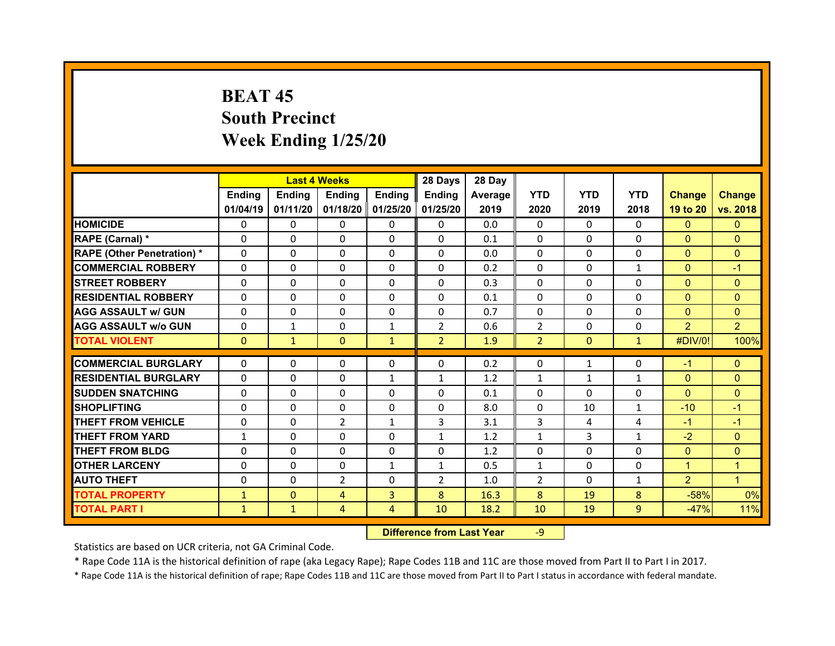## **BEAT 45 South Precinct Week Ending 1/25/20**

|                                  |              | <b>Last 4 Weeks</b> |              |                   | 28 Days        | 28 Day  |                |               |              |                |                |
|----------------------------------|--------------|---------------------|--------------|-------------------|----------------|---------|----------------|---------------|--------------|----------------|----------------|
|                                  | Ending       | Ending              | Ending       | <b>Ending</b>     | Ending         | Average | <b>YTD</b>     | <b>YTD</b>    | <b>YTD</b>   | <b>Change</b>  | <b>Change</b>  |
|                                  | 01/04/19     | 01/11/20            |              | 01/18/20 01/25/20 | 01/25/20       | 2019    | 2020           | 2019          | 2018         | 19 to 20       | vs. 2018       |
| <b>HOMICIDE</b>                  | $\Omega$     | 0                   | $\Omega$     | $\Omega$          | 0              | 0.0     | $\Omega$       | $\Omega$      | $\Omega$     | $\mathbf{0}$   | $\mathbf{0}$   |
| RAPE (Carnal) *                  | 0            | 0                   | $\mathbf{0}$ | $\Omega$          | 0              | 0.1     | $\Omega$       | $\Omega$      | $\Omega$     | $\mathbf{0}$   | $\Omega$       |
| <b>RAPE (Other Penetration)*</b> | 0            | $\Omega$            | $\Omega$     | $\Omega$          | 0              | 0.0     | $\Omega$       | $\Omega$      | $\Omega$     | $\overline{0}$ | $\Omega$       |
| <b>COMMERCIAL ROBBERY</b>        | $\Omega$     | 0                   | $\Omega$     | $\Omega$          | 0              | 0.2     | $\Omega$       | $\Omega$      | $\mathbf{1}$ | $\mathbf{0}$   | $-1$           |
| <b>STREET ROBBERY</b>            | $\Omega$     | $\Omega$            | $\mathbf{0}$ | $\Omega$          | 0              | 0.3     | $\Omega$       | $\Omega$      | $\Omega$     | $\overline{0}$ | $\Omega$       |
| <b>RESIDENTIAL ROBBERY</b>       | $\Omega$     | $\Omega$            | $\mathbf{0}$ | $\Omega$          | $\Omega$       | 0.1     | $\Omega$       | $\Omega$      | $\Omega$     | $\Omega$       | $\Omega$       |
| <b>AGG ASSAULT w/ GUN</b>        | $\Omega$     | 0                   | $\Omega$     | $\Omega$          | 0              | 0.7     | $\Omega$       | $\Omega$      | $\Omega$     | $\mathbf{0}$   | $\Omega$       |
| <b>AGG ASSAULT w/o GUN</b>       | $\Omega$     | $\mathbf{1}$        | $\mathbf{0}$ | $\mathbf{1}$      | $\overline{2}$ | 0.6     | $\overline{2}$ | $\Omega$      | $\Omega$     | $\overline{2}$ | $\overline{2}$ |
| <b>TOTAL VIOLENT</b>             | $\mathbf{0}$ | $\mathbf{1}$        | $\mathbf{0}$ | $\mathbf{1}$      | 2 <sup>1</sup> | 1.9     | $\overline{2}$ | $\mathbf{0}$  | $\mathbf{1}$ | #DIV/0!        | 100%           |
| <b>COMMERCIAL BURGLARY</b>       | 0            | 0                   | 0            | 0                 | 0              | 0.2     | 0              | $\mathbf{1}$  | 0            | $-1$           | $\mathbf{0}$   |
| <b>RESIDENTIAL BURGLARY</b>      | $\Omega$     |                     |              |                   |                |         |                |               |              |                |                |
|                                  |              | 0                   | 0            | 1                 | $\mathbf{1}$   | 1.2     | 1              | 1<br>$\Omega$ | $\mathbf{1}$ | $\mathbf{0}$   | $\mathbf{0}$   |
| <b>SUDDEN SNATCHING</b>          | 0            | $\Omega$            | $\mathbf{0}$ | $\Omega$          | 0              | 0.1     | 0              |               | $\Omega$     | $\overline{0}$ | $\Omega$       |
| <b>SHOPLIFTING</b>               | 0            | $\Omega$            | 0            | $\Omega$          | 0              | 8.0     | 0              | 10            | $\mathbf{1}$ | $-10$          | $-1$           |
| <b>THEFT FROM VEHICLE</b>        | 0            | 0                   | 2            | $\mathbf{1}$      | 3              | 3.1     | 3              | 4             | 4            | $-1$           | $-1$           |
| <b>THEFT FROM YARD</b>           | $\mathbf{1}$ | $\Omega$            | $\Omega$     | $\Omega$          | $\mathbf{1}$   | 1.2     | $\mathbf{1}$   | 3             | $\mathbf{1}$ | $-2$           | $\Omega$       |
| <b>THEFT FROM BLDG</b>           | 0            | 0                   | $\mathbf{0}$ | $\Omega$          | 0              | 1.2     | 0              | $\Omega$      | $\Omega$     | $\mathbf{0}$   | $\Omega$       |
| <b>OTHER LARCENY</b>             | 0            | 0                   | $\Omega$     | $\mathbf{1}$      | $\mathbf{1}$   | 0.5     | $\mathbf{1}$   | $\Omega$      | $\Omega$     | $\mathbf{1}$   | 1              |
| <b>AUTO THEFT</b>                | 0            | 0                   | 2            | $\Omega$          | $\overline{2}$ | 1.0     | 2              | $\Omega$      | $\mathbf{1}$ | $\overline{2}$ | $\mathbf{1}$   |
| <b>TOTAL PROPERTY</b>            | $\mathbf{1}$ | $\Omega$            | 4            | $\overline{3}$    | 8              | 16.3    | 8              | 19            | 8            | $-58%$         | 0%             |
| <b>TOTAL PART I</b>              | $\mathbf{1}$ | $\mathbf{1}$        | 4            | $\overline{4}$    | 10             | 18.2    | 10             | 19            | 9            | $-47%$         | 11%            |
|                                  |              |                     |              |                   |                |         |                |               |              |                |                |

 **Difference from Last Year**r -9

Statistics are based on UCR criteria, not GA Criminal Code.

\* Rape Code 11A is the historical definition of rape (aka Legacy Rape); Rape Codes 11B and 11C are those moved from Part II to Part I in 2017.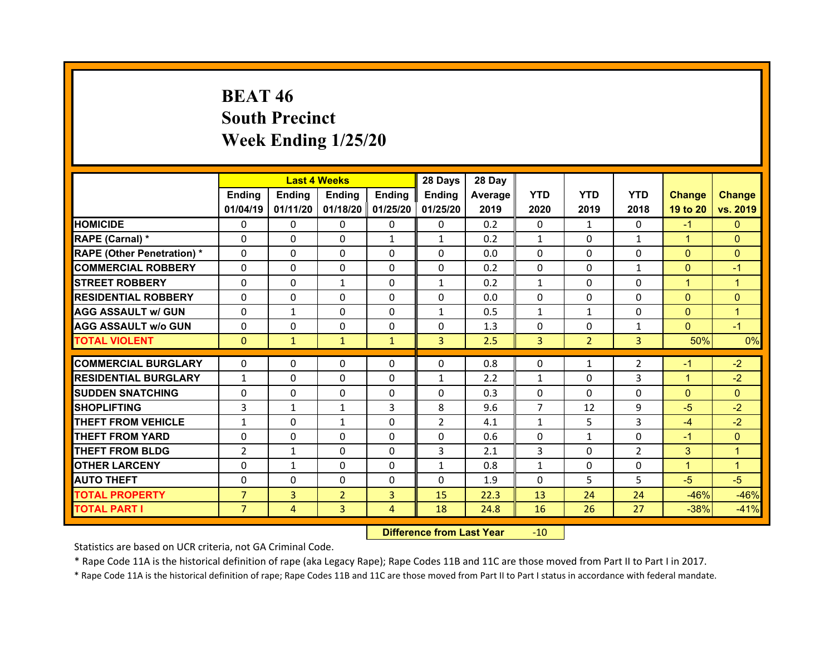## **BEAT 46 South Precinct Week Ending 1/25/20**

|                                  |                | <b>Last 4 Weeks</b> |                |                   | 28 Days        | 28 Day  |                |                |                |               |               |
|----------------------------------|----------------|---------------------|----------------|-------------------|----------------|---------|----------------|----------------|----------------|---------------|---------------|
|                                  | <b>Ending</b>  | <b>Ending</b>       | Ending         | <b>Ending</b>     | Ending         | Average | <b>YTD</b>     | <b>YTD</b>     | <b>YTD</b>     | <b>Change</b> | <b>Change</b> |
|                                  | 01/04/19       | 01/11/20            |                | 01/18/20 01/25/20 | 01/25/20       | 2019    | 2020           | 2019           | 2018           | 19 to 20      | vs. 2019      |
| <b>HOMICIDE</b>                  | $\Omega$       | 0                   | $\Omega$       | 0                 | $\Omega$       | 0.2     | $\Omega$       | $\mathbf{1}$   | 0              | $-1$          | $\Omega$      |
| RAPE (Carnal) *                  | $\Omega$       | $\Omega$            | $\Omega$       | $\mathbf{1}$      | $\mathbf{1}$   | 0.2     | $\mathbf{1}$   | $\Omega$       | $\mathbf{1}$   | $\mathbf{1}$  | $\Omega$      |
| <b>RAPE (Other Penetration)*</b> | $\Omega$       | $\Omega$            | $\Omega$       | $\Omega$          | $\Omega$       | 0.0     | $\Omega$       | 0              | 0              | $\mathbf{0}$  | $\Omega$      |
| <b>COMMERCIAL ROBBERY</b>        | $\Omega$       | $\Omega$            | $\Omega$       | $\Omega$          | $\Omega$       | 0.2     | $\Omega$       | 0              | $\mathbf{1}$   | $\mathbf{0}$  | $-1$          |
| <b>STREET ROBBERY</b>            | $\Omega$       | $\Omega$            | $\mathbf{1}$   | $\Omega$          | $\mathbf{1}$   | 0.2     | $\mathbf{1}$   | $\Omega$       | 0              | $\mathbf{1}$  | $\mathbf{1}$  |
| <b>RESIDENTIAL ROBBERY</b>       | $\Omega$       | $\Omega$            | $\Omega$       | $\Omega$          | $\Omega$       | 0.0     | $\Omega$       | $\Omega$       | $\Omega$       | $\Omega$      | $\Omega$      |
| <b>AGG ASSAULT w/ GUN</b>        | $\Omega$       | $\mathbf{1}$        | $\Omega$       | $\Omega$          | $\mathbf{1}$   | 0.5     | $\mathbf{1}$   | $\mathbf{1}$   | $\Omega$       | $\mathbf{0}$  | $\mathbf{1}$  |
| <b>AGG ASSAULT w/o GUN</b>       | $\Omega$       | $\Omega$            | $\Omega$       | $\Omega$          | $\Omega$       | 1.3     | $\mathbf{0}$   | $\Omega$       | $\mathbf{1}$   | $\mathbf{0}$  | $-1$          |
| <b>TOTAL VIOLENT</b>             | $\mathbf{0}$   | $\mathbf{1}$        | $\mathbf{1}$   | $\mathbf{1}$      | 3              | 2.5     | 3              | 2 <sup>1</sup> | $\overline{3}$ | 50%           | 0%            |
| <b>COMMERCIAL BURGLARY</b>       |                |                     |                |                   |                |         |                |                |                |               | $-2$          |
|                                  | 0              | 0                   | 0              | 0                 | 0              | 0.8     | 0              | $\mathbf{1}$   | $\overline{2}$ | -1            |               |
| <b>RESIDENTIAL BURGLARY</b>      | $\mathbf{1}$   | 0                   | 0              | 0                 | $\mathbf{1}$   | 2.2     | $\mathbf{1}$   | $\Omega$       | 3              | 1             | $-2$          |
| <b>SUDDEN SNATCHING</b>          | 0              | $\Omega$            | $\Omega$       | $\Omega$          | $\Omega$       | 0.3     | $\mathbf{0}$   | $\Omega$       | 0              | $\mathbf{0}$  | $\Omega$      |
| <b>SHOPLIFTING</b>               | 3              | $\mathbf{1}$        | $\mathbf{1}$   | 3                 | 8              | 9.6     | $\overline{7}$ | 12             | 9              | $-5$          | $-2$          |
| <b>THEFT FROM VEHICLE</b>        | $\mathbf{1}$   | $\Omega$            | $\mathbf{1}$   | 0                 | $\overline{2}$ | 4.1     | $\mathbf{1}$   | 5.             | $\overline{3}$ | $-4$          | $-2$          |
| <b>THEFT FROM YARD</b>           | 0              | $\Omega$            | $\Omega$       | $\Omega$          | $\Omega$       | 0.6     | $\Omega$       | $\mathbf{1}$   | 0              | $-1$          | $\Omega$      |
| <b>THEFT FROM BLDG</b>           | $\overline{2}$ | $\mathbf{1}$        | 0              | $\Omega$          | 3              | 2.1     | 3              | $\Omega$       | $\overline{2}$ | 3             | $\mathbf{1}$  |
| <b>OTHER LARCENY</b>             | $\Omega$       | $\mathbf{1}$        | $\Omega$       | $\Omega$          | $\mathbf{1}$   | 0.8     | $\mathbf{1}$   | 0              | 0              | $\mathbf{1}$  | $\mathbf{1}$  |
| <b>AUTO THEFT</b>                | 0              | 0                   | 0              | 0                 | $\Omega$       | 1.9     | $\Omega$       | 5.             | 5.             | $-5$          | $-5$          |
| <b>TOTAL PROPERTY</b>            | $\overline{7}$ | $\overline{3}$      | $\overline{2}$ | $\overline{3}$    | 15             | 22.3    | 13             | 24             | 24             | $-46%$        | $-46%$        |
| <b>TOTAL PART I</b>              | 7 <sup>1</sup> | $\overline{4}$      | 3              | $\overline{4}$    | 18             | 24.8    | 16             | 26             | 27             | $-38%$        | $-41%$        |
|                                  |                |                     |                |                   |                |         |                |                |                |               |               |

 **Difference from Last Year**r -10

Statistics are based on UCR criteria, not GA Criminal Code.

\* Rape Code 11A is the historical definition of rape (aka Legacy Rape); Rape Codes 11B and 11C are those moved from Part II to Part I in 2017.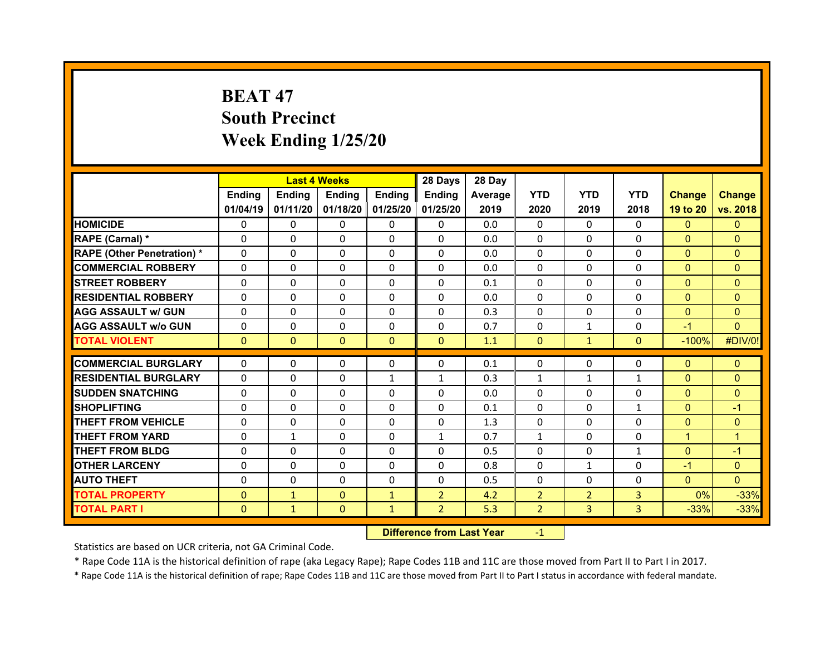## **BEAT 47South Precinct Week Ending 1/25/20**

|                                   | <b>Last 4 Weeks</b><br>Ending<br>Ending<br><b>Ending</b><br><b>Ending</b> |              |              |              | 28 Days        | 28 Day  |                |                |                |                |                |
|-----------------------------------|---------------------------------------------------------------------------|--------------|--------------|--------------|----------------|---------|----------------|----------------|----------------|----------------|----------------|
|                                   |                                                                           |              |              |              | Ending         | Average | <b>YTD</b>     | <b>YTD</b>     | <b>YTD</b>     | <b>Change</b>  | <b>Change</b>  |
|                                   | 01/04/19                                                                  | 01/11/20     | 01/18/20     | 01/25/20     | 01/25/20       | 2019    | 2020           | 2019           | 2018           | 19 to 20       | vs. 2018       |
| <b>HOMICIDE</b>                   | $\Omega$                                                                  | 0            | $\Omega$     | $\Omega$     | $\Omega$       | 0.0     | $\Omega$       | $\Omega$       | $\Omega$       | $\Omega$       | $\Omega$       |
| RAPE (Carnal) *                   | $\Omega$                                                                  | $\Omega$     | $\Omega$     | $\Omega$     | $\Omega$       | 0.0     | $\Omega$       | $\Omega$       | $\Omega$       | $\Omega$       | $\Omega$       |
| <b>RAPE (Other Penetration) *</b> | $\Omega$                                                                  | $\Omega$     | $\mathbf{0}$ | $\Omega$     | $\Omega$       | 0.0     | $\Omega$       | $\Omega$       | $\Omega$       | $\overline{0}$ | $\Omega$       |
| <b>COMMERCIAL ROBBERY</b>         | $\Omega$                                                                  | $\Omega$     | $\mathbf{0}$ | $\Omega$     | $\Omega$       | 0.0     | $\Omega$       | $\Omega$       | $\Omega$       | $\overline{0}$ | $\Omega$       |
| <b>STREET ROBBERY</b>             | $\Omega$                                                                  | $\Omega$     | $\Omega$     | $\Omega$     | 0              | 0.1     | $\Omega$       | $\Omega$       | $\Omega$       | $\mathbf{0}$   | $\Omega$       |
| <b>RESIDENTIAL ROBBERY</b>        | $\Omega$                                                                  | $\Omega$     | $\mathbf{0}$ | $\Omega$     | $\Omega$       | 0.0     | $\Omega$       | $\Omega$       | $\Omega$       | $\overline{0}$ | $\Omega$       |
| <b>AGG ASSAULT w/ GUN</b>         | $\Omega$                                                                  | 0            | $\mathbf{0}$ | $\Omega$     | $\Omega$       | 0.3     | 0              | $\Omega$       | $\Omega$       | $\mathbf{0}$   | $\Omega$       |
| <b>AGG ASSAULT w/o GUN</b>        | $\Omega$                                                                  | $\Omega$     | $\mathbf{0}$ | $\Omega$     | $\Omega$       | 0.7     | $\Omega$       | $\mathbf{1}$   | $\Omega$       | $-1$           | $\Omega$       |
| <b>TOTAL VIOLENT</b>              | $\mathbf{0}$                                                              | $\mathbf{0}$ | $\mathbf{0}$ | $\Omega$     | $\Omega$       | 1.1     | $\mathbf{0}$   | $\mathbf{1}$   | $\overline{0}$ | $-100%$        | #DIV/0!        |
| <b>COMMERCIAL BURGLARY</b>        | 0                                                                         |              |              |              |                |         |                | $\Omega$       |                |                |                |
|                                   |                                                                           | 0            | 0            | $\Omega$     | 0              | 0.1     | 0              |                | $\Omega$       | $\mathbf{0}$   | $\mathbf{0}$   |
| <b>RESIDENTIAL BURGLARY</b>       | 0                                                                         | $\Omega$     | $\Omega$     | $\mathbf{1}$ | $\mathbf{1}$   | 0.3     | $\mathbf{1}$   | $\mathbf{1}$   | $\mathbf{1}$   | $\mathbf{0}$   | $\overline{0}$ |
| <b>SUDDEN SNATCHING</b>           | 0                                                                         | 0            | $\mathbf{0}$ | $\Omega$     | 0              | 0.0     | $\Omega$       | $\Omega$       | $\Omega$       | $\overline{0}$ | $\Omega$       |
| <b>SHOPLIFTING</b>                | 0                                                                         | 0            | 0            | $\Omega$     | 0              | 0.1     | $\Omega$       | $\Omega$       | $\mathbf{1}$   | $\mathbf{0}$   | $-1$           |
| <b>THEFT FROM VEHICLE</b>         | 0                                                                         | $\Omega$     | $\mathbf{0}$ | $\mathbf{0}$ | $\Omega$       | 1.3     | 0              | $\Omega$       | $\Omega$       | $\overline{0}$ | $\Omega$       |
| <b>THEFT FROM YARD</b>            | 0                                                                         | $\mathbf{1}$ | $\Omega$     | $\Omega$     | $\mathbf{1}$   | 0.7     | $\mathbf{1}$   | $\Omega$       | $\Omega$       | $\mathbf{1}$   | 1              |
| <b>THEFT FROM BLDG</b>            | $\mathbf{0}$                                                              | 0            | $\mathbf{0}$ | $\Omega$     | 0              | 0.5     | 0              | $\Omega$       | $\mathbf{1}$   | $\overline{0}$ | $-1$           |
| <b>OTHER LARCENY</b>              | 0                                                                         | 0            | $\Omega$     | $\Omega$     | 0              | 0.8     | $\Omega$       | $\mathbf{1}$   | $\Omega$       | $-1$           | $\Omega$       |
|                                   |                                                                           |              | $\mathbf{0}$ | $\mathbf{0}$ | 0              | 0.5     | 0              | $\Omega$       | $\Omega$       | $\mathbf{0}$   | $\Omega$       |
| <b>AUTO THEFT</b>                 | 0                                                                         | 0            |              |              |                |         |                |                |                |                |                |
| <b>TOTAL PROPERTY</b>             | $\Omega$                                                                  | $\mathbf{1}$ | $\Omega$     | $\mathbf{1}$ | $\overline{2}$ | 4.2     | $\overline{2}$ | $\overline{2}$ | $\overline{3}$ | 0%             | $-33%$         |
| <b>TOTAL PART I</b>               | $\mathbf{0}$                                                              | $\mathbf{1}$ | $\mathbf 0$  | $\mathbf{1}$ | $\overline{2}$ | 5.3     | $\overline{2}$ | $\overline{3}$ | 3              | $-33%$         | $-33%$         |

 **Difference from Last Year**r -1

Statistics are based on UCR criteria, not GA Criminal Code.

\* Rape Code 11A is the historical definition of rape (aka Legacy Rape); Rape Codes 11B and 11C are those moved from Part II to Part I in 2017.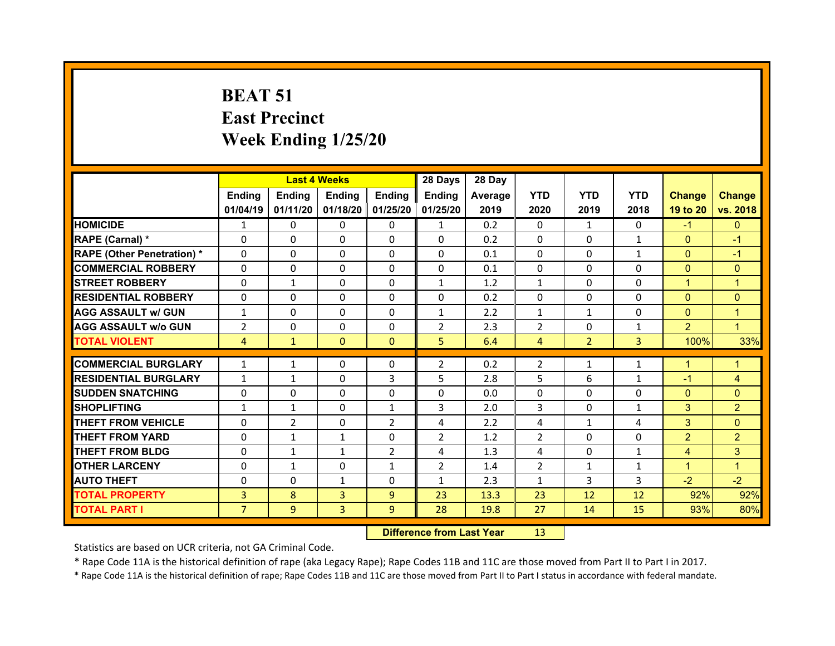## **BEAT 51 East Precinct Week Ending 1/25/20**

|                                   |                | <b>Last 4 Weeks</b> |                |                     | 28 Days        | 28 Day  |                |                |                |                |                |
|-----------------------------------|----------------|---------------------|----------------|---------------------|----------------|---------|----------------|----------------|----------------|----------------|----------------|
|                                   | <b>Ending</b>  | <b>Ending</b>       | <b>Ending</b>  | <b>Ending</b>       | <b>Ending</b>  | Average | <b>YTD</b>     | <b>YTD</b>     | <b>YTD</b>     | <b>Change</b>  | <b>Change</b>  |
|                                   | 01/04/19       | 01/11/20            |                | 01/18/20   01/25/20 | 01/25/20       | 2019    | 2020           | 2019           | 2018           | 19 to 20       | vs. 2018       |
| <b>HOMICIDE</b>                   | $\mathbf{1}$   | 0                   | 0              | $\Omega$            | $\mathbf{1}$   | 0.2     | $\Omega$       | $\mathbf{1}$   | $\Omega$       | $-1$           | $\Omega$       |
| RAPE (Carnal) *                   | $\Omega$       | $\Omega$            | $\Omega$       | $\Omega$            | $\Omega$       | 0.2     | $\Omega$       | $\Omega$       | $\mathbf{1}$   | $\overline{0}$ | $-1$           |
| <b>RAPE (Other Penetration) *</b> | $\Omega$       | $\Omega$            | $\Omega$       | $\Omega$            | $\Omega$       | 0.1     | $\Omega$       | $\Omega$       | $\mathbf{1}$   | $\overline{0}$ | $-1$           |
| <b>COMMERCIAL ROBBERY</b>         | $\Omega$       | $\Omega$            | $\Omega$       | $\Omega$            | $\Omega$       | 0.1     | $\Omega$       | $\Omega$       | $\Omega$       | $\overline{0}$ | $\Omega$       |
| <b>STREET ROBBERY</b>             | $\Omega$       | $\mathbf{1}$        | $\Omega$       | $\Omega$            | $\mathbf{1}$   | 1.2     | $\mathbf{1}$   | $\Omega$       | $\Omega$       | $\mathbf{1}$   | $\overline{1}$ |
| <b>RESIDENTIAL ROBBERY</b>        | $\Omega$       | $\Omega$            | $\Omega$       | $\Omega$            | $\Omega$       | 0.2     | $\Omega$       | $\Omega$       | $\Omega$       | $\overline{0}$ | $\Omega$       |
| <b>AGG ASSAULT W/ GUN</b>         | $\mathbf{1}$   | $\Omega$            | $\mathbf 0$    | $\Omega$            | $\mathbf{1}$   | 2.2     | $\mathbf{1}$   | $\mathbf{1}$   | $\Omega$       | $\overline{0}$ | $\mathbf{1}$   |
| <b>AGG ASSAULT w/o GUN</b>        | $\overline{2}$ | $\Omega$            | $\Omega$       | $\Omega$            | $\overline{2}$ | 2.3     | 2              | $\Omega$       | $\mathbf{1}$   | $\overline{2}$ | $\mathbf{1}$   |
| <b>TOTAL VIOLENT</b>              | $\overline{4}$ | $\mathbf{1}$        | $\mathbf{0}$   | $\mathbf{0}$        | 5              | 6.4     | $\overline{4}$ | 2 <sup>1</sup> | $\overline{3}$ | 100%           | 33%            |
| <b>COMMERCIAL BURGLARY</b>        |                | $\mathbf{1}$        | 0              | 0                   | $\overline{2}$ | 0.2     |                |                |                | $\mathbf{1}$   | 1              |
|                                   | $\mathbf{1}$   |                     |                |                     |                |         | $\overline{2}$ | 1              | 1              |                |                |
| <b>RESIDENTIAL BURGLARY</b>       | $\mathbf{1}$   | $\mathbf{1}$        | $\Omega$       | 3                   | 5              | 2.8     | 5              | 6              | $\mathbf{1}$   | $-1$           | 4              |
| <b>ISUDDEN SNATCHING</b>          | 0              | $\Omega$            | $\Omega$       | $\Omega$            | $\Omega$       | 0.0     | $\Omega$       | $\Omega$       | 0              | $\Omega$       | $\Omega$       |
| <b>SHOPLIFTING</b>                | $\mathbf{1}$   | $\mathbf{1}$        | 0              | $\mathbf{1}$        | 3              | 2.0     | 3              | $\Omega$       | $\mathbf{1}$   | 3              | $\overline{2}$ |
| <b>THEFT FROM VEHICLE</b>         | $\Omega$       | $\overline{2}$      | $\Omega$       | 2                   | 4              | 2.2     | 4              | $\mathbf{1}$   | 4              | 3              | $\Omega$       |
| <b>THEFT FROM YARD</b>            | $\Omega$       | $\mathbf{1}$        | $\mathbf{1}$   | $\Omega$            | $\overline{2}$ | 1.2     | $\overline{2}$ | $\Omega$       | 0              | $\overline{2}$ | $\overline{2}$ |
| <b>THEFT FROM BLDG</b>            | $\Omega$       | $\mathbf{1}$        | $\mathbf{1}$   | $\overline{2}$      | 4              | 1.3     | 4              | $\Omega$       | $\mathbf{1}$   | $\overline{4}$ | 3              |
| <b>OTHER LARCENY</b>              | 0              | $\mathbf{1}$        | $\Omega$       | $\mathbf{1}$        | $\overline{2}$ | 1.4     | $\overline{2}$ | $\mathbf{1}$   | $\mathbf{1}$   | $\mathbf{1}$   | $\mathbf{1}$   |
| <b>AUTO THEFT</b>                 | $\Omega$       | $\Omega$            | $\mathbf{1}$   | $\Omega$            | $\mathbf{1}$   | 2.3     | $\mathbf{1}$   | 3              | 3              | $-2$           | $-2$           |
| <b>TOTAL PROPERTY</b>             | 3              | 8                   | $\overline{3}$ | 9 <sup>°</sup>      | 23             | 13.3    | 23             | 12             | 12             | 92%            | 92%            |
| <b>TOTAL PART I</b>               | $\overline{7}$ | 9                   | 3              | 9                   | 28             | 19.8    | 27             | 14             | 15             | 93%            | 80%            |

 **Difference from Last Year**r 13

Statistics are based on UCR criteria, not GA Criminal Code.

\* Rape Code 11A is the historical definition of rape (aka Legacy Rape); Rape Codes 11B and 11C are those moved from Part II to Part I in 2017.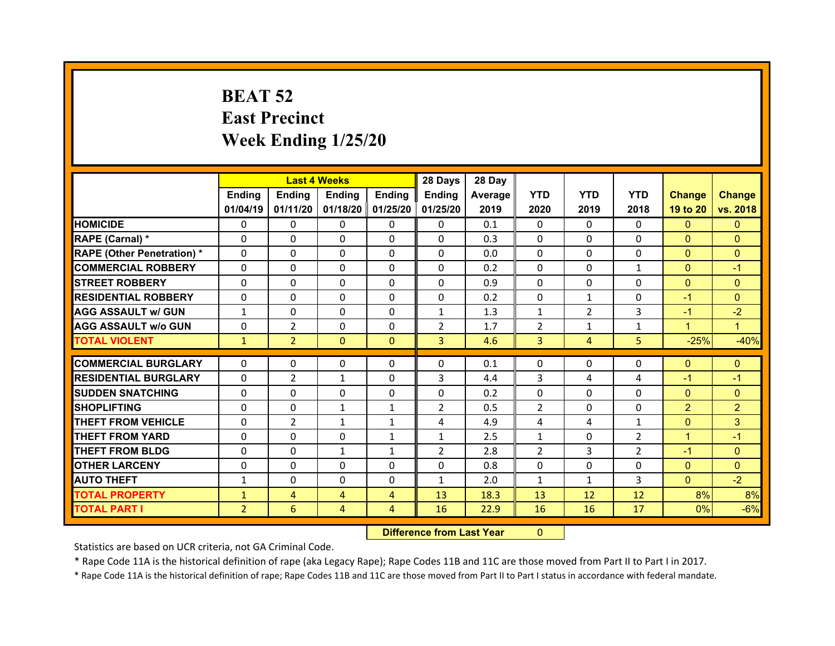## **BEAT 52 East Precinct Week Ending 1/25/20**

|                                  |                | <b>Last 4 Weeks</b> |              |                   | 28 Days        | 28 Day  |                |                |                |                |                |
|----------------------------------|----------------|---------------------|--------------|-------------------|----------------|---------|----------------|----------------|----------------|----------------|----------------|
|                                  | Ending         | Ending              | Ending       | <b>Ending</b>     | Ending         | Average | <b>YTD</b>     | <b>YTD</b>     | <b>YTD</b>     | <b>Change</b>  | <b>Change</b>  |
|                                  | 01/04/19       | 01/11/20            |              | 01/18/20 01/25/20 | 01/25/20       | 2019    | 2020           | 2019           | 2018           | 19 to 20       | vs. 2018       |
| <b>HOMICIDE</b>                  | $\Omega$       | 0                   | $\Omega$     | $\Omega$          | 0              | 0.1     | $\Omega$       | $\Omega$       | $\Omega$       | $\mathbf{0}$   | $\mathbf{0}$   |
| RAPE (Carnal) *                  | 0              | 0                   | $\mathbf{0}$ | $\Omega$          | 0              | 0.3     | $\Omega$       | $\Omega$       | $\Omega$       | $\mathbf{0}$   | $\Omega$       |
| <b>RAPE (Other Penetration)*</b> | 0              | $\Omega$            | $\Omega$     | $\Omega$          | $\Omega$       | 0.0     | $\Omega$       | $\Omega$       | $\Omega$       | $\overline{0}$ | $\Omega$       |
| <b>COMMERCIAL ROBBERY</b>        | $\Omega$       | 0                   | $\Omega$     | $\Omega$          | 0              | 0.2     | $\Omega$       | $\Omega$       | $\mathbf{1}$   | $\mathbf{0}$   | $-1$           |
| <b>STREET ROBBERY</b>            | $\Omega$       | $\Omega$            | $\mathbf{0}$ | $\Omega$          | $\Omega$       | 0.9     | $\Omega$       | $\Omega$       | $\Omega$       | $\overline{0}$ | $\Omega$       |
| <b>RESIDENTIAL ROBBERY</b>       | $\Omega$       | $\Omega$            | $\Omega$     | $\Omega$          | $\Omega$       | 0.2     | $\Omega$       | $\mathbf{1}$   | $\Omega$       | $-1$           | $\Omega$       |
| <b>AGG ASSAULT w/ GUN</b>        | $\mathbf{1}$   | 0                   | $\Omega$     | $\Omega$          | $\mathbf{1}$   | 1.3     | $\mathbf{1}$   | $\overline{2}$ | 3              | $-1$           | $-2$           |
| <b>AGG ASSAULT w/o GUN</b>       | $\Omega$       | $\overline{2}$      | $\mathbf{0}$ | $\Omega$          | $\overline{2}$ | 1.7     | $\overline{2}$ | $\mathbf{1}$   | $\mathbf{1}$   | $\mathbf{1}$   | $\mathbf{1}$   |
| <b>TOTAL VIOLENT</b>             | $\mathbf{1}$   | $\overline{2}$      | $\mathbf{0}$ | $\mathbf{0}$      | 3              | 4.6     | 3              | $\overline{4}$ | 5              | $-25%$         | $-40%$         |
| <b>COMMERCIAL BURGLARY</b>       | 0              | 0                   | 0            | 0                 | 0              | 0.1     | 0              | $\Omega$       | 0              | $\mathbf{0}$   | $\mathbf{0}$   |
|                                  | $\Omega$       |                     |              |                   |                |         |                |                |                |                |                |
| <b>RESIDENTIAL BURGLARY</b>      |                | $\overline{2}$      | $\mathbf{1}$ | $\Omega$          | 3              | 4.4     | 3              | 4              | 4              | $-1$           | $-1$           |
| <b>SUDDEN SNATCHING</b>          | 0              | $\Omega$            | $\Omega$     | $\Omega$          | 0              | 0.2     | $\Omega$       | $\Omega$       | $\Omega$       | $\overline{0}$ | $\Omega$       |
| <b>SHOPLIFTING</b>               | 0              | $\Omega$            | $\mathbf{1}$ | 1                 | $\overline{2}$ | 0.5     | 2              | $\Omega$       | $\Omega$       | $\overline{2}$ | $\overline{2}$ |
| <b>THEFT FROM VEHICLE</b>        | 0              | 2                   | $\mathbf{1}$ | $\mathbf{1}$      | 4              | 4.9     | 4              | 4              | $\mathbf{1}$   | $\mathbf{0}$   | 3              |
| <b>THEFT FROM YARD</b>           | 0              | $\Omega$            | $\Omega$     | $\mathbf{1}$      | $\mathbf{1}$   | 2.5     | $\mathbf{1}$   | $\Omega$       | $\overline{2}$ | $\mathbf{1}$   | $-1$           |
| <b>THEFT FROM BLDG</b>           | $\Omega$       | 0                   | $\mathbf{1}$ | $\mathbf{1}$      | $\overline{2}$ | 2.8     | 2              | 3              | $\overline{2}$ | $-1$           | $\Omega$       |
| <b>OTHER LARCENY</b>             | $\Omega$       | 0                   | $\Omega$     | $\Omega$          | $\Omega$       | 0.8     | $\Omega$       | $\Omega$       | $\Omega$       | $\mathbf{0}$   | $\Omega$       |
| <b>AUTO THEFT</b>                | $\mathbf{1}$   | 0                   | 0            | $\Omega$          | $\mathbf{1}$   | 2.0     | $\mathbf{1}$   | $\mathbf{1}$   | 3              | $\overline{0}$ | $-2$           |
| <b>TOTAL PROPERTY</b>            | $\mathbf{1}$   | $\overline{4}$      | 4            | $\overline{4}$    | 13             | 18.3    | 13             | 12             | 12             | 8%             | 8%             |
|                                  |                |                     |              |                   |                |         |                |                |                |                |                |
| <b>TOTAL PART I</b>              | $\overline{2}$ | 6                   | 4            | 4                 | 16             | 22.9    | 16             | 16             | 17             | 0%             | $-6%$          |

 **Difference from Last Year**r 0

Statistics are based on UCR criteria, not GA Criminal Code.

\* Rape Code 11A is the historical definition of rape (aka Legacy Rape); Rape Codes 11B and 11C are those moved from Part II to Part I in 2017.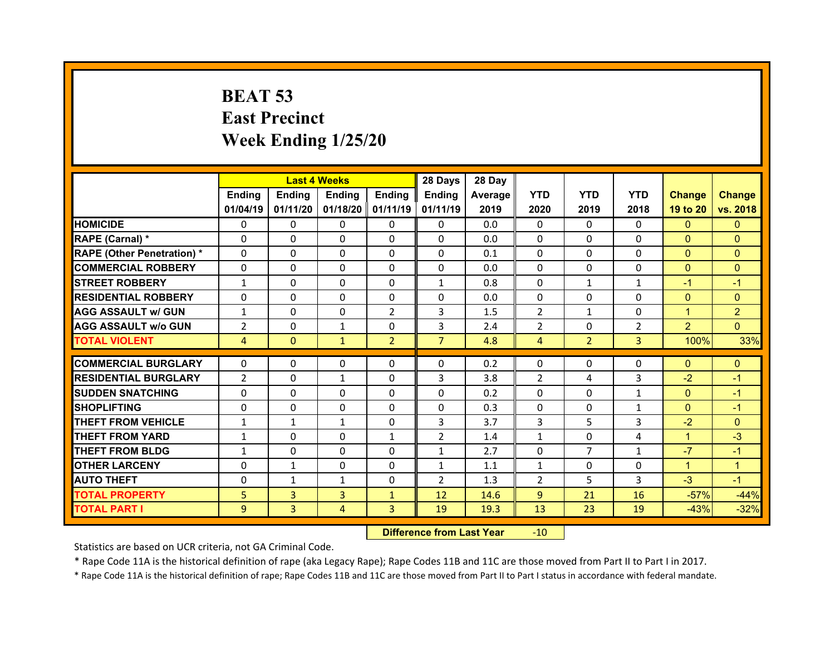## **BEAT 53 East Precinct Week Ending 1/25/20**

|                                  |                | <b>Last 4 Weeks</b> |               |                   | 28 Days        | 28 Day  |                |                |                |                |                |
|----------------------------------|----------------|---------------------|---------------|-------------------|----------------|---------|----------------|----------------|----------------|----------------|----------------|
|                                  | Ending         | Ending              | <b>Ending</b> | <b>Ending</b>     | Ending         | Average | <b>YTD</b>     | <b>YTD</b>     | <b>YTD</b>     | <b>Change</b>  | <b>Change</b>  |
|                                  | 01/04/19       | 01/11/20            |               | 01/18/20 01/11/19 | 01/11/19       | 2019    | 2020           | 2019           | 2018           | 19 to 20       | vs. 2018       |
| <b>HOMICIDE</b>                  | $\Omega$       | 0                   | $\Omega$      | $\Omega$          | 0              | 0.0     | $\Omega$       | $\Omega$       | $\Omega$       | $\mathbf{0}$   | $\mathbf{0}$   |
| RAPE (Carnal) *                  | 0              | $\Omega$            | $\Omega$      | $\Omega$          | 0              | 0.0     | $\Omega$       | $\Omega$       | $\Omega$       | $\mathbf{0}$   | $\Omega$       |
| <b>RAPE (Other Penetration)*</b> | 0              | $\Omega$            | $\Omega$      | $\Omega$          | $\Omega$       | 0.1     | $\Omega$       | $\Omega$       | $\Omega$       | $\overline{0}$ | $\Omega$       |
| <b>COMMERCIAL ROBBERY</b>        | $\Omega$       | 0                   | $\Omega$      | $\Omega$          | 0              | 0.0     | $\Omega$       | $\Omega$       | $\Omega$       | $\mathbf{0}$   | $\Omega$       |
| <b>STREET ROBBERY</b>            | $\mathbf{1}$   | $\Omega$            | $\mathbf{0}$  | $\Omega$          | $\mathbf{1}$   | 0.8     | $\Omega$       | $\mathbf{1}$   | $\mathbf{1}$   | $-1$           | $-1$           |
| <b>RESIDENTIAL ROBBERY</b>       | $\Omega$       | $\Omega$            | $\Omega$      | $\Omega$          | $\Omega$       | 0.0     | $\Omega$       | $\Omega$       | $\Omega$       | $\overline{0}$ | $\Omega$       |
| <b>AGG ASSAULT w/ GUN</b>        | $\mathbf{1}$   | 0                   | $\Omega$      | $\overline{2}$    | 3              | 1.5     | 2              | $\mathbf{1}$   | $\Omega$       | $\mathbf{1}$   | $\overline{2}$ |
| <b>AGG ASSAULT w/o GUN</b>       | $\overline{2}$ | $\Omega$            | $\mathbf{1}$  | $\Omega$          | 3              | 2.4     | $\overline{2}$ | $\Omega$       | $\overline{2}$ | $\overline{2}$ | $\Omega$       |
| <b>TOTAL VIOLENT</b>             | $\overline{4}$ | $\mathbf{0}$        | $\mathbf{1}$  | $\overline{2}$    | $\overline{7}$ | 4.8     | $\overline{4}$ | 2 <sup>1</sup> | 3 <sup>1</sup> | 100%           | 33%            |
|                                  |                |                     |               |                   |                |         |                |                |                |                |                |
| <b>COMMERCIAL BURGLARY</b>       | 0              | 0                   | 0             | 0                 | 0              | 0.2     | 0              | $\Omega$       | 0              | $\mathbf{0}$   | $\mathbf{0}$   |
| <b>RESIDENTIAL BURGLARY</b>      | $\overline{2}$ | 0                   | $\mathbf{1}$  | $\Omega$          | 3              | 3.8     | 2              | 4              | 3              | $-2$           | $-1$           |
| <b>SUDDEN SNATCHING</b>          | 0              | $\Omega$            | $\mathbf{0}$  | $\Omega$          | 0              | 0.2     | $\Omega$       | $\Omega$       | $\mathbf{1}$   | $\mathbf{0}$   | $-1$           |
| <b>SHOPLIFTING</b>               | 0              | $\Omega$            | 0             | $\Omega$          | 0              | 0.3     | 0              | $\Omega$       | $\mathbf{1}$   | $\overline{0}$ | $-1$           |
| <b>THEFT FROM VEHICLE</b>        | $\mathbf{1}$   | $\mathbf{1}$        | $\mathbf{1}$  | $\Omega$          | 3              | 3.7     | 3              | 5.             | 3              | $-2$           | $\Omega$       |
| <b>THEFT FROM YARD</b>           | $\mathbf{1}$   | $\Omega$            | 0             | $\mathbf{1}$      | $\overline{2}$ | 1.4     | $\mathbf{1}$   | $\Omega$       | 4              | $\mathbf{1}$   | $-3$           |
| <b>THEFT FROM BLDG</b>           | $\mathbf{1}$   | 0                   | $\mathbf{0}$  | $\Omega$          | $\mathbf{1}$   | 2.7     | 0              | $\overline{7}$ | $\mathbf{1}$   | $-7$           | $-1$           |
| <b>OTHER LARCENY</b>             | 0              | $\mathbf{1}$        | $\Omega$      | $\Omega$          | $\mathbf{1}$   | 1.1     | $\mathbf{1}$   | $\Omega$       | $\Omega$       | $\mathbf{1}$   | $\mathbf{1}$   |
| <b>AUTO THEFT</b>                | 0              | $\mathbf{1}$        | $\mathbf{1}$  | $\Omega$          | $\overline{2}$ | 1.3     | 2              | 5.             | 3              | $-3$           | $-1$           |
| <b>TOTAL PROPERTY</b>            | 5              | $\overline{3}$      | 3             | $\mathbf{1}$      | 12             | 14.6    | 9              | 21             | 16             | $-57%$         | $-44%$         |
| <b>TOTAL PART I</b>              | 9              | 3                   | 4             | 3                 | 19             | 19.3    | 13             | 23             | 19             | $-43%$         | $-32%$         |
|                                  |                |                     |               |                   |                |         |                |                |                |                |                |

 **Difference from Last Year**r -10

Statistics are based on UCR criteria, not GA Criminal Code.

\* Rape Code 11A is the historical definition of rape (aka Legacy Rape); Rape Codes 11B and 11C are those moved from Part II to Part I in 2017.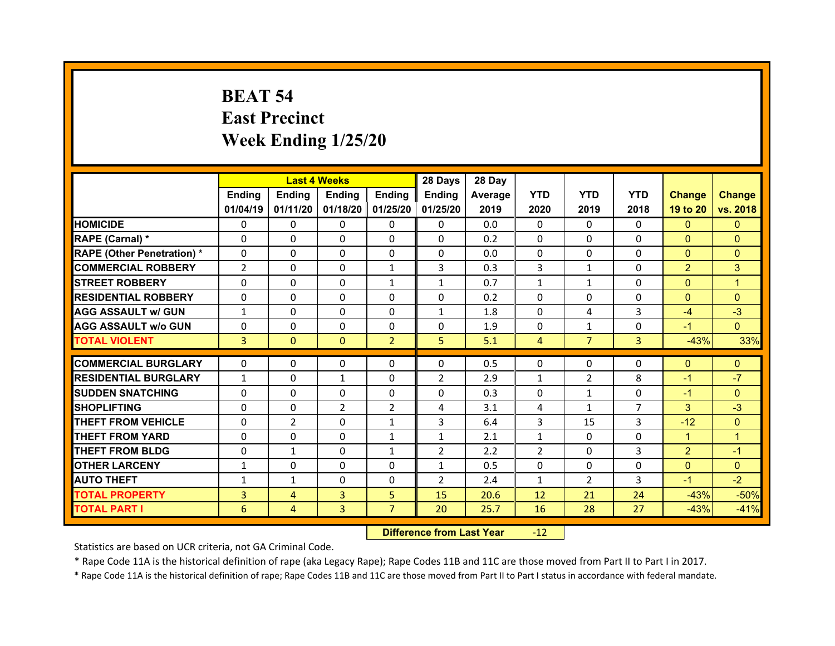## **BEAT 54 East Precinct Week Ending 1/25/20**

|                                  |                | <b>Last 4 Weeks</b> |                |                   | 28 Days        | 28 Day  |                |                |                |                |               |
|----------------------------------|----------------|---------------------|----------------|-------------------|----------------|---------|----------------|----------------|----------------|----------------|---------------|
|                                  | <b>Ending</b>  | <b>Endina</b>       | <b>Ending</b>  | <b>Ending</b>     | <b>Ending</b>  | Average | <b>YTD</b>     | <b>YTD</b>     | <b>YTD</b>     | <b>Change</b>  | <b>Change</b> |
|                                  | 01/04/19       | 01/11/20            |                | 01/18/20 01/25/20 | 01/25/20       | 2019    | 2020           | 2019           | 2018           | 19 to 20       | vs. 2018      |
| <b>HOMICIDE</b>                  | 0              | 0                   | 0              | 0                 | 0              | 0.0     | $\Omega$       | $\Omega$       | $\Omega$       | $\mathbf{0}$   | $\mathbf{0}$  |
| RAPE (Carnal) *                  | 0              | 0                   | 0              | $\Omega$          | 0              | 0.2     | $\Omega$       | $\Omega$       | $\Omega$       | $\mathbf{0}$   | $\Omega$      |
| <b>RAPE (Other Penetration)*</b> | 0              | $\Omega$            | $\Omega$       | $\Omega$          | 0              | 0.0     | 0              | $\Omega$       | $\Omega$       | $\overline{0}$ | $\Omega$      |
| <b>COMMERCIAL ROBBERY</b>        | $\overline{2}$ | 0                   | $\mathbf{0}$   | $\mathbf{1}$      | 3              | 0.3     | 3              | $\mathbf{1}$   | $\Omega$       | $\overline{2}$ | 3             |
| <b>STREET ROBBERY</b>            | 0              | $\Omega$            | $\Omega$       | 1                 | $\mathbf{1}$   | 0.7     | $\mathbf{1}$   | $\mathbf{1}$   | $\Omega$       | $\mathbf{0}$   | 1             |
| <b>RESIDENTIAL ROBBERY</b>       | $\mathbf{0}$   | 0                   | $\mathbf{0}$   | $\Omega$          | 0              | 0.2     | $\Omega$       | $\Omega$       | $\Omega$       | $\mathbf{0}$   | $\Omega$      |
| <b>AGG ASSAULT w/ GUN</b>        | $\mathbf{1}$   | $\Omega$            | $\Omega$       | $\Omega$          | $\mathbf{1}$   | 1.8     | $\Omega$       | 4              | 3              | $-4$           | $-3$          |
| <b>AGG ASSAULT w/o GUN</b>       | $\mathbf{0}$   | 0                   | $\mathbf{0}$   | $\mathbf{0}$      | 0              | 1.9     | 0              | $\mathbf{1}$   | $\Omega$       | $-1$           | $\Omega$      |
| <b>TOTAL VIOLENT</b>             | 3              | $\mathbf{0}$        | $\mathbf{0}$   | $\overline{2}$    | 5              | 5.1     | $\overline{4}$ | $\overline{7}$ | $\overline{3}$ | $-43%$         | 33%           |
|                                  |                |                     |                |                   |                |         |                |                |                |                |               |
| <b>COMMERCIAL BURGLARY</b>       | 0              | 0                   | 0              | 0                 | 0              | 0.5     | 0              | $\mathbf{0}$   | 0              | $\mathbf{0}$   | $\mathbf{0}$  |
| <b>RESIDENTIAL BURGLARY</b>      | $\mathbf{1}$   | 0                   | 1              | 0                 | 2              | 2.9     | $\mathbf{1}$   | $\overline{2}$ | 8              | -1             | $-7$          |
| <b>SUDDEN SNATCHING</b>          | 0              | $\Omega$            | $\Omega$       | $\Omega$          | 0              | 0.3     | 0              | $\mathbf{1}$   | $\Omega$       | $-1$           | $\Omega$      |
| <b>SHOPLIFTING</b>               | 0              | 0                   | $\overline{2}$ | $\overline{2}$    | 4              | 3.1     | 4              | $\mathbf{1}$   | $\overline{7}$ | 3              | $-3$          |
| <b>THEFT FROM VEHICLE</b>        | 0              | $\overline{2}$      | $\Omega$       | 1                 | 3              | 6.4     | $\overline{3}$ | 15             | 3              | $-12$          | $\Omega$      |
| <b>THEFT FROM YARD</b>           | 0              | $\Omega$            | $\Omega$       | $\mathbf{1}$      | $\mathbf{1}$   | 2.1     | $\mathbf{1}$   | $\Omega$       | $\Omega$       | $\mathbf{1}$   | 1             |
| <b>THEFT FROM BLDG</b>           | 0              | $\mathbf{1}$        | $\mathbf{0}$   | 1                 | $\overline{2}$ | 2.2     | 2              | $\Omega$       | 3              | $\overline{2}$ | $-1$          |
| <b>OTHER LARCENY</b>             | $\mathbf{1}$   | $\Omega$            | $\Omega$       | $\Omega$          | $\mathbf{1}$   | 0.5     | $\Omega$       | $\Omega$       | $\Omega$       | $\overline{0}$ | $\Omega$      |
| <b>AUTO THEFT</b>                | $\mathbf{1}$   | $\mathbf{1}$        | $\mathbf{0}$   | $\mathbf{0}$      | $\overline{2}$ | 2.4     | $\mathbf{1}$   | $\mathcal{P}$  | 3              | $-1$           | $-2$          |
| <b>TOTAL PROPERTY</b>            | 3              | $\overline{4}$      | 3              | 5                 | 15             | 20.6    | 12             | 21             | 24             | $-43%$         | $-50%$        |
| <b>TOTAL PART I</b>              | 6              | $\overline{4}$      | 3              | $\overline{7}$    | 20             | 25.7    | 16             | 28             | 27             | $-43%$         | $-41%$        |
|                                  |                |                     |                |                   |                |         |                |                |                |                |               |

 **Difference from Last Year**r -12

Statistics are based on UCR criteria, not GA Criminal Code.

\* Rape Code 11A is the historical definition of rape (aka Legacy Rape); Rape Codes 11B and 11C are those moved from Part II to Part I in 2017.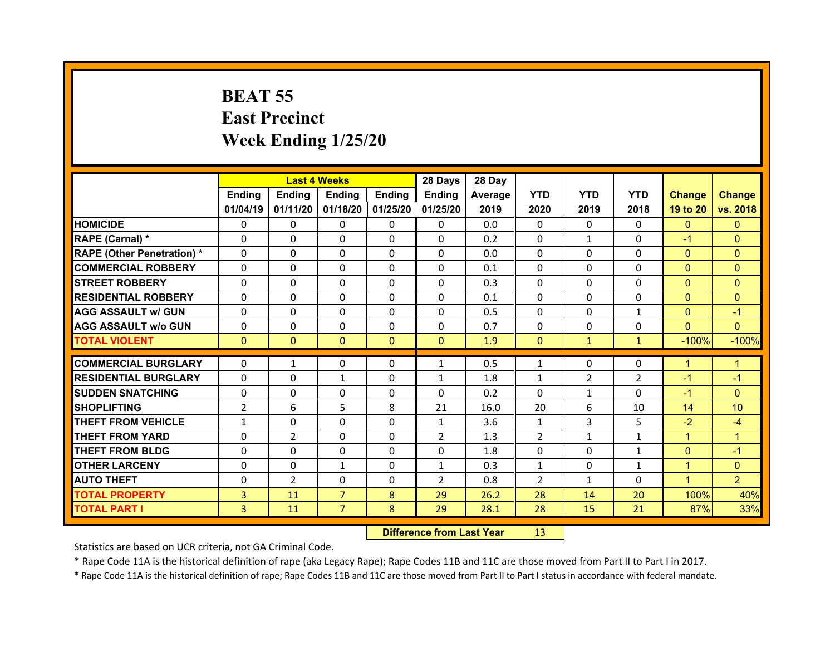## **BEAT 55 East Precinct Week Ending 1/25/20**

|                                   |                | <b>Last 4 Weeks</b> |                |                   | 28 Days        | 28 Day  |              |              |                |                |                |
|-----------------------------------|----------------|---------------------|----------------|-------------------|----------------|---------|--------------|--------------|----------------|----------------|----------------|
|                                   | Ending         | Ending              | Ending         | <b>Ending</b>     | Ending         | Average | <b>YTD</b>   | <b>YTD</b>   | <b>YTD</b>     | <b>Change</b>  | <b>Change</b>  |
|                                   | 01/04/19       | 01/11/20            |                | 01/18/20 01/25/20 | 01/25/20       | 2019    | 2020         | 2019         | 2018           | 19 to 20       | vs. 2018       |
| <b>HOMICIDE</b>                   | $\Omega$       | 0                   | $\Omega$       | $\Omega$          | 0              | 0.0     | $\Omega$     | $\Omega$     | $\Omega$       | $\mathbf{0}$   | $\mathbf{0}$   |
| RAPE (Carnal) *                   | $\Omega$       | $\Omega$            | $\mathbf{0}$   | $\Omega$          | 0              | 0.2     | $\Omega$     | $\mathbf{1}$ | $\Omega$       | $-1$           | $\Omega$       |
| <b>RAPE (Other Penetration) *</b> | $\Omega$       | $\Omega$            | $\Omega$       | $\Omega$          | $\Omega$       | 0.0     | $\Omega$     | $\Omega$     | $\Omega$       | $\Omega$       | $\Omega$       |
| <b>COMMERCIAL ROBBERY</b>         | $\Omega$       | $\Omega$            | $\mathbf{0}$   | $\Omega$          | $\Omega$       | 0.1     | $\Omega$     | $\Omega$     | $\Omega$       | $\overline{0}$ | $\Omega$       |
| <b>STREET ROBBERY</b>             | $\Omega$       | $\Omega$            | $\Omega$       | $\Omega$          | $\Omega$       | 0.3     | $\Omega$     | $\Omega$     | $\Omega$       | $\Omega$       | $\Omega$       |
| <b>RESIDENTIAL ROBBERY</b>        | $\Omega$       | $\Omega$            | $\mathbf{0}$   | $\Omega$          | $\Omega$       | 0.1     | $\Omega$     | $\Omega$     | $\Omega$       | $\mathbf{0}$   | $\Omega$       |
| <b>AGG ASSAULT w/ GUN</b>         | $\Omega$       | $\Omega$            | $\Omega$       | $\Omega$          | $\Omega$       | 0.5     | $\Omega$     | $\Omega$     | $\mathbf{1}$   | $\Omega$       | $-1$           |
| <b>AGG ASSAULT w/o GUN</b>        | 0              | 0                   | $\mathbf{0}$   | $\Omega$          | $\Omega$       | 0.7     | $\Omega$     | $\Omega$     | $\Omega$       | $\overline{0}$ | $\Omega$       |
| <b>TOTAL VIOLENT</b>              | $\mathbf{0}$   | $\mathbf{0}$        | $\mathbf{0}$   | $\mathbf{0}$      | $\Omega$       | 1.9     | $\Omega$     | $\mathbf{1}$ | $\mathbf{1}$   | $-100%$        | $-100%$        |
|                                   |                |                     |                |                   |                |         |              |              |                |                |                |
|                                   |                |                     |                |                   |                |         |              |              |                |                |                |
| <b>COMMERCIAL BURGLARY</b>        | 0              | $\mathbf{1}$        | 0              | $\Omega$          | $\mathbf{1}$   | 0.5     | $\mathbf{1}$ | $\Omega$     | $\Omega$       | $\mathbf{1}$   | 1              |
| <b>RESIDENTIAL BURGLARY</b>       | 0              | $\Omega$            | $\mathbf{1}$   | $\Omega$          | $\mathbf{1}$   | 1.8     | $\mathbf{1}$ | 2            | $\overline{2}$ | $-1$           | $-1$           |
| <b>SUDDEN SNATCHING</b>           | 0              | 0                   | 0              | $\Omega$          | 0              | 0.2     | $\Omega$     | $\mathbf{1}$ | $\Omega$       | $-1$           | $\Omega$       |
| <b>SHOPLIFTING</b>                | $\overline{2}$ | 6                   | 5              | 8                 | 21             | 16.0    | 20           | 6            | 10             | 14             | 10             |
| <b>THEFT FROM VEHICLE</b>         | $\mathbf{1}$   | $\Omega$            | 0              | $\Omega$          | $\mathbf{1}$   | 3.6     | $\mathbf{1}$ | 3            | 5              | $-2$           | $-4$           |
| <b>THEFT FROM YARD</b>            | 0              | $\overline{2}$      | $\Omega$       | $\Omega$          | $\overline{2}$ | 1.3     | 2            | $\mathbf{1}$ | $\mathbf{1}$   | $\mathbf{1}$   | $\overline{1}$ |
| <b>THEFT FROM BLDG</b>            | $\mathbf{0}$   | 0                   | $\mathbf{0}$   | $\Omega$          | 0              | 1.8     | 0            | $\Omega$     | $\mathbf{1}$   | $\mathbf{0}$   | $-1$           |
| <b>OTHER LARCENY</b>              | $\Omega$       | $\Omega$            | $\mathbf{1}$   | $\Omega$          | $\mathbf{1}$   | 0.3     | $\mathbf{1}$ | $\Omega$     | $\mathbf{1}$   | $\mathbf{1}$   | $\Omega$       |
| <b>AUTO THEFT</b>                 | $\mathbf{0}$   | 2                   | $\mathbf{0}$   | $\Omega$          | $\overline{2}$ | 0.8     | 2            | $\mathbf{1}$ | $\Omega$       | $\mathbf{1}$   | $\overline{2}$ |
| <b>TOTAL PROPERTY</b>             | 3              | 11                  | $\overline{7}$ | 8                 | 29             | 26.2    | 28           | 14           | 20             | 100%           | 40%            |
| TOTAL PART I                      | 3              | 11                  | $\overline{7}$ | 8                 | 29             | 28.1    | 28           | 15           | 21             | 87%            | 33%            |

 **Difference from Last Year**r 13

Statistics are based on UCR criteria, not GA Criminal Code.

\* Rape Code 11A is the historical definition of rape (aka Legacy Rape); Rape Codes 11B and 11C are those moved from Part II to Part I in 2017.